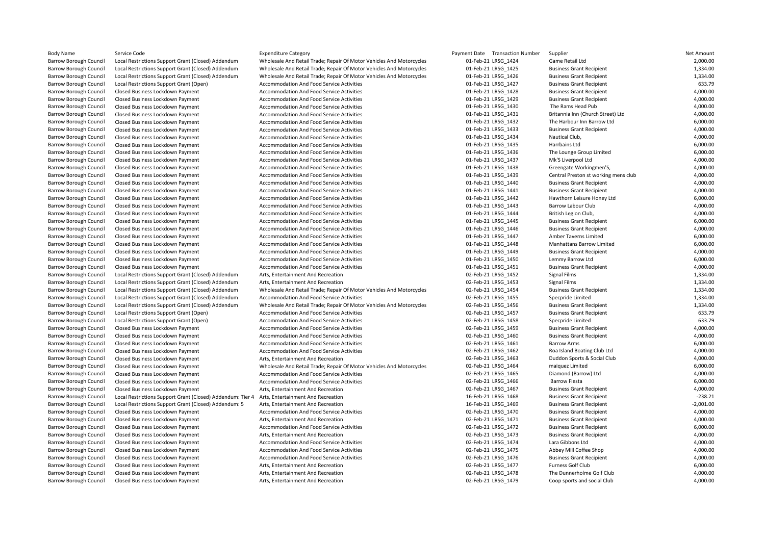| <b>Body Name</b>              | Service Code                                             | <b>Expenditure Category</b>                                          | Payment Date Transaction Number | Supplier                             | Net Amount  |
|-------------------------------|----------------------------------------------------------|----------------------------------------------------------------------|---------------------------------|--------------------------------------|-------------|
| <b>Barrow Borough Council</b> | Local Restrictions Support Grant (Closed) Addendum       | Wholesale And Retail Trade; Repair Of Motor Vehicles And Motorcycles | 01-Feb-21 LRSG 1424             | Game Retail Ltd                      | 2,000.00    |
| <b>Barrow Borough Council</b> | Local Restrictions Support Grant (Closed) Addendum       | Wholesale And Retail Trade; Repair Of Motor Vehicles And Motorcycles | 01-Feb-21 LRSG 1425             | <b>Business Grant Recipient</b>      | 1,334.00    |
| Barrow Borough Council        | Local Restrictions Support Grant (Closed) Addendum       | Wholesale And Retail Trade; Repair Of Motor Vehicles And Motorcycles | 01-Feb-21 LRSG 1426             | <b>Business Grant Recipient</b>      | 1,334.00    |
| <b>Barrow Borough Council</b> | Local Restrictions Support Grant (Open)                  | Accommodation And Food Service Activities                            | 01-Feb-21 LRSG 1427             | <b>Business Grant Recipient</b>      | 633.79      |
| <b>Barrow Borough Council</b> | Closed Business Lockdown Payment                         | Accommodation And Food Service Activities                            | 01-Feb-21 LRSG 1428             | <b>Business Grant Recipient</b>      | 4,000.00    |
| <b>Barrow Borough Council</b> | Closed Business Lockdown Payment                         | Accommodation And Food Service Activities                            | 01-Feb-21 LRSG 1429             | <b>Business Grant Recipient</b>      | 4,000.00    |
| <b>Barrow Borough Council</b> | Closed Business Lockdown Payment                         | Accommodation And Food Service Activities                            | 01-Feb-21 LRSG 1430             | The Rams Head Pub                    | 4,000.00    |
| Barrow Borough Council        | Closed Business Lockdown Payment                         | Accommodation And Food Service Activities                            | 01-Feb-21 LRSG_1431             | Britannia Inn (Church Street) Ltd    | 4,000.00    |
| <b>Barrow Borough Council</b> | Closed Business Lockdown Payment                         | Accommodation And Food Service Activities                            | 01-Feb-21 LRSG 1432             | The Harbour Inn Barrow Ltd           | 6,000.00    |
| <b>Barrow Borough Council</b> | Closed Business Lockdown Payment                         | Accommodation And Food Service Activities                            | 01-Feb-21 LRSG 1433             | <b>Business Grant Recipient</b>      | 4,000.00    |
| <b>Barrow Borough Council</b> | Closed Business Lockdown Payment                         | Accommodation And Food Service Activities                            | 01-Feb-21 LRSG 1434             | Nautical Club,                       | 4,000.00    |
| <b>Barrow Borough Council</b> | Closed Business Lockdown Payment                         | Accommodation And Food Service Activities                            | 01-Feb-21 LRSG_1435             | Harrbains Ltd                        | 6,000.00    |
| Barrow Borough Council        | Closed Business Lockdown Payment                         | Accommodation And Food Service Activities                            | 01-Feb-21 LRSG 1436             | The Lounge Group Limited             | 6,000.00    |
| <b>Barrow Borough Council</b> | Closed Business Lockdown Payment                         | Accommodation And Food Service Activities                            | 01-Feb-21 LRSG 1437             | Mk'S Liverpool Ltd                   | 4,000.00    |
| <b>Barrow Borough Council</b> | Closed Business Lockdown Payment                         | Accommodation And Food Service Activities                            | 01-Feb-21 LRSG 1438             | Greengate Workingmen'S,              | 4,000.00    |
| <b>Barrow Borough Council</b> | Closed Business Lockdown Payment                         | Accommodation And Food Service Activities                            | 01-Feb-21 LRSG 1439             | Central Preston st working mens club | 4,000.00    |
| <b>Barrow Borough Council</b> | Closed Business Lockdown Payment                         | Accommodation And Food Service Activities                            | 01-Feb-21 LRSG_1440             | <b>Business Grant Recipient</b>      | 4,000.00    |
| Barrow Borough Council        | Closed Business Lockdown Payment                         | Accommodation And Food Service Activities                            | 01-Feb-21 LRSG 1441             | <b>Business Grant Recipient</b>      | 4,000.00    |
| <b>Barrow Borough Council</b> | Closed Business Lockdown Payment                         | Accommodation And Food Service Activities                            | 01-Feb-21 LRSG 1442             | Hawthorn Leisure Honey Ltd           | 6,000.00    |
| <b>Barrow Borough Council</b> | Closed Business Lockdown Payment                         | Accommodation And Food Service Activities                            | 01-Feb-21 LRSG 1443             | <b>Barrow Labour Club</b>            | 4,000.00    |
| <b>Barrow Borough Council</b> | Closed Business Lockdown Payment                         | Accommodation And Food Service Activities                            | 01-Feb-21 LRSG 1444             | British Legion Club,                 | 4,000.00    |
| <b>Barrow Borough Council</b> | Closed Business Lockdown Payment                         | Accommodation And Food Service Activities                            | 01-Feb-21 LRSG 1445             | <b>Business Grant Recipient</b>      | 6,000.00    |
| Barrow Borough Council        | Closed Business Lockdown Payment                         | Accommodation And Food Service Activities                            | 01-Feb-21 LRSG 1446             | <b>Business Grant Recipient</b>      | 4,000.00    |
| <b>Barrow Borough Council</b> | Closed Business Lockdown Payment                         | Accommodation And Food Service Activities                            | 01-Feb-21 LRSG 1447             | Amber Taverns Limited                | 6,000.00    |
| Barrow Borough Council        | Closed Business Lockdown Payment                         | Accommodation And Food Service Activities                            | 01-Feb-21 LRSG 1448             | Manhattans Barrow Limited            | 6,000.00    |
| <b>Barrow Borough Council</b> | Closed Business Lockdown Payment                         | Accommodation And Food Service Activities                            | 01-Feb-21 LRSG 1449             | <b>Business Grant Recipient</b>      | 4,000.00    |
| <b>Barrow Borough Council</b> | Closed Business Lockdown Payment                         | Accommodation And Food Service Activities                            | 01-Feb-21 LRSG 1450             | Lemmy Barrow Ltd                     | 6,000.00    |
| <b>Barrow Borough Council</b> | Closed Business Lockdown Payment                         | Accommodation And Food Service Activities                            | 01-Feb-21 LRSG_1451             | <b>Business Grant Recipient</b>      | 4,000.00    |
| <b>Barrow Borough Council</b> | Local Restrictions Support Grant (Closed) Addendum       | Arts, Entertainment And Recreation                                   | 02-Feb-21 LRSG 1452             | Signal Films                         | 1,334.00    |
| Barrow Borough Council        | Local Restrictions Support Grant (Closed) Addendum       | Arts, Entertainment And Recreation                                   | 02-Feb-21 LRSG 1453             | Signal Films                         | 1,334.00    |
| <b>Barrow Borough Council</b> | Local Restrictions Support Grant (Closed) Addendum       | Wholesale And Retail Trade; Repair Of Motor Vehicles And Motorcycles | 02-Feb-21 LRSG 1454             | <b>Business Grant Recipient</b>      | 1,334.00    |
| <b>Barrow Borough Council</b> | Local Restrictions Support Grant (Closed) Addendum       | Accommodation And Food Service Activities                            | 02-Feb-21 LRSG 1455             | Specpride Limited                    | 1,334.00    |
| <b>Barrow Borough Council</b> | Local Restrictions Support Grant (Closed) Addendum       | Wholesale And Retail Trade; Repair Of Motor Vehicles And Motorcycles | 02-Feb-21 LRSG 1456             | <b>Business Grant Recipient</b>      | 1,334.00    |
| <b>Barrow Borough Council</b> | Local Restrictions Support Grant (Open)                  | Accommodation And Food Service Activities                            | 02-Feb-21 LRSG 1457             | <b>Business Grant Recipient</b>      | 633.79      |
| <b>Barrow Borough Council</b> | Local Restrictions Support Grant (Open)                  | Accommodation And Food Service Activities                            | 02-Feb-21 LRSG 1458             | Specpride Limited                    | 633.79      |
| <b>Barrow Borough Council</b> | Closed Business Lockdown Payment                         | Accommodation And Food Service Activities                            | 02-Feb-21 LRSG 1459             | <b>Business Grant Recipient</b>      | 4,000.00    |
| <b>Barrow Borough Council</b> | Closed Business Lockdown Payment                         | Accommodation And Food Service Activities                            | 02-Feb-21 LRSG 1460             | <b>Business Grant Recipient</b>      | 4,000.00    |
| <b>Barrow Borough Council</b> | Closed Business Lockdown Payment                         | Accommodation And Food Service Activities                            | 02-Feb-21 LRSG 1461             | <b>Barrow Arms</b>                   | 6,000.00    |
| Barrow Borough Council        | Closed Business Lockdown Payment                         | Accommodation And Food Service Activities                            | 02-Feb-21 LRSG_1462             | Roa Island Boating Club Ltd          | 4,000.00    |
| <b>Barrow Borough Council</b> | Closed Business Lockdown Payment                         | Arts, Entertainment And Recreation                                   | 02-Feb-21 LRSG 1463             | Duddon Sports & Social Club          | 4,000.00    |
| <b>Barrow Borough Council</b> | Closed Business Lockdown Payment                         | Wholesale And Retail Trade; Repair Of Motor Vehicles And Motorcycles | 02-Feb-21 LRSG 1464             | maiquez Limited                      | 6,000.00    |
| <b>Barrow Borough Council</b> | Closed Business Lockdown Payment                         | Accommodation And Food Service Activities                            | 02-Feb-21 LRSG 1465             | Diamond (Barrow) Ltd                 | 4,000.00    |
| <b>Barrow Borough Council</b> | Closed Business Lockdown Payment                         | Accommodation And Food Service Activities                            | 02-Feb-21 LRSG 1466             | <b>Barrow Fiesta</b>                 | 6,000.00    |
| <b>Barrow Borough Council</b> | Closed Business Lockdown Payment                         | Arts, Entertainment And Recreation                                   | 02-Feb-21 LRSG 1467             | <b>Business Grant Recipient</b>      | 4,000.00    |
| <b>Barrow Borough Council</b> | Local Restrictions Support Grant (Closed) Addendum: Tier | Arts, Entertainment And Recreation                                   | 16-Feb-21 LRSG 1468             | <b>Business Grant Recipient</b>      | $-238.21$   |
| <b>Barrow Borough Council</b> | Local Restrictions Support Grant (Closed) Addendum: 5    | Arts, Entertainment And Recreation                                   | 16-Feb-21 LRSG 1469             | <b>Business Grant Recipient</b>      | $-2,001.00$ |
| <b>Barrow Borough Council</b> | Closed Business Lockdown Payment                         | Accommodation And Food Service Activities                            | 02-Feb-21 LRSG 1470             | <b>Business Grant Recipient</b>      | 4,000.00    |
| Barrow Borough Council        | Closed Business Lockdown Payment                         | Arts, Entertainment And Recreation                                   | 02-Feb-21 LRSG_1471             | <b>Business Grant Recipient</b>      | 4,000.00    |
| <b>Barrow Borough Council</b> | Closed Business Lockdown Payment                         | Accommodation And Food Service Activities                            | 02-Feb-21 LRSG 1472             | <b>Business Grant Recipient</b>      | 6,000.00    |
| <b>Barrow Borough Council</b> | Closed Business Lockdown Payment                         | Arts, Entertainment And Recreation                                   | 02-Feb-21 LRSG 1473             | <b>Business Grant Recipient</b>      | 4,000.00    |
| <b>Barrow Borough Council</b> | Closed Business Lockdown Payment                         | Accommodation And Food Service Activities                            | 02-Feb-21 LRSG 1474             | Lara Gibbons Ltd                     | 4,000.00    |
| <b>Barrow Borough Council</b> | Closed Business Lockdown Payment                         | Accommodation And Food Service Activities                            | 02-Feb-21 LRSG 1475             | Abbey Mill Coffee Shop               | 4,000.00    |
| <b>Barrow Borough Council</b> | Closed Business Lockdown Payment                         | Accommodation And Food Service Activities                            | 02-Feb-21 LRSG 1476             | <b>Business Grant Recipient</b>      | 4,000.00    |
| <b>Barrow Borough Council</b> | Closed Business Lockdown Payment                         | Arts, Entertainment And Recreation                                   | 02-Feb-21 LRSG_1477             | Furness Golf Club                    | 6,000.00    |
| <b>Barrow Borough Council</b> | Closed Business Lockdown Payment                         | Arts, Entertainment And Recreation                                   | 02-Feb-21 LRSG 1478             | The Dunnerholme Golf Club            | 4,000.00    |
| Barrow Borough Council        | Closed Business Lockdown Payment                         | Arts, Entertainment And Recreation                                   | 02-Feb-21 LRSG 1479             | Coop sports and social Club          | 4,000.00    |
|                               |                                                          |                                                                      |                                 |                                      |             |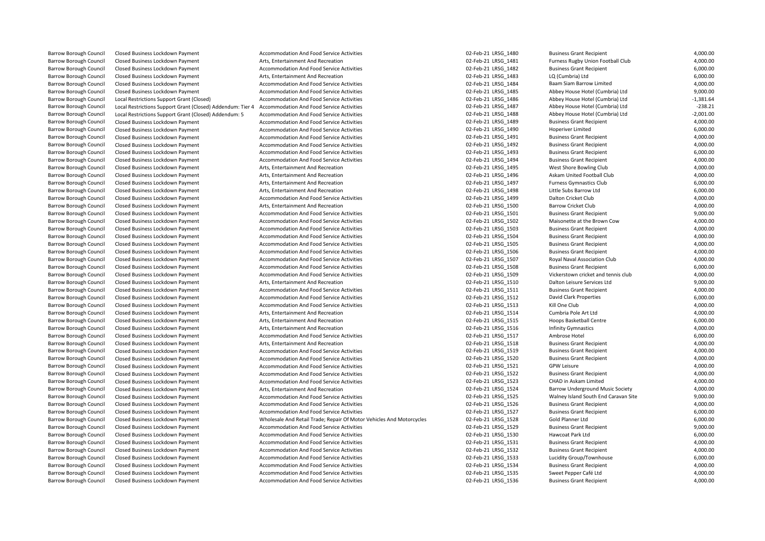Local Restrictions Support Grant (Closed) Addendum: Tier 4 Barrow Borough Council Closed Business Lockdown Payment Accommodation And Food Service Activities 02-Feb-21 LRSG\_1492 Business Grant Recipient 4,000.00 Barrow Borough Council Closed Business Lockdown Payment Accommodation And Food Service Activities Barrow Borough Council Closed Business Lockdown Payment Accommodation And Food Service Activities

Barrow Barrow Borough Council Closed Business Accommodation And Food Service Activities Accommodation And Food Service Activities <br>Arts, Entertainment And Recreation **Accommodation** Business Locked Business Locked Business Lock de Activities A<br>12-Feb-21 LRSG\_1514 Cumbria Pole Art Ltd Barrow Borough Council Closed Business Lockdown Payment **Arts, Entertainment And Recreation Business Arts, Entertainment And Recreation Arts, Entertainment And Recreation 602-Feb-21 LRSG** 1515 Hoops Basketball Centre Barrow Borough Council Closed Business Lockdown Payment **Accommodation And Food Service Activities** 602-Feb-21 LRSG 1519 Business Grant Recipient Barrow Borough Council Closed Business Lockdown Payment **Accommodation And Food Service Activities** 02-Feb-21 LRSG 1523 CHAD in Askam Limited Barrow Borough Council Closed Business Lockdown Payment **Accommodation And Food Service Activities** 02-Feb-21 LRSG 1526 Business Grant Recipient Barrow Borough Council Closed Business Lockdown Payment Accommodation And Food Service Activities 6 Barrow Borough Council Closed Business Lockdown Payment **Accommodation And Food Service Activities Business Council** Closed Business Lockdown Payment 4,000.00

Barrow Borough Council Closed Business Lockdown Payment **Accommodation And Food Service Activities** 02-Feb-21 LRSG\_1480 Business Grant Recipient 4,000.00 Barrow Borough Council Closed Business Lockdown Payment Arts, Entertainment And Recreation 02-Feb-21 LRSG\_1481 Furness Rugby Union Football Club 4,000.00 Barrow Borough Council Closed Business Lockdown Payment Accommodation And Food Service Activities and the Council Closed Business Grant Recipient Accommodation And Food Service Activities and the Council Closed Business Lo Barrow Borough Council Closed Business Lockdown Payment **Arts, Entertainment And Recreation** Arts, Entertainment And Recreation and Food Service Activities **Arts, Entertainment And Recreation** 02-Feb-21 LRSG\_1484 Baam Siam Closed Business Lockdown Payment **Commodation And Food Service Activities** Closed Business Lockdown Payment Accommodation And Food Service Activities Closed Business Lockdown Payment Activities and Accommodation And Food S Barrow Borough Council Closed Business Lockdown Payment **Accommodation And Food Service Activities** and the state of the commodation And Food Service Activities of the subset of the Abbey House Hotel (Cumbria) Ltd 9,000.00 Barrow Borough Council Local Restrictions Support Grant (Closed) Accommodation And Food Service Activities and the strictions of the Cumbria) Ltd and Food Service Activities of the Support Grant (Closed) Addendum: Tier 4 A Barrow Borough Council Local Restrictions Support Grant (Closed) Addendum: 5 Accommodation And Food Service Activities and the strictions of the Support Grant Rector Activities and The Support Grant Activities and And Tool Barrow Borough Council Closed Business Lockdown Payment **Accommodation And Food Service Activities Business Council** Business Grant Recipient 4,000.00 Barrow Borough Council Closed Business Lockdown Payment **Accommodation And Food Service Activities** and the struck of the commodation And Food Service Activities and the struck of the David Payment and Food Service Activit Barrow Borough Council Closed Business Lockdown Payment and Accommodation And Food Service Activities and the Council Closed Business Grant Recipient 4,000.00 and 4,000.00<br>Barrow Borough Council Closed Business Lockdown Pa Barrow Borough Council Closed Business Lockdown Payment **Accommodation And Food Service Activities** 6,000 Business Council Closed Business Lockdown Payment 6,000.00 Barrow Borough Council Closed Business Lockdown Payment **Accommodation And Food Service Activities 02-Feb-21 LRSG** 1494 Business Grant Recipient 4,000.00 Barrow Borough Council Closed Business Lockdown Payment **Arts, Entertainment And Recreation** Arts, Entertainment And Recreation **02-Feb-21 LRSG\_1495** West Shore Bowling Club 4,000.00 Barrow Borough Council Closed Business Lockdown Payment Arts, Entertainment And Recreation Arts, Entertainment And Recreation and the creation of the David Club 4,000.00 Barrow Borough Council Closed Business Lockdown Payment Arts, Entertainment And Recreation and the creation of the Substitute of the Substitute of the Substitute of the Substitute O2-Feb-21 LRSG\_1497 Furness Gymnastics Clu Barrow Borough Council Closed Business Lockdown Payment **Arts, Entertainment And Recreation** Arts, Entertainment And Recreation **02-Feb-21 LRSG\_1498** Little Subs Barrow Ltd 6,000.00 Barrow Borough Council Closed Business Lockdown Payment Accommodation And Food Service Activities and the Council Closed Business Lockdown Payment Accommodation And Food Service Activities 02-Feb-21 LRSG\_1499 Dalton Cricke Barrow Borough Council Closed Business Lockdown Payment Arts, Entertainment And Recreation 02-Feb-21 LRSG\_1500 Barrow Cricket Club 4,000.00 Barrow Borough Council Closed Business Lockdown Payment **Accommodation And Food Service Activities** and the substant Council Closed Business Lockdown Payment 9,000.00<br>Barrow Borough Council Closed Business Lockdown Payment Barrow Borough Council Closed Business Lockdown Payment Accommodation And Food Service Activities and the Council Closed Business Grant Recipient 4,000.00 and Food Service Activities and the Service Activities and the Coun Barrow Borough Council Closed Business Lockdown Payment and Accommodation And Food Service Activities and the Council Closed Business Grant Recipient 4,000.00 and Food Service Activities and Accommodation And Food Service Barrow Borough Council Closed Business Lockdown Payment Accommodation And Food Service Activities and the state of the Council Closed Business Grant Recipient 4,000.00 and 4,000.00 and Accommodation And Food Service Activi Barrow Borough Council Closed Business Lockdown Payment **Accommodation And Food Service Activities** 02-Feb-21 LRSG\_1507 Royal Naval Association Club 4,000.00<br>Barrow Borough Council Closed Business Lockdown Payment **Accommo** Barrow Borough Council Closed Business Lockdown Payment **Accommodation And Food Service Activities** and the state of the Council Closed Business Lockdown Payment 6,000.00<br>Barrow Borough Council Closed Business Lockdown Pay Barrow Borough Council Closed Business Lockdown Payment Arts, Entertainment And Recreation Arts, Entertainment And Recreation 19900.00 Barrow Borough Council Closed Business Lockdown Payment Accommodation And Food Service Activities and the state of the Council Closed Business Lockdown Payment 4,000.00<br>19-Feb-21 LRSG 1512 David Closed Business Lockdown Pa Barrow Borough Council Closed Business Lockdown Payment **Accommodation And Food Service Activities** 02-Feb-21 LRSG\_1512 David Clark Properties 6,000.00<br>Barrow Borough Council Closed Business Lockdown Payment Accommodation Barrow Borough Council Closed Business Lockdown Payment Arts, Entertainment And Recreation and the council Council Closed Business Lockdown Payment Arts, Entertainment And Recreation and the council Closed Business Lockdow Barrow Borough Council Closed Business Lockdown Payment **Arts, Entertainment And Recreation** Arts, Entertainment And Recreation **02-Feb-21 LRSG\_1516** Infinity Gymnastics 4,000.00 Barrow Borough Council Closed Business Lockdown Payment **Accommodation And Food Service Activities** and the state of the commodation And Accommodation And Food Service Activities 02-Feb-21 LRSG\_1517 Ambrose Hotel And And A Closed Business Lockdown Payment **Council Closed Business Lock Council Closed Business Lock Council Closed Business Lockdown Payment Arts, Entertainment And Recreation <b>Article Article Article Closed Business Council Close** Barrow Borough Council Closed Business Lockdown Payment **Accommodation And Food Service Activities** 02-Feb-21 LRSG 1520 Business Grant Recipient 4,000.00 Barrow Borough Council Closed Business Lockdown Payment **Accommodation And Food Service Activities** and the struck of the commodation And Food Service Activities and the struck of the SC-Feb-21 LRSG\_1521 GPW Leisure 4,000. Barrow Borough Council Closed Business Lockdown Payment and Accommodation And Food Service Activities and the state of the Council Closed Business Lockdown Payment 4,000.00<br>1.000.00 Barrow Borough Council Closed Business L Barrow Borough Council Closed Business Lockdown Payment **Arts, Entertainment And Recreation** Arts, Entertainment And Recreation **Dubber 2001 Dubber 2001-02-Feb-21 LRSG\_1524** Barrow Underground Music Society 4,000.00 Barrow Borough Council Closed Business Lockdown Payment **Accommodation And Food Service Activities** and The Council Closed Business Crank Recipient Activities 19,000.00<br>Barrow Borough Council Closed Business Lockdown Payme Barrow Borough Council Closed Business Lockdown Payment **Accommodation And Food Service Activities** 02-Feb-21 LRSG\_1527 Business Grant Recipient 6,000.00 Barrow Borough Council Closed Business Lockdown Payment Wholesale And Retail Trade; Repair Of Motor Vehicles And Motorcycles 02-Feb-21 LRSG 1528 Gold Planner Ltd 6,000.00 Barrow Borough Council Closed Business Lockdown Payment Accommodation And Food Service Activities and the state of the Subsidiary of the Subsidiary of the Subsidiary of the Subsidiary of the Subsidiary of the Subsidiary of Barrow Borough Council Closed Business Lockdown Payment Accommodation And Food Service Activities 6,000,000 02-Feb-21 LRSG\_1530 Hawcoat Park Ltd 6,000.00 Barrow Borough Council Closed Business Lockdown Payment **Accommodation And Food Service Activities** 02-Feb-21 LRSG 1531 Business Grant Recipient 4,000.00 Barrow Borough Council Closed Business Lockdown Payment Accommodation And Food Service Activities 02-Feb-21 LRSG\_1532 Business Grant Recipient 4,000.00 Barrow Borough Council Closed Business Lockdown Payment Accommodation And Food Service Activities and the state of the Service Activities and the service Activities of the Service Activities of the Service Activity of the Barrow Borough Council Closed Business Lockdown Payment **Accommodation And Food Service Activities** 02-Feb-21 LRSG 1535 Sweet Pepper Café Ltd 4,000.00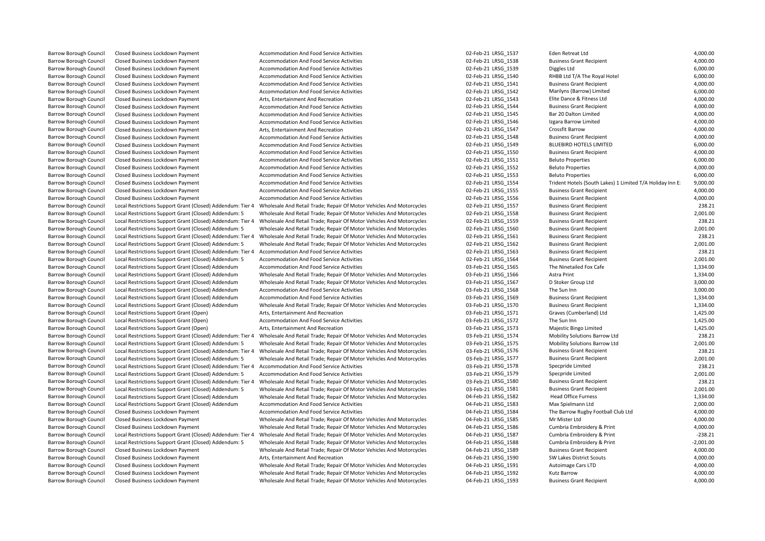Barrow Borough Council Closed Business Lockdown Payment and Accommodation And Food Service Activities and the Superinties of the Superinties of the Superinties of the Superinties of the Superinties of the Superinties of th Barrow Borough Council Closed Business Lockdown Payment **Accommodation And Food Service Activities** 02-Feb-21 LRSG 1545 Bar 20 Dalton Limited Closed Business Lockdown Payment **Council Closed Business Lock Accommodation And Food Service Activities** Closed Business Lockdown Payment Accommodation And Food Service Activities Closed Business Lockdown Payment Accommod Barrow Borough Council Local Restrictions Support Grant (Closed) Addendum: Tier 4 Wholesale And Retail Trade; Repair Of Motor Vehicles And Motorcycles 02-Feb-21 LRSG\_1559 Business Grant Recipient Barrow Borough Council Local Restrictions Support Grant (Closed) Addendum: Tier 4 Accommodation And Food Service Activities 02-Feb-21 LRSG 1563 Business Grant Recipient Barrow Borough Council Local Restrictions Support Grant (Closed) Addendum Wholesale And Retail Trade; Repair Of Motor Vehicles And Motorcycles 03-Feb-21 LRSG\_1566 Astra Print 1,334.00 Barrow Borough Council Crant Restrictions Support Grant (Closed) Arts, Entertainment And Recreation<br>1571 Barrow Council Crant Retail Trade; Repair Of Motor Vehicles And Motorcycles 03-Feb-21 LRSG\_1571 Barrow Borough Council Local Restrictions Support Grant (Closed) Addendum: Tier 4 Wholesale And Retail Trade; Repair Of Motor Vehicles And Motorcycles Barrow Borough Council Local Restrictions Support Grant (Closed) Addendum: 5 Wholesale And Retail Trade; Repair Of Motor Vehicles And Motorcycles 03-Feb-21 LRSG 1581 Business Grant Recipient Barrow Borough Council Local Restrictions Support Grant (Closed) Addendum Accommodation And Food Service Activities 04-Feb-21 LRSG 1583 Max Spielmann Ltd Barrow Borough Council Local Restrictions Support Grant (Closed) Addendum: Tier 4 Wholesale And Retail Trade: Repair Of Motor Vehicles And Motorcycles Barrow Borough Council Closed Business Lockdown Payment Wholesale And Retail Trade; Repair Of Motor Vehicles And Motorcycles

Barrow Borough Council Closed Business Lockdown Payment Accommodation And Food Service Activities and the state of the Same May are accommodation And Food Service Activities of the Same May are accommodation And Food Servi Barrow Borough Council Closed Business Lockdown Payment **Accommodation And Food Service Activities** and the state of the service Activities of the service Activities of the service Activities of the service Activities of t Barrow Borough Council Closed Business Lock down Payment Closed Business Lockmann Closed Business Accommodation And Food Service Activities 000.00<br>1,000.00 Barrow Business Capital Closed Business Cant Recipient Payment Acc Barrow Borough Council Closed Business Lockdown Payment and Accommodation And Food Service Activities and the Council Closed Business Grant Recipient 4,000.00 and Food Service Activities and the Service Activities and the Barrow Borough Council Closed Business Lockdown Payment and Accommodation And Food Service Activities and the Council Closed Business Lockdown Payment and Accommodation And Food Service Activities and the Council Closed Bu Barrow Borough Council Closed Business Lockdown Payment **Arts, Entertainment And Recreation** Arts, Entertainment And Recreation **02-Feb-21 LRSG\_1543** Elite Dance & Fitness Ltd 4,000.00 Barrow Borough Council Closed Business Lockdown Payment Accommodation And Food Service Activities and the state of the Same Council Closed Business Crant Recipient 4,000.00<br>1.000.00 Barrow Borough Closed Business Lockdown Barrow Borough Council Closed Business Lockdown Payment Accommodation And Food Service Activities and the Council Closed Business Lockdown Payment Accommodation And Food Service Activities 02-Feb-21 LRSG\_1546 Izgara Barrow Barrow Borough Council Closed Business Lockdown Payment **Arts, Entertainment And Recreation Arts, Entertainment And Recreation** 02-Feb-21 LRSG\_1547 Crossfit Barrow **4,000.00** Barrow Borough Council Closed Business Lockdown Payment Accommodation And Food Service Activities and the state of the Subsidial Closed Business Grant Recipient 4,000.00 and Food Service Activities and the state of the Sub Barrow Borough Council Closed Business Lockdown Payment Accommodation And Food Service Activities and the Council Closed Business Grant Recipient 4,000.00 and Food Service Activities and the Service Activities of the Servi Barrow Borough Council Closed Business Lockdown Payment **Accommodation And Food Service Activities Business Council** Closed Business Lockdown Payment 6,000.00 Barrow Borough Council Closed Business Lockdown Payment **Accommodation And Food Service Activities** and the struck of the man of the Service Activities and the Service Activities of the Service Activities and the Service A Barrow Borough Council Closed Business Lockdown Payment **Accommodation And Food Service Activities** 02-Feb-21 LRSG\_1553 Beluto Properties 6,000.00 Barrow Borough Council Closed Business Lockdown Payment Accommodation And Food Service Activities and Service Activities 02-Feb-21 LRSG\_1554 Trident Hotels (South Lakes) 1 Limited T/A Holiday Inn E: 9,000.00<br>Barrow Borough Barrow Borough Council Closed Business Lockdown Payment Accommodation And Food Service Activities 602-Feb-21 LRSG\_1555 Business Grant Recipient 4,000.00 Barrow Borough Council Closed Business Lockdown Payment Accommodation And Food Service Activities and Notorcycles 02-Feb-21 LRSG\_1556 Business Grant Recipient 4,000.00<br>Barrow Borough Council Local Restrictions Support Gran Barrow Borough Council Local Restrictions Support Grant (Closed) Addendum: Tier 4 Wholesale And Retail Trade; Repair Of Motor Vehicles And Motorcycles 02-Feb-21 LRSG\_1557 Business Grant Recipient 238.21 238.21 Business Gra Local Restrictions Support Grant (Closed) Addendum: 5 Wholesale And Retail Trade; Repair Of Motor Vehicles And Motorcycles 02-Feb-21 LRSG\_1558 Business Grant Recipient 2001.00<br>Local Restrictions Support Grant (Closed) Adde Barrow Borough Council Local Restrictions Support Grant (Closed) Addendum: 5 Wholesale And Retail Trade; Repair Of Motor Vehicles And Motorcycles 02-Feb-21 LRSG\_1560 Business Grant Recipient 2,001.00<br>Barrow Borough Council Barrow Borough Council Local Restrictions Support Grant (Closed) Addendum: Tier 4 Wholesale And Retail Trade; Repair Of Motor Vehicles And Motorcycles 02-Feb-21 LRSG\_1561 Business Grant Recipient 238.21 238.21 Business Gra Barrow Borough Council Local Restrictions Support Grant (Closed) Addendum: 5 Wholesale And Retail Trade; Repair Of Motor Vehicles And Motorcycles 02-Feb-21 LRSG\_1562 Business Grant Recipient 2,001.00<br>Barrow Borough Council Barrow Borough Council Local Restrictions Support Grant (Closed) Addendum: 5 Accommodation And Food Service Activities 02-Feb-21 LRSG\_1564 Business Grant Recipient 2,001.00<br>Barrow Borough Council Local Restrictions Support Barrow Borough Council Local Restrictions Support Grant (Closed) Addendum Accommodation And Food Service Activities and Motorcycles and Motorcycles and Doc-Feb-21 LRSG\_1565 The Ninetailed Fox Cafe 1,334.00<br>Barrow Borough C Barrow Borough Council Local Restrictions Support Grant (Closed) Addendum Wholesale And Retail Trade; Repair Of Motor Vehicles And Motorcycles 03-Feb-21 LRSG 1567 D Stoker Group Ltd 3,000.00 Barrow Borough Council Local Restrictions Support Grant (Closed) Addendum Accommodation And Food Service Activities and the Support Grant Restrictions Support Grant (Closed) Addendum Accommodation And Food Service Activiti Barrow Borough Council Local Restrictions Support Grant (Closed) Addendum Accommodation And Food Service Activities and Motorcycles 03-Feb-21 LRSG\_1569 Business Grant Recipient 1,334.00<br>Barrow Borough Council Local Restric Barrow Borough Council Local Restrictions Support Grant (Open) and Arts, Entertainment And Recreation and Heroreation and Recreation and Recreation and Food Service Activities and the Support Grant (Open) and Arts, Enterta Barrow Borough Council Local Restrictions Support Grant (Open) and Accommodation And Food Service Activities and the Sun Inn and The Sun Inn and The Sun Inn and The Sun Inn and The Sun Inn and The Sun Inn 1,425.00 Barrow Borough Council Local Restrictions Support Grant (Open) Arts, Entertainment And Recreation and Recreation and Restrictions of the Support Grant (Closed) Addendum: Tier 4 Wholesale And Recreation of Motor Vehicles An Barrow Borough Council Trade; Repair Of Motor Vehicles And Motorcycles and Support Council Reserved 238.21 URSG<br>Barrow Borough Council Crant (Closed) And An And An And Motorcycles 03-Feb-21 LRSG 1575 Mobility Solutions Bar Barrow Borough Council Local Restrictions Support Grant (Closed) Addendum: 5 Wholesale And Retail Trade; Repair Of Motor Vehicles And Motorcycles 03-Feb-21 LRSG\_1575 Mobility Solutions Barrow Ltd 2,001.00<br>Barrow Borough Co Barrow Borough Council Local Restrictions Support Grant (Closed) Addendum: 5 Wholesale And Retail Trade; Repair Of Motor Vehicles And Motorcycles 03-Feb-21 LRSG 1577 Business Grant Recipient 2,001.00 Barrow Borough Council Local Restrictions Support Grant (Closed) Addendum: Tier 4 Accommodation And Food Service Activities and the strictions of the Service Activities and the Service Activities of the Service Activities Barrow Borough Council Local Restrictions Support Grant (Closed) Addendum: 5 Accommodation And Food Service Activities and Motorcycles 03-Feb-21 LRSG\_1579 Specpride Limited Decal Restrictions Support Grant (Closed) Addendu Barrow Borough Council Local Restrictions Support Grant (Closed) Addendum: Tier 4 Wholesale And Retail Trade; Repair Of Motor Vehicles And Motorcycles 03-Feb-21 LRSG\_1580 Business Grant Recipient 238.21 238.21 Business Gra Barrow Borough Council Local Restrictions Support Grant (Closed) Addendum Wholesale And Retail Trade; Repair Of Motor Vehicles And Motorcycles 04-Feb-21 LRSG\_1582 Head Office Furness 1,334.00<br>Barrow Borough Council Local R Barrow Borough Council Closed Business Lockdown Payment **Accommodation And Food Service Activities 04-Feb-21 LRSG\_1584** The Barrow Rugby Football Club Ltd 4,000.00 Barrow Borough Council Closed Business Lockdown Payment Wholesale And Retail Trade; Repair Of Motor Vehicles And Motorcycles 04-Feb-21 LRSG\_1585 Mr Mister Ltd 4,000.00 Barrow Borough Council Closed Business Lockdown Payment Wholesale And Retail Trade; Repair Of Motor Vehicles And Motorcycles 04-Feb-21 LRSG\_1586 Cumbria Embroidery & Print 4,000.00<br>Barrow Borough Council Local Restrictions Barrow Borough Council Local Restrictions Support Grant (Closed) Addendum: 5 Wholesale And Retail Trade; Repair Of Motor Vehicles And Motorcycles 04-Feb-21 LRSG 1588 Cumbria Embroidery & Print -2,001.00 Barrow Borough Council Closed Business Lockdown Payment Wholesale And Retail Trade: Repair Of Motor Vehicles And Motorcycles 04-Feb-21 LRSG 1589 Business Grant Recipient 4,000.00 Barrow Borough Council Closed Business Lockdown Payment Arts, Entertainment And Recreation and Recreation and Recreation and Recreation and Recreation and Recreation of Motor Vehicles And Motorcycles and Arte-Beb-21 LRSG\_1 Barrow Borough Council Closed Business Lockdown Payment Wholesale And Retail Trade; Repair Of Motor Vehicles And Motorcycles 04-Feb-21 LRSG 1592 Kutz Barrow Kutz Barrow 4,000.00 Barrow Borough Council Closed Business Lockdown Payment Wholesale And Retail Trade; Repair Of Motor Vehicles And Motorcycles 04-Feb-21 LRSG 1593 Business Grant Recipient 4,000.00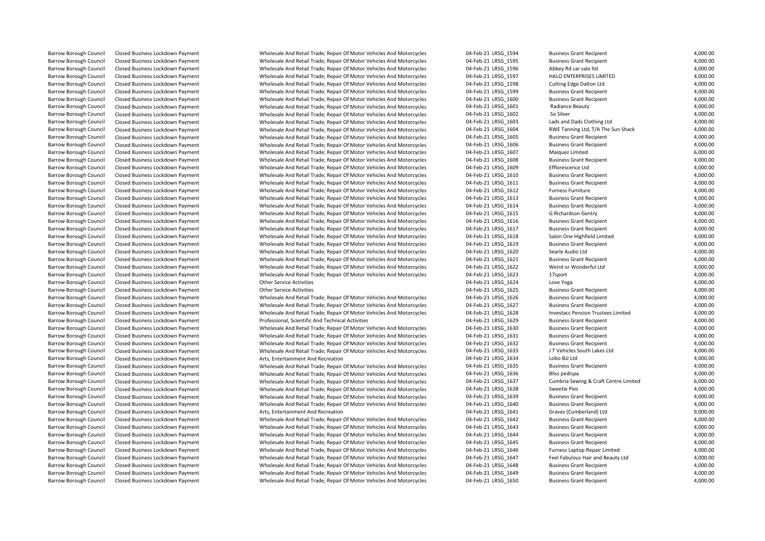| Barrow Borough Council        | Closed Business Lockdown Payment | Wholesale And Retail Trade; Repair Of Motor Vehicles And Motorcycles | 04-Feb-21 LRSG 1594 | <b>Business Grant Recipient</b>       | 4,000.00 |
|-------------------------------|----------------------------------|----------------------------------------------------------------------|---------------------|---------------------------------------|----------|
| <b>Barrow Borough Council</b> | Closed Business Lockdown Payment | Wholesale And Retail Trade; Repair Of Motor Vehicles And Motorcycles | 04-Feb-21 LRSG 1595 | <b>Business Grant Recipient</b>       | 4,000.00 |
| <b>Barrow Borough Council</b> | Closed Business Lockdown Payment | Wholesale And Retail Trade; Repair Of Motor Vehicles And Motorcycles | 04-Feb-21 LRSG 1596 | Abbey Rd car sale Itd                 | 4,000.00 |
| <b>Barrow Borough Council</b> | Closed Business Lockdown Payment | Wholesale And Retail Trade; Repair Of Motor Vehicles And Motorcycles | 04-Feb-21 LRSG 1597 | HALO ENTERPRISES LIMITED              | 4,000.00 |
| <b>Barrow Borough Council</b> | Closed Business Lockdown Payment | Wholesale And Retail Trade; Repair Of Motor Vehicles And Motorcycles | 04-Feb-21 LRSG 1598 | Cutting Edge Dalton Ltd               | 4,000.00 |
| Barrow Borough Council        | Closed Business Lockdown Payment | Wholesale And Retail Trade; Repair Of Motor Vehicles And Motorcycles | 04-Feb-21 LRSG 1599 | <b>Business Grant Recipient</b>       | 4,000.00 |
| <b>Barrow Borough Council</b> | Closed Business Lockdown Payment | Wholesale And Retail Trade; Repair Of Motor Vehicles And Motorcycles | 04-Feb-21 LRSG 1600 | <b>Business Grant Recipient</b>       | 4,000.00 |
| <b>Barrow Borough Council</b> | Closed Business Lockdown Payment | Wholesale And Retail Trade; Repair Of Motor Vehicles And Motorcycles | 04-Feb-21 LRSG 1601 | Radiance Beauty                       | 4,000.00 |
| Barrow Borough Council        | Closed Business Lockdown Payment | Wholesale And Retail Trade; Repair Of Motor Vehicles And Motorcycles | 04-Feb-21 LRSG 1602 | So Silver                             | 4,000.00 |
| Barrow Borough Council        | Closed Business Lockdown Payment | Wholesale And Retail Trade; Repair Of Motor Vehicles And Motorcycles | 04-Feb-21 LRSG 1603 | Lads and Dads Clothing Ltd            | 4,000.00 |
| <b>Barrow Borough Council</b> | Closed Business Lockdown Payment | Wholesale And Retail Trade; Repair Of Motor Vehicles And Motorcycles | 04-Feb-21 LRSG 1604 | RWE Tanning Ltd, T/A The Sun Shack    | 4,000.00 |
| <b>Barrow Borough Council</b> | Closed Business Lockdown Payment | Wholesale And Retail Trade; Repair Of Motor Vehicles And Motorcycles | 04-Feb-21 LRSG 1605 | <b>Business Grant Recipient</b>       | 4,000.00 |
| <b>Barrow Borough Council</b> | Closed Business Lockdown Payment | Wholesale And Retail Trade; Repair Of Motor Vehicles And Motorcycles | 04-Feb-21 LRSG 1606 | <b>Business Grant Recipient</b>       | 4,000.00 |
| <b>Barrow Borough Council</b> | Closed Business Lockdown Payment | Wholesale And Retail Trade; Repair Of Motor Vehicles And Motorcycles | 04-Feb-21 LRSG 1607 | Maiquez Limited                       | 6,000.00 |
| <b>Barrow Borough Council</b> | Closed Business Lockdown Payment | Wholesale And Retail Trade; Repair Of Motor Vehicles And Motorcycles | 04-Feb-21 LRSG 1608 | <b>Business Grant Recipient</b>       | 4,000.00 |
| <b>Barrow Borough Council</b> | Closed Business Lockdown Payment | Wholesale And Retail Trade; Repair Of Motor Vehicles And Motorcycles | 04-Feb-21 LRSG 1609 | Efflorescence Ltd                     | 4,000.00 |
| <b>Barrow Borough Council</b> | Closed Business Lockdown Payment | Wholesale And Retail Trade; Repair Of Motor Vehicles And Motorcycles | 04-Feb-21 LRSG 1610 | <b>Business Grant Recipient</b>       | 4,000.00 |
| <b>Barrow Borough Council</b> | Closed Business Lockdown Payment | Wholesale And Retail Trade; Repair Of Motor Vehicles And Motorcycles | 04-Feb-21 LRSG_1611 | <b>Business Grant Recipient</b>       | 4,000.00 |
| Barrow Borough Council        | Closed Business Lockdown Payment | Wholesale And Retail Trade; Repair Of Motor Vehicles And Motorcycles | 04-Feb-21 LRSG_1612 | Furness Furniture                     | 4,000.00 |
| Barrow Borough Council        | Closed Business Lockdown Payment | Wholesale And Retail Trade; Repair Of Motor Vehicles And Motorcycles | 04-Feb-21 LRSG 1613 | <b>Business Grant Recipient</b>       | 4,000.00 |
|                               |                                  |                                                                      |                     | <b>Business Grant Recipient</b>       | 4,000.00 |
| <b>Barrow Borough Council</b> | Closed Business Lockdown Payment | Wholesale And Retail Trade; Repair Of Motor Vehicles And Motorcycles | 04-Feb-21 LRSG 1614 |                                       |          |
| Barrow Borough Council        | Closed Business Lockdown Payment | Wholesale And Retail Trade; Repair Of Motor Vehicles And Motorcycles | 04-Feb-21 LRSG_1615 | G Richardson Gentry                   | 4,000.00 |
| <b>Barrow Borough Council</b> | Closed Business Lockdown Payment | Wholesale And Retail Trade; Repair Of Motor Vehicles And Motorcycles | 04-Feb-21 LRSG 1616 | <b>Business Grant Recipient</b>       | 4,000.00 |
| <b>Barrow Borough Council</b> | Closed Business Lockdown Payment | Wholesale And Retail Trade; Repair Of Motor Vehicles And Motorcycles | 04-Feb-21 LRSG 1617 | <b>Business Grant Recipient</b>       | 4,000.00 |
| Barrow Borough Council        | Closed Business Lockdown Payment | Wholesale And Retail Trade; Repair Of Motor Vehicles And Motorcycles | 04-Feb-21 LRSG_1618 | Salon One Highfield Limited           | 4,000.00 |
| <b>Barrow Borough Council</b> | Closed Business Lockdown Payment | Wholesale And Retail Trade; Repair Of Motor Vehicles And Motorcycles | 04-Feb-21 LRSG 1619 | <b>Business Grant Recipient</b>       | 4,000.00 |
| Barrow Borough Council        | Closed Business Lockdown Payment | Wholesale And Retail Trade; Repair Of Motor Vehicles And Motorcycles | 04-Feb-21 LRSG_1620 | Searle Audio Ltd                      | 4,000.00 |
| <b>Barrow Borough Council</b> | Closed Business Lockdown Payment | Wholesale And Retail Trade; Repair Of Motor Vehicles And Motorcycles | 04-Feb-21 LRSG 1621 | <b>Business Grant Recipient</b>       | 4,000.00 |
| <b>Barrow Borough Council</b> | Closed Business Lockdown Payment | Wholesale And Retail Trade; Repair Of Motor Vehicles And Motorcycles | 04-Feb-21 LRSG 1622 | Weird or Wonderful Ltd                | 4,000.00 |
| Barrow Borough Council        | Closed Business Lockdown Payment | Wholesale And Retail Trade; Repair Of Motor Vehicles And Motorcycles | 04-Feb-21 LRSG 1623 | 17sport                               | 4,000.00 |
| <b>Barrow Borough Council</b> | Closed Business Lockdown Payment | <b>Other Service Activities</b>                                      | 04-Feb-21 LRSG 1624 | Love Yoga                             | 4,000.00 |
| <b>Barrow Borough Council</b> | Closed Business Lockdown Payment | <b>Other Service Activities</b>                                      | 04-Feb-21 LRSG_1625 | <b>Business Grant Recipient</b>       | 4,000.00 |
| <b>Barrow Borough Council</b> | Closed Business Lockdown Payment | Wholesale And Retail Trade; Repair Of Motor Vehicles And Motorcycles | 04-Feb-21 LRSG 1626 | <b>Business Grant Recipient</b>       | 4,000.00 |
| <b>Barrow Borough Council</b> | Closed Business Lockdown Payment | Wholesale And Retail Trade; Repair Of Motor Vehicles And Motorcycles | 04-Feb-21 LRSG 1627 | <b>Business Grant Recipient</b>       | 4,000.00 |
| <b>Barrow Borough Council</b> | Closed Business Lockdown Payment | Wholesale And Retail Trade; Repair Of Motor Vehicles And Motorcycles | 04-Feb-21 LRSG_1628 | Investacc Pension Trustees Limited    | 4,000.00 |
| Barrow Borough Council        | Closed Business Lockdown Payment | Professional, Scientific And Technical Activities                    | 04-Feb-21 LRSG 1629 | <b>Business Grant Recipient</b>       | 4,000.00 |
| <b>Barrow Borough Council</b> | Closed Business Lockdown Payment | Wholesale And Retail Trade; Repair Of Motor Vehicles And Motorcycles | 04-Feb-21 LRSG_1630 | <b>Business Grant Recipient</b>       | 4,000.00 |
| Barrow Borough Council        | Closed Business Lockdown Payment | Wholesale And Retail Trade; Repair Of Motor Vehicles And Motorcycles | 04-Feb-21 LRSG_1631 | <b>Business Grant Recipient</b>       | 4,000.00 |
| Barrow Borough Council        | Closed Business Lockdown Payment | Wholesale And Retail Trade; Repair Of Motor Vehicles And Motorcycles | 04-Feb-21 LRSG 1632 | <b>Business Grant Recipient</b>       | 4,000.00 |
| <b>Barrow Borough Council</b> | Closed Business Lockdown Payment | Wholesale And Retail Trade; Repair Of Motor Vehicles And Motorcycles | 04-Feb-21 LRSG 1633 | J T Vehicles South Lakes Ltd          | 4,000.00 |
| Barrow Borough Council        | Closed Business Lockdown Payment | Arts, Entertainment And Recreation                                   | 04-Feb-21 LRSG_1634 | Lobo BJJ Ltd                          | 4,000.00 |
| Barrow Borough Council        | Closed Business Lockdown Payment | Wholesale And Retail Trade; Repair Of Motor Vehicles And Motorcycles | 04-Feb-21 LRSG_1635 | <b>Business Grant Recipient</b>       | 4,000.00 |
| Barrow Borough Council        | Closed Business Lockdown Payment | Wholesale And Retail Trade; Repair Of Motor Vehicles And Motorcycles | 04-Feb-21 LRSG_1636 | Bliss pedispa                         | 4,000.00 |
| Barrow Borough Council        | Closed Business Lockdown Payment | Wholesale And Retail Trade; Repair Of Motor Vehicles And Motorcycles | 04-Feb-21 LRSG 1637 | Cumbria Sewing & Craft Centre Limited | 6,000.00 |
| Barrow Borough Council        | Closed Business Lockdown Payment | Wholesale And Retail Trade; Repair Of Motor Vehicles And Motorcycles | 04-Feb-21 LRSG 1638 | <b>Sweetie Pies</b>                   | 4,000.00 |
| Barrow Borough Council        | Closed Business Lockdown Payment | Wholesale And Retail Trade; Repair Of Motor Vehicles And Motorcycles | 04-Feb-21 LRSG 1639 | <b>Business Grant Recipient</b>       | 4,000.00 |
| Barrow Borough Council        | Closed Business Lockdown Payment | Wholesale And Retail Trade; Repair Of Motor Vehicles And Motorcycles | 04-Feb-21 LRSG_1640 | <b>Business Grant Recipient</b>       | 4,000.00 |
| <b>Barrow Borough Council</b> | Closed Business Lockdown Payment | Arts, Entertainment And Recreation                                   | 04-Feb-21 LRSG 1641 | Graves (Cumberland) Ltd               | 9,000.00 |
| <b>Barrow Borough Council</b> | Closed Business Lockdown Payment | Wholesale And Retail Trade; Repair Of Motor Vehicles And Motorcycles | 04-Feb-21 LRSG 1642 | <b>Business Grant Recipient</b>       | 4,000.00 |
| Barrow Borough Council        | Closed Business Lockdown Payment | Wholesale And Retail Trade; Repair Of Motor Vehicles And Motorcycles | 04-Feb-21 LRSG_1643 | <b>Business Grant Recipient</b>       | 4,000.00 |
| Barrow Borough Council        | Closed Business Lockdown Payment | Wholesale And Retail Trade; Repair Of Motor Vehicles And Motorcycles | 04-Feb-21 LRSG 1644 | <b>Business Grant Recipient</b>       | 4,000.00 |
| <b>Barrow Borough Council</b> | Closed Business Lockdown Payment | Wholesale And Retail Trade; Repair Of Motor Vehicles And Motorcycles | 04-Feb-21 LRSG 1645 | <b>Business Grant Recipient</b>       | 4,000.00 |
| Barrow Borough Council        | Closed Business Lockdown Payment | Wholesale And Retail Trade; Repair Of Motor Vehicles And Motorcycles | 04-Feb-21 LRSG_1646 | Furness Laptop Repair Limited         | 4,000.00 |
| <b>Barrow Borough Council</b> | Closed Business Lockdown Payment | Wholesale And Retail Trade; Repair Of Motor Vehicles And Motorcycles | 04-Feb-21 LRSG 1647 | Feel Fabulous Hair and Beauty Ltd     | 4,000.00 |
| Barrow Borough Council        | Closed Business Lockdown Payment | Wholesale And Retail Trade; Repair Of Motor Vehicles And Motorcycles | 04-Feb-21 LRSG_1648 | <b>Business Grant Recipient</b>       | 4,000.00 |
| <b>Barrow Borough Council</b> | Closed Business Lockdown Payment | Wholesale And Retail Trade; Repair Of Motor Vehicles And Motorcycles | 04-Feb-21 LRSG 1649 | <b>Business Grant Recipient</b>       | 4,000.00 |
| <b>Barrow Borough Council</b> | Closed Business Lockdown Payment | Wholesale And Retail Trade; Repair Of Motor Vehicles And Motorcycles | 04-Feb-21 LRSG 1650 | <b>Business Grant Recipient</b>       | 4.000.00 |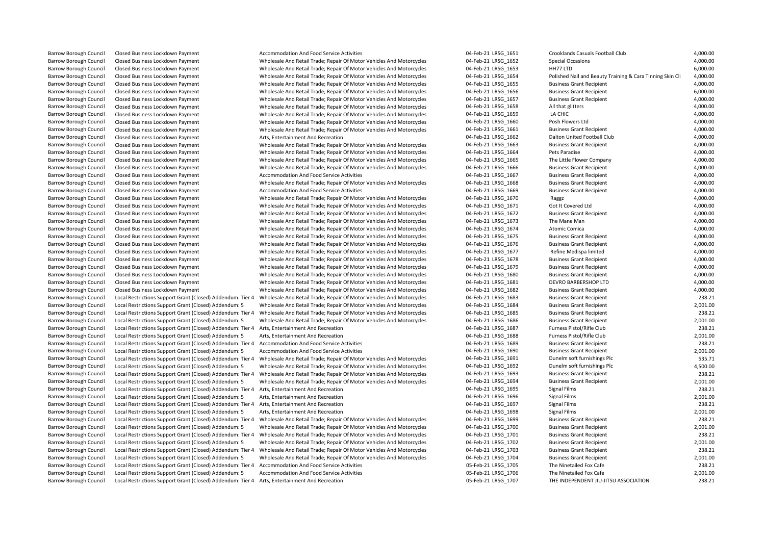Barrow Borough Council Local Restrictions Support Grant (Closed) Addendum: Tier 4 Arts, Entertainment And Recreation 238.21 Samples and the Unity of Feb-21 LRSG\_1707 THE INDEPENDENT JIU-JITSU ASSOCIATION 238.21

Barrow Barrow Business Lockholesale And Retail Trade; Repair Of Motor Vehicles And Motorcycles

Barrow Borough Council Closed Business Lockdown Payment Wholesale And Retail Trade; Repair Of Motor Vehicles And Motorcycles Barrow Borough Council Closed Business Lockdown Payment Wholesale And Retail Trade; Repair Of Motor Vehicles And Motorcycles Barrow Borough Council Closed Business Council Closed Business Council Closed Business Council Closed Business Council Closed Business Grant Recipient Closed Business Grant Recipient Closed Business Grant Recipient 4,000.0 Barrow Borough Council Local Restrictions Support Grant (Closed) Addendum: 5 Wholesale And Retail Trade; Repair Of Motor Vehicles And Motorcycles 04-Feb-21 LRSG 1686 Business Grant Recipient Barrow Borough Council Local Restrictions Support Grant (Closed) Addendum: 5 Accommodation And Food Service Activities 04-Feb-21 LRSG 1690 Business Grant Recipient Barrow Borough Council Local Restrictions Support Grant (Closed) Addendum: Tier 4 Wholesale And Retail Trade; Repair Of Motor Vehicles And Motorcycles Barrow Borough Council Local Restrictions Support Grant (Closed) Addendum: Tier 4 Wholesale And Retail Trade: Repair Of Motor Vehicles And Motorcycles Local Restrictions Support Grant (Closed) Addendum: Tier 4 Accommodation And Food Service Activities

Barrow Borough Council Closed Business Lockdown Payment **Accommodation And Food Service Activities** 04-Feb-21 LRSG\_1651 Crooklands Casuals Football Club 4,000.00 Barrow Borough Council Closed Business Lockdown Payment Materic Wholesale And Retail Trade; Repair Of Motor Vehicles And Motorcycles 04-Feb-21 LRSG\_1652 Special Occasions 4,000.00 4,000.00<br>Barrow Borough Council Closed Bus Barrow Borough Council Closed Business Lockdown Payment Molesale And Retail Trade; Repair Of Motor Vehicles And Motorcycles 04-Feb-21 LRSG\_1653 HH77 LTD 6,000.00<br>Barrow Borough Council Closed Business Lockdown Payment Whol Barrow Barrow Borough Council Closed Business Lockiness Lockdown Payment Payment Payment Payment Payment Payment Closed Business And Motorcycles 04-Feb-21 LRSG\_1654 Polished Nail and Beauty Training & Cara Tinning Skin Cli Barrow Borough Council Closed Business Lockdown Payment 1997 and Motolesale And Retail Trade; Repair Of Motor Vehicles And Motorcycles 1997-1997 1898-1655 Business Grant Recipient 1997-1997 4,000.00 4-Feb-21 LRSG\_1655 Busi Barrow Borough Council Closed Business Lockdown Payment Matern Wholesale And Retail Trade; Repair Of Motor Vehicles And Motorcycles 04-Feb-21 LRSG\_1656 Business Grant Recipient 6,000.00<br>Barrow Borough Council Closed Busine Barrow Borough Council Closed Business Lockdown Payment 1990.00 Wholesale And Retail Trade; Repair Of Motor Vehicles And Motorcycles 04-Feb-21 LRSG\_1657 Business Grant Recipient 4,000.00 4,000.00 4,000.00 4,000.00 4,000.00 Barrow Borough Council Closed Business Lockdown Payment Mholesale And Retail Trade; Repair Of Motor Vehicles And Motorcycles 04-Feb-21 LRSG 1659 LA CHIC 4,000.00 Barrow Borough Council Closed Business Lockdown Payment Wholesale And Retail Trade; Repair Of Motor Vehicles And Motorcycles 04-Feb-21 LRSG 1660 Posh Flowers Ltd 4,000.00 4-Feb-21 LRSG 1660 Posh Flowers Ltd 4,000.00 Barrow Borough Council Closed Business Lockdown Payment and the Motesale And Retail Trade; Repair Of Motor Vehicles And Motorcycles and Trade; Payment 04-Feb-21 LRSG\_1661 Business Grant Recipient 4,000.00<br>Barrow Borough Co Barrow Borough Council Closed Business Lockdown Payment Arts, Entertainment And Recreation Arts, Entertainment And Recreation Dalton Dalton Dalton United Football Club 4,000.00 4,000.00 Barrow Borough Council Closed Business Lockdown Payment Motor Motesale And Retail Trade; Repair Of Motor Vehicles And Motorcycles 04-Feb-21 LRSG\_1663 Business Grant Recipient 4,000.00<br>Barrow Borough Council Closed Business Barrow Borough Council Closed Business Lockdown Payment Motor Wholesale And Retail Trade; Repair Of Motor Vehicles And Motorcycles 04-Feb-21 LRSG\_1664 Pets Paradise Paradise 4,000.00<br>Barrow Borough Council Closed Business Barrow Borough Council Closed Business Lockdown Payment Wholesale And Retail Trade; Repair Of Motor Vehicles And Motorcycles 04-Feb-21 LRSG 1665 The Little Flower Company 4,000.00 Barrow Borough Council Closed Business Lockdown Payment 1990.00 Wholesale And Retail Trade; Repair Of Motor Vehicles And Motorcycles 1997-1997 1897-1898 Business Grant Recipient 4,000.00 4,000.00 4,000.00 4,000.00 4,000.00 Barrow Borough Council Closed Business Lockdown Payment **Accommodation And Food Service Activities** 04-Feb-21 LRSG\_1667 Business Grant Recipient 4,000.00 Barrow Borough Council Closed Business Lockdown Payment 1990.00 Wholesale And Retail Trade; Repair Of Motor Vehicles And Motorcycles 04-Feb-21 LRSG\_1668 Business Grant Recipient 4,000.00 4,000.00 4,000.00 4,000.00 4,000.00 Barrow Borough Council Closed Business Lockdown Payment Accommodation And Food Service Activities **04-Feb-21 LRSG\_1669** Business Grant Recipient 4,000.00 Barrow Borough Council Closed Business Lockdown Payment Molesale And Retail Trade; Repair Of Motor Vehicles And Motorcycles 04-Feb-21 LRSG\_1670 Raggz 4,000.00<br>Barrow Borough Council Closed Business Lockdown Payment Wholesa Barrow Borough Council Closed Business Lockdown Payment Molesale And Retail Trade; Repair Of Motor Vehicles And Motorcycles 04-Feb-21 LRSG\_1671 Got It Covered Ltd Covered Ltd 4,000.00 4,000.00<br>Barrow Borough Council Closed Barrow Borough Council Closed Business Lockholm Council Closed Business And Recipient Automobiles And Retail Trade; Repair Of Motor Vehicles And Motorcycles 04-Feb-21 LRSG\_1672 Business Grant Recipient 4,000.00<br>1,000.000 B Barrow Borough Council Closed Business Lockdown Payment Molesale And Retail Trade; Repair Of Motor Vehicles And Motorcycles 04-Feb-21 LRSG\_1674 Atomic Comica and Retail And And And And And Atomic Comica 4,000.00<br>Barrow Bor Barrow Borough Council Closed Business Lockdown Payment 1990.00 Wholesale And Retail Trade; Repair Of Motor Vehicles And Motorcycles 04-Feb-21 LRSG\_1675 Business Grant Recipient 4,000.00 4,000.00 4,000.00 Business Grant Re Barrow Borough Council Closed Business Lockdown Payment Wholesale And Retail Trade; Repair Of Motor Vehicles And Motorcycles 04-Feb-21 LRSG 1677 Refine Medispa limited 4,000.00 Barrow Borough Council Closed Business Lockdown Payment 1997 - 1,000.00 Wholesale And Retail Trade; Repair Of Motor Vehicles And Motorcycles 1998-04-Feb-21 LRSG\_1678 Business Grant Recipient 4,000.00 4-7,000.00 Business Gr Barrow Borough Council Closed Business Lockdown Payment 1990.00 Wholesale And Retail Trade; Repair Of Motor Vehicles And Motorcycles 04-Feb-21 LRSG\_1679 Business Grant Recipient 4,000.00 4,000.00 4,000.00 Business Grant Re Barrow Borough Council Closed Business Lockdown Payment Molesale And Retail Trade; Repair Of Motor Vehicles And Motorcycles 04-Feb-21 LRSG\_1681 DEVRO BARBERSHOP LTD 4,000.00 4,000.00<br>Barrow Borough Council Closed Business Barrow Borough Council Closed Business Lockdown Payment Wholesale And Retail Trade; Repair Of Motor Vehicles And Motorcycles 04-Feb-21 LRSG\_1682 Business Grant Recipient 4,000.00 4,000.00<br>Barrow Borough Council Local Restr Barrow Borough Council Local Restrictions Support Grant (Closed) Addendum: Tier 4 Wholesale And Retail Trade; Repair Of Motor Vehicles And Motorcycles 04-Feb-21 LRSG\_1683 Business Grant Recipient 238.21 238.21 Business Gra Barrow Barrow Borough Council Council Council Council Council Council Council Council Council Adden And Restrict<br>128.21 Business Grant Recipient Council Council Council Council Council Council Council Council Council Counc Barrow Borough Council Local Restrictions Support Grant (Closed) Addendum: Tier 4 Wholesale And Retail Trade; Repair Of Motor Vehicles And Motorcycles 04-Feb-21 LRSG\_1685 Business Grant Recipient 238.21 238.21 Barrow Borou Barrow Borough Council Local Restrictions Support Grant (Closed) Addendum: Tier 4 Arts, Entertainment And Recreation and the creation of the state of the state of the 238.21 Capacity Club 238.21 and the creation of the sta Example Council Council Council Council Council Council Council Council Council Council Council Council Council Council Council Council Council Council Council Council Council Council Council Council Council Council Counci Barrow Borough Council Local Restrictions Support Grant (Closed) Addendum: Tier 4 Accommodation And Food Service Activities and the state of the state of the Service Activities of the Service Activities and the Service Act Barrow Borough Council Local Restrictions Support Grant (Closed) Addendum: Tier 4 Wholesale And Retail Trade; Repair Of Motor Vehicles And Motorcycles 04-Feb-21 LRSG 1691 Dunelm soft furnishings Plc 535.71 Dunelm soft furn Barrow Borough Council Local Restrictions Support Grant (Closed) Addendum: 5 Wholesale And Retail Trade; Repair Of Motor Vehicles And Motorcycles 04-Feb-21 LRSG\_1692 Dunelm soft furnishings Plc 4,500.00<br>Barrow Borough Coun Barrow Borough Council Local Restrictions Support Grant (Closed) Addendum: 5 Wholesale And Retail Trade; Repair Of Motor Vehicles And Motorcycles 04-Feb-21 LRSG 1694 Business Grant Recipient 2,001.00 Barrow Borough Council Local Restrictions Support Grant (Closed) Addendum: Tier 4 Arts, Entertainment And Recreation 218.21 Council 04-Feb-21 LRSG 1695 Signal Films 238.21 Barrow Borough Council Local Restrictions Support Grant (Closed) Addendum: 5 Arts, Entertainment And Recreation and the creation of the state of the state of the Signal Films 2,001.00<br>Barrow Borough Council Local Restricti Barrow Borough Council Local Restrictions Support Grant (Closed) Addendum: Tier 4 Arts, Entertainment And Recreation 2004-7 and 2004-Feb-21 LRSG 1697 Signal Films 238.21 Signal Films Barrow Borough Council Local Restrictions Support Grant (Closed) Addendum: 5 Arts, Entertainment And Recreation 2001.00 Barrow Borough Council Local Restrictions Support Grant (Closed) Addendum: Tier 4 Wholesale And Retail Trade; Repair Of Motor Vehicles And Motorcycles 04-Feb-21 LRSG 1699 Business Grant Recipient 238.21 Barrow Borough Council Local Restrictions Support Grant (Closed) Addendum: 5 Wholesale And Retail Trade; Repair Of Motor Vehicles And Motorcycles 04-Feb-21 LRSG\_1700 Business Grant Recipient 2,001.00 2,001.00<br>Barrow Boroug Barrow Borough Council Local Restrictions Support Grant (Closed) Addendum: 5 Wholesale And Retail Trade; Repair Of Motor Vehicles And Motorcycles 04-Feb-21 LRSG 1702 Business Grant Recipient 2,001.00 Barrow Borough Council Local Restrictions Support Grant (Closed) Addendum: Tier 4 Wholesale And Retail Trade; Repair Of Motor Vehicles And Motorcycles 04-Feb-21 LRSG 1703 Business Grant Recipient 238.21 Barrow Borough Council Local Restrictions Support Grant (Closed) Addendum: 5 Wholesale And Retail Trade; Repair Of Motor Vehicles And Motorcycles 04-Feb-21 LRSG\_1704 Business Grant Recipient 2,001.00<br>Barrow Borough Council Barrow Borough Council Local Restrictions Support Grant (Closed) Addendum: 5 Accommodation And Food Service Activities 05-Feb-21 LRSG 1706 The Ninetailed Fox Cafe 2,001.00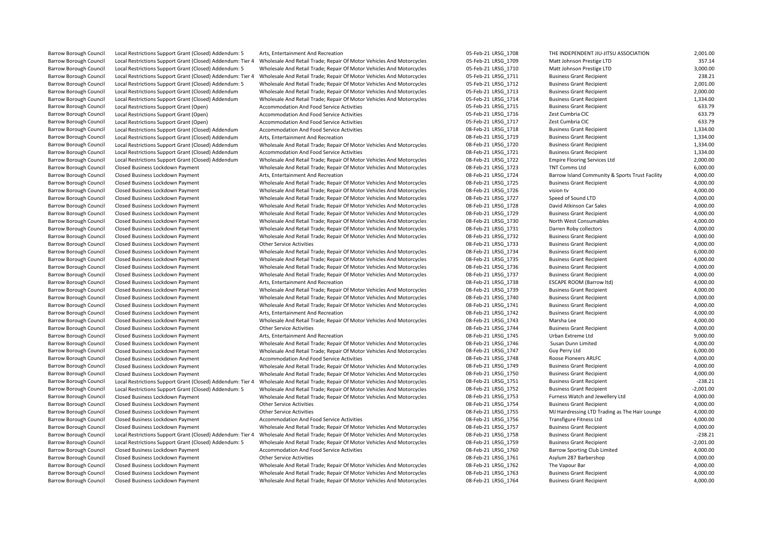| <b>Barrow Borough Council</b> | Local Restrictions Support Grant (Closed) Addendum: 5      | Arts, Entertainment And Recreation                                   | 05-Feb-21 LRSG 1708 | THE INDEPENDENT JIU-JITSU ASSOCIATION           | 2,001.00    |
|-------------------------------|------------------------------------------------------------|----------------------------------------------------------------------|---------------------|-------------------------------------------------|-------------|
| <b>Barrow Borough Council</b> | Local Restrictions Support Grant (Closed) Addendum: Tier 4 | Wholesale And Retail Trade; Repair Of Motor Vehicles And Motorcycles | 05-Feb-21 LRSG 1709 | Matt Johnson Prestige LTD                       | 357.14      |
| <b>Barrow Borough Council</b> | Local Restrictions Support Grant (Closed) Addendum: 5      | Wholesale And Retail Trade; Repair Of Motor Vehicles And Motorcycles | 05-Feb-21 LRSG 1710 | Matt Johnson Prestige LTD                       | 3,000.00    |
| <b>Barrow Borough Council</b> | Local Restrictions Support Grant (Closed) Addendum: Tier 4 | Wholesale And Retail Trade; Repair Of Motor Vehicles And Motorcycles | 05-Feb-21 LRSG 1711 | <b>Business Grant Recipient</b>                 | 238.21      |
| <b>Barrow Borough Council</b> | Local Restrictions Support Grant (Closed) Addendum: 5      | Wholesale And Retail Trade; Repair Of Motor Vehicles And Motorcycles | 05-Feb-21 LRSG 1712 | <b>Business Grant Recipient</b>                 | 2,001.00    |
| <b>Barrow Borough Council</b> | Local Restrictions Support Grant (Closed) Addendum         | Wholesale And Retail Trade; Repair Of Motor Vehicles And Motorcycles | 05-Feb-21 LRSG_1713 | <b>Business Grant Recipient</b>                 | 2,000.00    |
| <b>Barrow Borough Council</b> | Local Restrictions Support Grant (Closed) Addendum         | Wholesale And Retail Trade; Repair Of Motor Vehicles And Motorcycles | 05-Feb-21 LRSG 1714 | <b>Business Grant Recipient</b>                 | 1,334.00    |
| <b>Barrow Borough Council</b> | Local Restrictions Support Grant (Open)                    | Accommodation And Food Service Activities                            | 05-Feb-21 LRSG 1715 | <b>Business Grant Recipient</b>                 | 633.79      |
| <b>Barrow Borough Council</b> | Local Restrictions Support Grant (Open)                    | Accommodation And Food Service Activities                            | 05-Feb-21 LRSG 1716 | Zest Cumbria CIC                                | 633.79      |
| <b>Barrow Borough Council</b> | Local Restrictions Support Grant (Open)                    | Accommodation And Food Service Activities                            | 05-Feb-21 LRSG 1717 | Zest Cumbria CIC                                | 633.79      |
| <b>Barrow Borough Council</b> | Local Restrictions Support Grant (Closed) Addendum         | Accommodation And Food Service Activities                            | 08-Feb-21 LRSG 1718 | <b>Business Grant Recipient</b>                 | 1,334.00    |
| <b>Barrow Borough Council</b> | Local Restrictions Support Grant (Closed) Addendum         | Arts, Entertainment And Recreation                                   | 08-Feb-21 LRSG 1719 | <b>Business Grant Recipient</b>                 | 1,334.00    |
| <b>Barrow Borough Council</b> | Local Restrictions Support Grant (Closed) Addendum         | Wholesale And Retail Trade; Repair Of Motor Vehicles And Motorcycles | 08-Feb-21 LRSG 1720 | <b>Business Grant Recipient</b>                 | 1,334.00    |
| <b>Barrow Borough Council</b> | Local Restrictions Support Grant (Closed) Addendum         | Accommodation And Food Service Activities                            | 08-Feb-21 LRSG 1721 | <b>Business Grant Recipient</b>                 | 1,334.00    |
| <b>Barrow Borough Council</b> | Local Restrictions Support Grant (Closed) Addendum         | Wholesale And Retail Trade; Repair Of Motor Vehicles And Motorcycles | 08-Feb-21 LRSG 1722 | <b>Empire Flooring Services Ltd</b>             | 2,000.00    |
| <b>Barrow Borough Council</b> | Closed Business Lockdown Payment                           | Wholesale And Retail Trade; Repair Of Motor Vehicles And Motorcycles | 08-Feb-21 LRSG 1723 | <b>TNT Comms Ltd</b>                            | 6,000.00    |
|                               |                                                            |                                                                      |                     |                                                 | 4,000.00    |
| <b>Barrow Borough Council</b> | Closed Business Lockdown Payment                           | Arts, Entertainment And Recreation                                   | 08-Feb-21 LRSG 1724 | Barrow Island Community & Sports Trust Facility |             |
| <b>Barrow Borough Council</b> | Closed Business Lockdown Payment                           | Wholesale And Retail Trade; Repair Of Motor Vehicles And Motorcycles | 08-Feb-21 LRSG 1725 | <b>Business Grant Recipient</b>                 | 4,000.00    |
| <b>Barrow Borough Council</b> | Closed Business Lockdown Payment                           | Wholesale And Retail Trade; Repair Of Motor Vehicles And Motorcycles | 08-Feb-21 LRSG 1726 | vision tv                                       | 4,000.00    |
| <b>Barrow Borough Council</b> | Closed Business Lockdown Payment                           | Wholesale And Retail Trade; Repair Of Motor Vehicles And Motorcycles | 08-Feb-21 LRSG 1727 | Speed of Sound LTD                              | 4,000.00    |
| <b>Barrow Borough Council</b> | Closed Business Lockdown Payment                           | Wholesale And Retail Trade; Repair Of Motor Vehicles And Motorcycles | 08-Feb-21 LRSG 1728 | David Atkinson Car Sales                        | 4,000.00    |
| Barrow Borough Council        | Closed Business Lockdown Payment                           | Wholesale And Retail Trade; Repair Of Motor Vehicles And Motorcycles | 08-Feb-21 LRSG_1729 | <b>Business Grant Recipient</b>                 | 4,000.00    |
| <b>Barrow Borough Council</b> | Closed Business Lockdown Payment                           | Wholesale And Retail Trade; Repair Of Motor Vehicles And Motorcycles | 08-Feb-21 LRSG 1730 | North West Consumables                          | 4,000.00    |
| <b>Barrow Borough Council</b> | Closed Business Lockdown Payment                           | Wholesale And Retail Trade; Repair Of Motor Vehicles And Motorcycles | 08-Feb-21 LRSG 1731 | Darren Roby collectors                          | 4,000.00    |
| <b>Barrow Borough Council</b> | Closed Business Lockdown Payment                           | Wholesale And Retail Trade; Repair Of Motor Vehicles And Motorcycles | 08-Feb-21 LRSG_1732 | <b>Business Grant Recipient</b>                 | 4,000.00    |
| <b>Barrow Borough Council</b> | Closed Business Lockdown Payment                           | <b>Other Service Activities</b>                                      | 08-Feb-21 LRSG 1733 | <b>Business Grant Recipient</b>                 | 4,000.00    |
| <b>Barrow Borough Council</b> | Closed Business Lockdown Payment                           | Wholesale And Retail Trade; Repair Of Motor Vehicles And Motorcycles | 08-Feb-21 LRSG_1734 | <b>Business Grant Recipient</b>                 | 6,000.00    |
| <b>Barrow Borough Council</b> | Closed Business Lockdown Payment                           | Wholesale And Retail Trade; Repair Of Motor Vehicles And Motorcycles | 08-Feb-21 LRSG 1735 | <b>Business Grant Recipient</b>                 | 4,000.00    |
| <b>Barrow Borough Council</b> | Closed Business Lockdown Payment                           | Wholesale And Retail Trade; Repair Of Motor Vehicles And Motorcycles | 08-Feb-21 LRSG 1736 | <b>Business Grant Recipient</b>                 | 4,000.00    |
| Barrow Borough Council        | Closed Business Lockdown Payment                           | Wholesale And Retail Trade; Repair Of Motor Vehicles And Motorcycles | 08-Feb-21 LRSG 1737 | <b>Business Grant Recipient</b>                 | 4,000.00    |
| <b>Barrow Borough Council</b> | Closed Business Lockdown Payment                           | Arts, Entertainment And Recreation                                   | 08-Feb-21 LRSG 1738 | ESCAPE ROOM (Barrow Itd)                        | 4,000.00    |
| <b>Barrow Borough Council</b> | Closed Business Lockdown Payment                           | Wholesale And Retail Trade; Repair Of Motor Vehicles And Motorcycles | 08-Feb-21 LRSG 1739 | <b>Business Grant Recipient</b>                 | 4,000.00    |
| <b>Barrow Borough Council</b> | Closed Business Lockdown Payment                           | Wholesale And Retail Trade; Repair Of Motor Vehicles And Motorcycles | 08-Feb-21 LRSG 1740 | <b>Business Grant Recipient</b>                 | 4,000.00    |
| <b>Barrow Borough Council</b> | Closed Business Lockdown Payment                           | Wholesale And Retail Trade; Repair Of Motor Vehicles And Motorcycles | 08-Feb-21 LRSG 1741 | <b>Business Grant Recipient</b>                 | 4,000.00    |
| <b>Barrow Borough Council</b> | Closed Business Lockdown Payment                           | Arts, Entertainment And Recreation                                   | 08-Feb-21 LRSG_1742 | <b>Business Grant Recipient</b>                 | 4,000.00    |
| <b>Barrow Borough Council</b> | Closed Business Lockdown Payment                           | Wholesale And Retail Trade; Repair Of Motor Vehicles And Motorcycles | 08-Feb-21 LRSG 1743 | Marsha Lee                                      | 4,000.00    |
| <b>Barrow Borough Council</b> | Closed Business Lockdown Payment                           | <b>Other Service Activities</b>                                      | 08-Feb-21 LRSG 1744 | <b>Business Grant Recipient</b>                 | 4,000.00    |
| <b>Barrow Borough Council</b> | Closed Business Lockdown Payment                           | Arts, Entertainment And Recreation                                   | 08-Feb-21 LRSG_1745 | Urban Extreme Ltd                               | 9,000.00    |
| <b>Barrow Borough Council</b> | Closed Business Lockdown Payment                           | Wholesale And Retail Trade; Repair Of Motor Vehicles And Motorcycles | 08-Feb-21 LRSG 1746 | Susan Dunn Limited                              | 4,000.00    |
| <b>Barrow Borough Council</b> | Closed Business Lockdown Payment                           | Wholesale And Retail Trade; Repair Of Motor Vehicles And Motorcycles | 08-Feb-21 LRSG 1747 | Guy Perry Ltd                                   | 6,000.00    |
| <b>Barrow Borough Council</b> | Closed Business Lockdown Payment                           | Accommodation And Food Service Activities                            | 08-Feb-21 LRSG_1748 | <b>Roose Pioneers ARLFC</b>                     | 4,000.00    |
| <b>Barrow Borough Council</b> | Closed Business Lockdown Payment                           | Wholesale And Retail Trade; Repair Of Motor Vehicles And Motorcycles | 08-Feb-21 LRSG_1749 | <b>Business Grant Recipient</b>                 | 4,000.00    |
| <b>Barrow Borough Council</b> | Closed Business Lockdown Payment                           | Wholesale And Retail Trade; Repair Of Motor Vehicles And Motorcycles | 08-Feb-21 LRSG 1750 | <b>Business Grant Recipient</b>                 | 4,000.00    |
| <b>Barrow Borough Council</b> | Local Restrictions Support Grant (Closed) Addendum: Tier 4 | Wholesale And Retail Trade; Repair Of Motor Vehicles And Motorcycles | 08-Feb-21 LRSG 1751 | <b>Business Grant Recipient</b>                 | $-238.21$   |
| <b>Barrow Borough Council</b> | Local Restrictions Support Grant (Closed) Addendum: 5      | Wholesale And Retail Trade; Repair Of Motor Vehicles And Motorcycles | 08-Feb-21 LRSG_1752 | <b>Business Grant Recipient</b>                 | $-2,001.00$ |
| <b>Barrow Borough Council</b> | Closed Business Lockdown Payment                           | Wholesale And Retail Trade; Repair Of Motor Vehicles And Motorcycles | 08-Feb-21 LRSG 1753 | Furness Watch and Jewellery Ltd                 | 4,000.00    |
| <b>Barrow Borough Council</b> | Closed Business Lockdown Payment                           | <b>Other Service Activities</b>                                      | 08-Feb-21 LRSG_1754 | <b>Business Grant Recipient</b>                 | 4,000.00    |
| <b>Barrow Borough Council</b> | Closed Business Lockdown Payment                           | <b>Other Service Activities</b>                                      | 08-Feb-21 LRSG 1755 | MJ Hairdressing LTD Trading as The Hair Lounge  | 4,000.00    |
| <b>Barrow Borough Council</b> | Closed Business Lockdown Payment                           | Accommodation And Food Service Activities                            | 08-Feb-21 LRSG 1756 | <b>Transfigure Fitness Ltd</b>                  | 4,000.00    |
| <b>Barrow Borough Council</b> | Closed Business Lockdown Payment                           | Wholesale And Retail Trade; Repair Of Motor Vehicles And Motorcycles | 08-Feb-21 LRSG_1757 | <b>Business Grant Recipient</b>                 | 4,000.00    |
| <b>Barrow Borough Council</b> | Local Restrictions Support Grant (Closed) Addendum: Tier 4 | Wholesale And Retail Trade; Repair Of Motor Vehicles And Motorcycles | 08-Feb-21 LRSG 1758 | <b>Business Grant Recipient</b>                 | $-238.21$   |
| <b>Barrow Borough Council</b> | Local Restrictions Support Grant (Closed) Addendum: 5      | Wholesale And Retail Trade; Repair Of Motor Vehicles And Motorcycles | 08-Feb-21 LRSG_1759 | <b>Business Grant Recipient</b>                 | $-2,001.00$ |
| <b>Barrow Borough Council</b> | Closed Business Lockdown Payment                           | Accommodation And Food Service Activities                            | 08-Feb-21 LRSG 1760 | Barrow Sporting Club Limited                    | 4,000.00    |
| <b>Barrow Borough Council</b> | Closed Business Lockdown Payment                           | <b>Other Service Activities</b>                                      | 08-Feb-21 LRSG 1761 | Asylum 287 Barbershop                           | 4,000.00    |
| <b>Barrow Borough Council</b> | Closed Business Lockdown Payment                           | Wholesale And Retail Trade; Repair Of Motor Vehicles And Motorcycles | 08-Feb-21 LRSG_1762 | The Vapour Bar                                  | 4,000.00    |
| <b>Barrow Borough Council</b> | Closed Business Lockdown Payment                           | Wholesale And Retail Trade; Repair Of Motor Vehicles And Motorcycles | 08-Feb-21 LRSG 1763 | <b>Business Grant Recipient</b>                 | 4,000.00    |
| <b>Barrow Borough Council</b> | Closed Business Lockdown Payment                           | Wholesale And Retail Trade; Repair Of Motor Vehicles And Motorcycles | 08-Feb-21 LRSG 1764 | <b>Business Grant Recipient</b>                 | 4.000.00    |
|                               |                                                            |                                                                      |                     |                                                 |             |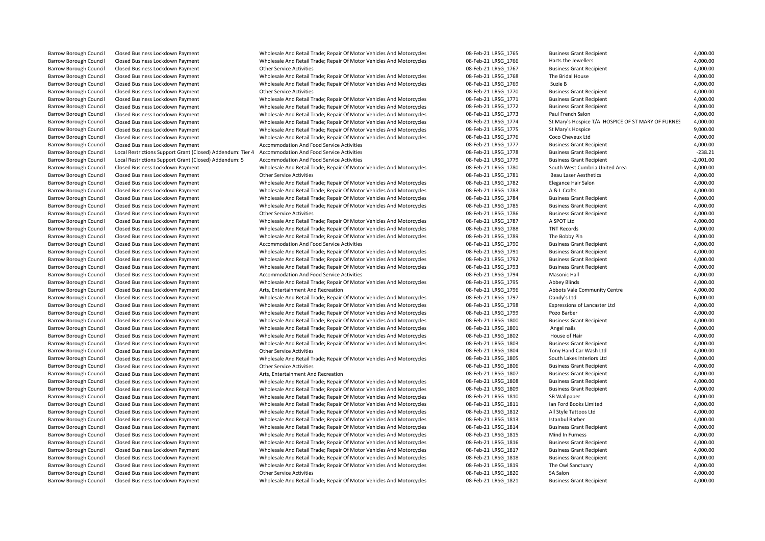Barrow Borough Council Closed Business Lockdown Payment Wholesale And Retail Trade; Repair Of Motor Vehicles And Motorcycles 08-Feb-21 LRSG 1821 Business Grant Recipient 4,000.00

| Barrow Borough Council        | Closed Business Lockdown Payment                           | Wholesale And Retail Trade; Repair Of Motor Vehicles And Motorcycles     | 08-Feb-21 LRSG_1765 | <b>Business Grant Recipient</b>                    | 4,000.00             |
|-------------------------------|------------------------------------------------------------|--------------------------------------------------------------------------|---------------------|----------------------------------------------------|----------------------|
| Barrow Borough Council        | Closed Business Lockdown Payment                           | Wholesale And Retail Trade; Repair Of Motor Vehicles And Motorcycles     | 08-Feb-21 LRSG 1766 | Harts the Jewellers                                | 4,000.00             |
| <b>Barrow Borough Council</b> | Closed Business Lockdown Payment                           | <b>Other Service Activities</b>                                          | 08-Feb-21 LRSG 1767 | <b>Business Grant Recipient</b>                    | 4,000.00             |
| <b>Barrow Borough Council</b> | Closed Business Lockdown Payment                           | Wholesale And Retail Trade; Repair Of Motor Vehicles And Motorcycles     | 08-Feb-21 LRSG 1768 | The Bridal House                                   | 4,000.00             |
| <b>Barrow Borough Council</b> | Closed Business Lockdown Payment                           | Wholesale And Retail Trade; Repair Of Motor Vehicles And Motorcycles     | 08-Feb-21 LRSG 1769 | Suzie B                                            | 4,000.00             |
| Barrow Borough Council        | Closed Business Lockdown Payment                           | <b>Other Service Activities</b>                                          | 08-Feb-21 LRSG_1770 | <b>Business Grant Recipient</b>                    | 4,000.00             |
| <b>Barrow Borough Council</b> | Closed Business Lockdown Payment                           | Wholesale And Retail Trade; Repair Of Motor Vehicles And Motorcycles     | 08-Feb-21 LRSG 1771 | <b>Business Grant Recipient</b>                    | 4,000.00             |
| <b>Barrow Borough Council</b> | Closed Business Lockdown Payment                           | Wholesale And Retail Trade; Repair Of Motor Vehicles And Motorcycles     | 08-Feb-21 LRSG 1772 | <b>Business Grant Recipient</b>                    | 4,000.00             |
| <b>Barrow Borough Council</b> | Closed Business Lockdown Payment                           | Wholesale And Retail Trade; Repair Of Motor Vehicles And Motorcycles     | 08-Feb-21 LRSG 1773 | Paul French Salon                                  | 4,000.00             |
| <b>Barrow Borough Council</b> | Closed Business Lockdown Payment                           | Wholesale And Retail Trade; Repair Of Motor Vehicles And Motorcycles     | 08-Feb-21 LRSG 1774 | St Mary's Hospice T/A HOSPICE OF ST MARY OF FURNES | 4,000.00             |
| <b>Barrow Borough Council</b> | Closed Business Lockdown Payment                           | Wholesale And Retail Trade; Repair Of Motor Vehicles And Motorcycles     | 08-Feb-21 LRSG 1775 | St Mary's Hospice                                  | 9,000.00             |
| Barrow Borough Council        | Closed Business Lockdown Payment                           | Wholesale And Retail Trade; Repair Of Motor Vehicles And Motorcycles     | 08-Feb-21 LRSG_1776 | Coco Cheveux Ltd                                   | 4,000.00             |
| Barrow Borough Council        | Closed Business Lockdown Payment                           | Accommodation And Food Service Activities                                | 08-Feb-21 LRSG 1777 | <b>Business Grant Recipient</b>                    | 4,000.00             |
| <b>Barrow Borough Council</b> | Local Restrictions Support Grant (Closed) Addendum: Tier 4 | Accommodation And Food Service Activities                                | 08-Feb-21 LRSG 1778 | <b>Business Grant Recipient</b>                    | $-238.21$            |
| <b>Barrow Borough Council</b> | Local Restrictions Support Grant (Closed) Addendum: 5      | Accommodation And Food Service Activities                                | 08-Feb-21 LRSG 1779 | <b>Business Grant Recipient</b>                    | $-2,001.00$          |
| Barrow Borough Council        | Closed Business Lockdown Payment                           | Wholesale And Retail Trade; Repair Of Motor Vehicles And Motorcycles     | 08-Feb-21 LRSG_1780 | South West Cumbria United Area                     | 4,000.00             |
| <b>Barrow Borough Council</b> | Closed Business Lockdown Payment                           | <b>Other Service Activities</b>                                          | 08-Feb-21 LRSG 1781 | <b>Beau Laser Aesthetics</b>                       | 4,000.00             |
| <b>Barrow Borough Council</b> | Closed Business Lockdown Payment                           | Wholesale And Retail Trade; Repair Of Motor Vehicles And Motorcycles     | 08-Feb-21 LRSG 1782 | Elegance Hair Salon                                | 4,000.00             |
| Barrow Borough Council        | Closed Business Lockdown Payment                           | Wholesale And Retail Trade; Repair Of Motor Vehicles And Motorcycles     | 08-Feb-21 LRSG_1783 | A & L Crafts                                       | 4,000.00             |
| <b>Barrow Borough Council</b> | Closed Business Lockdown Payment                           | Wholesale And Retail Trade; Repair Of Motor Vehicles And Motorcycles     | 08-Feb-21 LRSG 1784 | <b>Business Grant Recipient</b>                    | 4,000.00             |
| <b>Barrow Borough Council</b> | Closed Business Lockdown Payment                           | Wholesale And Retail Trade; Repair Of Motor Vehicles And Motorcycles     | 08-Feb-21 LRSG_1785 | <b>Business Grant Recipient</b>                    | 4,000.00             |
| Barrow Borough Council        | Closed Business Lockdown Payment                           | <b>Other Service Activities</b>                                          | 08-Feb-21 LRSG_1786 | <b>Business Grant Recipient</b>                    | 4,000.00             |
| <b>Barrow Borough Council</b> | Closed Business Lockdown Payment                           | Wholesale And Retail Trade; Repair Of Motor Vehicles And Motorcycles     | 08-Feb-21 LRSG 1787 | A SPOT Ltd                                         | 4,000.00             |
| <b>Barrow Borough Council</b> | Closed Business Lockdown Payment                           | Wholesale And Retail Trade; Repair Of Motor Vehicles And Motorcycles     | 08-Feb-21 LRSG 1788 | <b>TNT Records</b>                                 | 4,000.00             |
| Barrow Borough Council        | Closed Business Lockdown Payment                           | Wholesale And Retail Trade; Repair Of Motor Vehicles And Motorcycles     | 08-Feb-21 LRSG 1789 | The Bobby Pin                                      | 4,000.00             |
| Barrow Borough Council        | Closed Business Lockdown Payment                           | Accommodation And Food Service Activities                                | 08-Feb-21 LRSG_1790 | <b>Business Grant Recipient</b>                    | 4,000.00             |
| <b>Barrow Borough Council</b> | Closed Business Lockdown Payment                           | Wholesale And Retail Trade; Repair Of Motor Vehicles And Motorcycles     | 08-Feb-21 LRSG 1791 | <b>Business Grant Recipient</b>                    | 4,000.00             |
| Barrow Borough Council        | Closed Business Lockdown Payment                           | Wholesale And Retail Trade; Repair Of Motor Vehicles And Motorcycles     | 08-Feb-21 LRSG 1792 | <b>Business Grant Recipient</b>                    | 4,000.00             |
| <b>Barrow Borough Council</b> | Closed Business Lockdown Payment                           | Wholesale And Retail Trade; Repair Of Motor Vehicles And Motorcycles     | 08-Feb-21 LRSG 1793 | <b>Business Grant Recipient</b>                    | 4,000.00             |
| <b>Barrow Borough Council</b> | Closed Business Lockdown Payment                           | <b>Accommodation And Food Service Activities</b>                         | 08-Feb-21 LRSG 1794 | Masonic Hall                                       | 4,000.00             |
| Barrow Borough Council        | Closed Business Lockdown Payment                           | Wholesale And Retail Trade; Repair Of Motor Vehicles And Motorcycles     | 08-Feb-21 LRSG_1795 | Abbey Blinds                                       | 4,000.00             |
| <b>Barrow Borough Council</b> | Closed Business Lockdown Payment                           | Arts, Entertainment And Recreation                                       | 08-Feb-21 LRSG 1796 | Abbots Vale Community Centre                       | 4,000.00             |
| <b>Barrow Borough Council</b> | Closed Business Lockdown Payment                           | Wholesale And Retail Trade; Repair Of Motor Vehicles And Motorcycles     | 08-Feb-21 LRSG 1797 | Dandy's Ltd                                        | 6,000.00             |
| Barrow Borough Council        | Closed Business Lockdown Payment                           | Wholesale And Retail Trade; Repair Of Motor Vehicles And Motorcycles     | 08-Feb-21 LRSG 1798 | Expressions of Lancaster Ltd                       | 4,000.00             |
| <b>Barrow Borough Council</b> | Closed Business Lockdown Payment                           | Wholesale And Retail Trade; Repair Of Motor Vehicles And Motorcycles     | 08-Feb-21 LRSG 1799 | Pozo Barber                                        | 4,000.00             |
|                               |                                                            |                                                                          |                     |                                                    | 4,000.00             |
| Barrow Borough Council        | Closed Business Lockdown Payment                           | Wholesale And Retail Trade; Repair Of Motor Vehicles And Motorcycles     | 08-Feb-21 LRSG_1800 | <b>Business Grant Recipient</b>                    |                      |
| Barrow Borough Council        | Closed Business Lockdown Payment                           | Wholesale And Retail Trade; Repair Of Motor Vehicles And Motorcycles     | 08-Feb-21 LRSG_1801 | Angel nails<br>House of Hair                       | 4,000.00<br>4,000.00 |
| <b>Barrow Borough Council</b> | Closed Business Lockdown Payment                           | Wholesale And Retail Trade; Repair Of Motor Vehicles And Motorcycles     | 08-Feb-21 LRSG 1802 |                                                    |                      |
| Barrow Borough Council        | Closed Business Lockdown Payment                           | Wholesale And Retail Trade; Repair Of Motor Vehicles And Motorcycles     | 08-Feb-21 LRSG 1803 | <b>Business Grant Recipient</b>                    | 4,000.00             |
| <b>Barrow Borough Council</b> | Closed Business Lockdown Payment                           | <b>Other Service Activities</b>                                          | 08-Feb-21 LRSG 1804 | Tony Hand Car Wash Ltd                             | 4,000.00             |
| <b>Barrow Borough Council</b> | Closed Business Lockdown Payment                           | Wholesale And Retail Trade; Repair Of Motor Vehicles And Motorcycles     | 08-Feb-21 LRSG_1805 | South Lakes Interiors Ltd                          | 4,000.00             |
| <b>Barrow Borough Council</b> | Closed Business Lockdown Payment                           | <b>Other Service Activities</b>                                          | 08-Feb-21 LRSG 1806 | <b>Business Grant Recipient</b>                    | 4,000.00             |
| Barrow Borough Council        | Closed Business Lockdown Payment                           | Arts, Entertainment And Recreation                                       | 08-Feb-21 LRSG 1807 | <b>Business Grant Recipient</b>                    | 4,000.00             |
| <b>Barrow Borough Council</b> | Closed Business Lockdown Payment                           | Wholesale And Retail Trade; Repair Of Motor Vehicles And Motorcycles     | 08-Feb-21 LRSG 1808 | <b>Business Grant Recipient</b>                    | 4,000.00             |
| Barrow Borough Council        | Closed Business Lockdown Payment                           | Wholesale And Retail Trade; Repair Of Motor Vehicles And Motorcycles     | 08-Feb-21 LRSG_1809 | <b>Business Grant Recipient</b>                    | 4,000.00             |
| Barrow Borough Council        | Closed Business Lockdown Payment                           | Wholesale And Retail Trade; Repair Of Motor Vehicles And Motorcycles     | 08-Feb-21 LRSG 1810 | SB Wallpaper                                       | 4,000.00             |
| <b>Barrow Borough Council</b> | Closed Business Lockdown Payment                           | Wholesale And Retail Trade; Repair Of Motor Vehicles And Motorcycles     | 08-Feb-21 LRSG 1811 | Ian Ford Books Limited                             | 4,000.00             |
| <b>Barrow Borough Council</b> | Closed Business Lockdown Payment                           | Wholesale And Retail Trade; Repair Of Motor Vehicles And Motorcycles     | 08-Feb-21 LRSG 1812 | All Style Tattoos Ltd                              | 4,000.00             |
| <b>Barrow Borough Council</b> | Closed Business Lockdown Payment                           | Wholesale And Retail Trade; Repair Of Motor Vehicles And Motorcycles     | 08-Feb-21 LRSG 1813 | <b>Istanbul Barber</b>                             | 4,000.00             |
| <b>Barrow Borough Council</b> | Closed Business Lockdown Payment                           | Wholesale And Retail Trade; Repair Of Motor Vehicles And Motorcycles     | 08-Feb-21 LRSG_1814 | <b>Business Grant Recipient</b>                    | 4,000.00             |
| Barrow Borough Council        | Closed Business Lockdown Payment                           | Wholesale And Retail Trade; Repair Of Motor Vehicles And Motorcycles     | 08-Feb-21 LRSG 1815 | Mind In Furness                                    | 4,000.00             |
| Barrow Borough Council        | Closed Business Lockdown Payment                           | Wholesale And Retail Trade; Repair Of Motor Vehicles And Motorcycles     | 08-Feb-21 LRSG_1816 | <b>Business Grant Recipient</b>                    | 4,000.00             |
| Barrow Borough Council        | Closed Business Lockdown Payment                           | Wholesale And Retail Trade; Repair Of Motor Vehicles And Motorcycles     | 08-Feb-21 LRSG 1817 | <b>Business Grant Recipient</b>                    | 4,000.00             |
| <b>Barrow Borough Council</b> | Closed Business Lockdown Payment                           | Wholesale And Retail Trade; Repair Of Motor Vehicles And Motorcycles     | 08-Feb-21 LRSG 1818 | <b>Business Grant Recipient</b>                    | 4,000.00             |
| Barrow Borough Council        | Closed Business Lockdown Payment                           | Wholesale And Retail Trade; Repair Of Motor Vehicles And Motorcycles     | 08-Feb-21 LRSG_1819 | The Owl Sanctuary                                  | 4,000.00             |
| Barrow Borough Council        | Closed Business Lockdown Payment                           | <b>Other Service Activities</b>                                          | 08-Feb-21 LRSG 1820 | SA Salon                                           | 4,000.00             |
| Bannario Bannovalo Carriedi   | Clarent Britain and Indian Books                           | Missingham And Detail Toods: Depair Of Mister Makistan And Misters (plan | 00 F-L 34 LBCC 1031 | Conce Basiniana<br>$D = 1$                         | 1.00000              |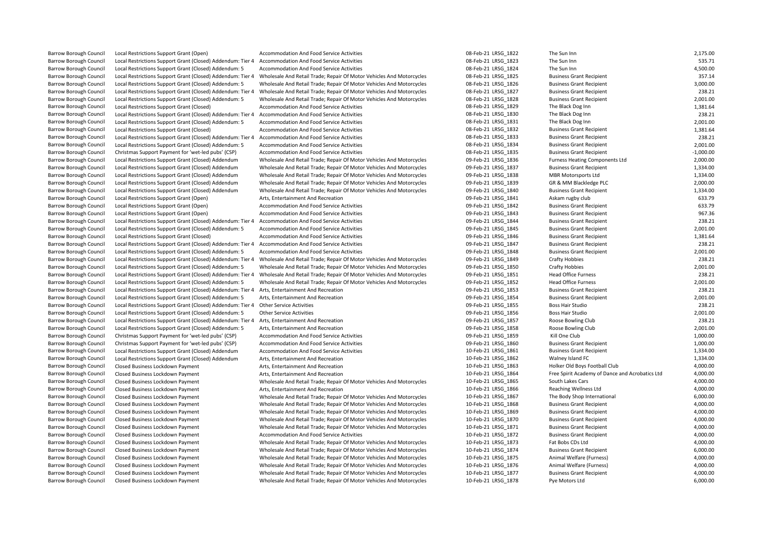| <b>Barrow Borough Council</b>                                  | Local Restrictions Support Grant (Open)                    | <b>Accommodation And Food Service Activities</b>                                                           | 08-Feb-21 LRSG_1822 | The Sun Inn                                     | 2,175.00    |
|----------------------------------------------------------------|------------------------------------------------------------|------------------------------------------------------------------------------------------------------------|---------------------|-------------------------------------------------|-------------|
| <b>Barrow Borough Council</b>                                  | Local Restrictions Support Grant (Closed) Addendum: Tier 4 | Accommodation And Food Service Activities                                                                  | 08-Feb-21 LRSG_1823 | The Sun Inn                                     | 535.71      |
| <b>Barrow Borough Council</b>                                  | Local Restrictions Support Grant (Closed) Addendum: 5      | Accommodation And Food Service Activities                                                                  | 08-Feb-21 LRSG 1824 | The Sun Inn                                     | 4,500.00    |
| <b>Barrow Borough Council</b>                                  | Local Restrictions Support Grant (Closed) Addendum: Tier 4 | Wholesale And Retail Trade; Repair Of Motor Vehicles And Motorcycles                                       | 08-Feb-21 LRSG_1825 | <b>Business Grant Recipient</b>                 | 357.14      |
| <b>Barrow Borough Council</b>                                  | Local Restrictions Support Grant (Closed) Addendum: 5      | Wholesale And Retail Trade; Repair Of Motor Vehicles And Motorcycles                                       | 08-Feb-21 LRSG 1826 | <b>Business Grant Recipient</b>                 | 3,000.00    |
| <b>Barrow Borough Council</b>                                  | Local Restrictions Support Grant (Closed) Addendum: Tier 4 | Wholesale And Retail Trade; Repair Of Motor Vehicles And Motorcycles                                       | 08-Feb-21 LRSG 1827 | <b>Business Grant Recipient</b>                 | 238.21      |
| <b>Barrow Borough Council</b>                                  | Local Restrictions Support Grant (Closed) Addendum: 5      | Wholesale And Retail Trade; Repair Of Motor Vehicles And Motorcycles                                       | 08-Feb-21 LRSG_1828 | <b>Business Grant Recipient</b>                 | 2,001.00    |
| <b>Barrow Borough Council</b>                                  | Local Restrictions Support Grant (Closed)                  | <b>Accommodation And Food Service Activities</b>                                                           | 08-Feb-21 LRSG 1829 | The Black Dog Inn                               | 1,381.64    |
| Barrow Borough Council                                         | Local Restrictions Support Grant (Closed) Addendum: Tier 4 | Accommodation And Food Service Activities                                                                  | 08-Feb-21 LRSG 1830 | The Black Dog Inn                               | 238.21      |
| <b>Barrow Borough Council</b>                                  | Local Restrictions Support Grant (Closed) Addendum: 5      | Accommodation And Food Service Activities                                                                  | 08-Feb-21 LRSG 1831 | The Black Dog Inn                               | 2,001.00    |
| <b>Barrow Borough Council</b>                                  | Local Restrictions Support Grant (Closed)                  | Accommodation And Food Service Activities                                                                  | 08-Feb-21 LRSG 1832 | <b>Business Grant Recipient</b>                 | 1,381.64    |
| <b>Barrow Borough Council</b>                                  | Local Restrictions Support Grant (Closed) Addendum: Tier 4 | Accommodation And Food Service Activities                                                                  | 08-Feb-21 LRSG 1833 | <b>Business Grant Recipient</b>                 | 238.21      |
| <b>Barrow Borough Council</b>                                  | Local Restrictions Support Grant (Closed) Addendum: 5      | Accommodation And Food Service Activities                                                                  | 08-Feb-21 LRSG 1834 | <b>Business Grant Recipient</b>                 | 2,001.00    |
| <b>Barrow Borough Council</b>                                  | Christmas Support Payment for 'wet-led pubs' (CSP)         | Accommodation And Food Service Activities                                                                  | 08-Feb-21 LRSG 1835 | <b>Business Grant Recipient</b>                 | $-1,000.00$ |
| Barrow Borough Council                                         | Local Restrictions Support Grant (Closed) Addendum         | Wholesale And Retail Trade; Repair Of Motor Vehicles And Motorcycles                                       | 09-Feb-21 LRSG 1836 | <b>Furness Heating Components Ltd</b>           | 2,000.00    |
| <b>Barrow Borough Council</b>                                  | Local Restrictions Support Grant (Closed) Addendum         | Wholesale And Retail Trade; Repair Of Motor Vehicles And Motorcycles                                       | 09-Feb-21 LRSG 1837 | <b>Business Grant Recipient</b>                 | 1,334.00    |
| <b>Barrow Borough Council</b>                                  | Local Restrictions Support Grant (Closed) Addendum         | Wholesale And Retail Trade; Repair Of Motor Vehicles And Motorcycles                                       | 09-Feb-21 LRSG 1838 | <b>MBR Motorsports Ltd</b>                      | 1,334.00    |
| <b>Barrow Borough Council</b>                                  | Local Restrictions Support Grant (Closed) Addendum         | Wholesale And Retail Trade; Repair Of Motor Vehicles And Motorcycles                                       | 09-Feb-21 LRSG 1839 | GR & MM Blackledge PLC                          | 2,000.00    |
| <b>Barrow Borough Council</b>                                  | Local Restrictions Support Grant (Closed) Addendum         | Wholesale And Retail Trade; Repair Of Motor Vehicles And Motorcycles                                       | 09-Feb-21 LRSG 1840 | <b>Business Grant Recipient</b>                 | 1,334.00    |
| <b>Barrow Borough Council</b>                                  | Local Restrictions Support Grant (Open)                    | Arts, Entertainment And Recreation                                                                         | 09-Feb-21 LRSG 1841 | Askam rugby club                                | 633.79      |
| <b>Barrow Borough Council</b>                                  | Local Restrictions Support Grant (Open)                    | Accommodation And Food Service Activities                                                                  | 09-Feb-21 LRSG_1842 | <b>Business Grant Recipient</b>                 | 633.79      |
| <b>Barrow Borough Council</b>                                  | Local Restrictions Support Grant (Open)                    | Accommodation And Food Service Activities                                                                  | 09-Feb-21 LRSG 1843 | <b>Business Grant Recipient</b>                 | 967.36      |
| <b>Barrow Borough Council</b>                                  | Local Restrictions Support Grant (Closed) Addendum: Tier 4 | Accommodation And Food Service Activities                                                                  | 09-Feb-21 LRSG 1844 | <b>Business Grant Recipient</b>                 | 238.21      |
| Barrow Borough Council                                         | Local Restrictions Support Grant (Closed) Addendum: 5      | Accommodation And Food Service Activities                                                                  | 09-Feb-21 LRSG_1845 | <b>Business Grant Recipient</b>                 | 2,001.00    |
| <b>Barrow Borough Council</b>                                  | Local Restrictions Support Grant (Closed)                  | Accommodation And Food Service Activities                                                                  | 09-Feb-21 LRSG 1846 | <b>Business Grant Recipient</b>                 | 1,381.64    |
| <b>Barrow Borough Council</b>                                  | Local Restrictions Support Grant (Closed) Addendum: Tier 4 | Accommodation And Food Service Activities                                                                  | 09-Feb-21 LRSG 1847 | <b>Business Grant Recipient</b>                 | 238.21      |
| Barrow Borough Council                                         | Local Restrictions Support Grant (Closed) Addendum: 5      | Accommodation And Food Service Activities                                                                  | 09-Feb-21 LRSG 1848 | <b>Business Grant Recipient</b>                 | 2,001.00    |
| <b>Barrow Borough Council</b>                                  | Local Restrictions Support Grant (Closed) Addendum: Tier 4 | Wholesale And Retail Trade; Repair Of Motor Vehicles And Motorcycles                                       | 09-Feb-21 LRSG 1849 | <b>Crafty Hobbies</b>                           | 238.21      |
| <b>Barrow Borough Council</b>                                  | Local Restrictions Support Grant (Closed) Addendum: 5      | Wholesale And Retail Trade; Repair Of Motor Vehicles And Motorcycles                                       | 09-Feb-21 LRSG 1850 | <b>Crafty Hobbies</b>                           | 2,001.00    |
|                                                                | Local Restrictions Support Grant (Closed) Addendum: Tier 4 | Wholesale And Retail Trade; Repair Of Motor Vehicles And Motorcycles                                       | 09-Feb-21 LRSG 1851 | <b>Head Office Furness</b>                      | 238.21      |
| <b>Barrow Borough Council</b><br><b>Barrow Borough Council</b> |                                                            |                                                                                                            | 09-Feb-21 LRSG 1852 | <b>Head Office Furness</b>                      | 2,001.00    |
|                                                                | Local Restrictions Support Grant (Closed) Addendum: 5      | Wholesale And Retail Trade; Repair Of Motor Vehicles And Motorcycles<br>Arts, Entertainment And Recreation |                     | <b>Business Grant Recipient</b>                 | 238.21      |
| <b>Barrow Borough Council</b>                                  | Local Restrictions Support Grant (Closed) Addendum: Tier 4 |                                                                                                            | 09-Feb-21 LRSG 1853 |                                                 | 2,001.00    |
| <b>Barrow Borough Council</b>                                  | Local Restrictions Support Grant (Closed) Addendum: 5      | Arts, Entertainment And Recreation                                                                         | 09-Feb-21 LRSG_1854 | <b>Business Grant Recipient</b>                 | 238.21      |
| <b>Barrow Borough Council</b>                                  | Local Restrictions Support Grant (Closed) Addendum: Tier 4 | <b>Other Service Activities</b>                                                                            | 09-Feb-21 LRSG 1855 | Boss Hair Studio                                |             |
| <b>Barrow Borough Council</b>                                  | Local Restrictions Support Grant (Closed) Addendum: 5      | <b>Other Service Activities</b>                                                                            | 09-Feb-21 LRSG 1856 | Boss Hair Studio                                | 2,001.00    |
| <b>Barrow Borough Council</b>                                  | Local Restrictions Support Grant (Closed) Addendum: Tier 4 | Arts, Entertainment And Recreation                                                                         | 09-Feb-21 LRSG_1857 | Roose Bowling Club                              | 238.21      |
| <b>Barrow Borough Council</b>                                  | Local Restrictions Support Grant (Closed) Addendum: 5      | Arts, Entertainment And Recreation                                                                         | 09-Feb-21 LRSG 1858 | Roose Bowling Club                              | 2,001.00    |
| Barrow Borough Council                                         | Christmas Support Payment for 'wet-led pubs' (CSP)         | Accommodation And Food Service Activities                                                                  | 09-Feb-21 LRSG 1859 | Kill One Club                                   | 1,000.00    |
| <b>Barrow Borough Council</b>                                  | Christmas Support Payment for 'wet-led pubs' (CSP)         | Accommodation And Food Service Activities                                                                  | 09-Feb-21 LRSG 1860 | <b>Business Grant Recipient</b>                 | 1,000.00    |
| <b>Barrow Borough Council</b>                                  | Local Restrictions Support Grant (Closed) Addendum         | Accommodation And Food Service Activities                                                                  | 10-Feb-21 LRSG 1861 | <b>Business Grant Recipient</b>                 | 1,334.00    |
| <b>Barrow Borough Council</b>                                  | Local Restrictions Support Grant (Closed) Addendum         | Arts, Entertainment And Recreation                                                                         | 10-Feb-21 LRSG_1862 | Walney Island FC                                | 1,334.00    |
| <b>Barrow Borough Council</b>                                  | Closed Business Lockdown Payment                           | Arts, Entertainment And Recreation                                                                         | 10-Feb-21 LRSG 1863 | Holker Old Boys Football Club                   | 4,000.00    |
| <b>Barrow Borough Council</b>                                  | Closed Business Lockdown Payment                           | Arts, Entertainment And Recreation                                                                         | 10-Feb-21 LRSG 1864 | Free Spirit Academy of Dance and Acrobatics Ltd | 4,000.00    |
| <b>Barrow Borough Council</b>                                  | Closed Business Lockdown Payment                           | Wholesale And Retail Trade; Repair Of Motor Vehicles And Motorcycles                                       | 10-Feb-21 LRSG 1865 | South Lakes Cars                                | 4,000.00    |
| <b>Barrow Borough Council</b>                                  | Closed Business Lockdown Payment                           | Arts, Entertainment And Recreation                                                                         | 10-Feb-21 LRSG 1866 | Reaching Wellness Ltd                           | 4,000.00    |
| <b>Barrow Borough Council</b>                                  | Closed Business Lockdown Payment                           | Wholesale And Retail Trade; Repair Of Motor Vehicles And Motorcycles                                       | 10-Feb-21 LRSG 1867 | The Body Shop International                     | 6,000.00    |
| <b>Barrow Borough Council</b>                                  | Closed Business Lockdown Payment                           | Wholesale And Retail Trade; Repair Of Motor Vehicles And Motorcycles                                       | 10-Feb-21 LRSG_1868 | <b>Business Grant Recipient</b>                 | 4,000.00    |
| <b>Barrow Borough Council</b>                                  | Closed Business Lockdown Payment                           | Wholesale And Retail Trade; Repair Of Motor Vehicles And Motorcycles                                       | 10-Feb-21 LRSG_1869 | <b>Business Grant Recipient</b>                 | 4,000.00    |
| Barrow Borough Council                                         | Closed Business Lockdown Payment                           | Wholesale And Retail Trade; Repair Of Motor Vehicles And Motorcycles                                       | 10-Feb-21 LRSG 1870 | <b>Business Grant Recipient</b>                 | 4,000.00    |
| <b>Barrow Borough Council</b>                                  | Closed Business Lockdown Payment                           | Wholesale And Retail Trade; Repair Of Motor Vehicles And Motorcycles                                       | 10-Feb-21 LRSG 1871 | <b>Business Grant Recipient</b>                 | 4,000.00    |
| <b>Barrow Borough Council</b>                                  | Closed Business Lockdown Payment                           | Accommodation And Food Service Activities                                                                  | 10-Feb-21 LRSG 1872 | <b>Business Grant Recipient</b>                 | 4,000.00    |
| <b>Barrow Borough Council</b>                                  | Closed Business Lockdown Payment                           | Wholesale And Retail Trade; Repair Of Motor Vehicles And Motorcycles                                       | 10-Feb-21 LRSG 1873 | Fat Bobs CDs Ltd                                | 4,000.00    |
| <b>Barrow Borough Council</b>                                  | Closed Business Lockdown Payment                           | Wholesale And Retail Trade; Repair Of Motor Vehicles And Motorcycles                                       | 10-Feb-21 LRSG_1874 | <b>Business Grant Recipient</b>                 | 6,000.00    |
| <b>Barrow Borough Council</b>                                  | Closed Business Lockdown Payment                           | Wholesale And Retail Trade; Repair Of Motor Vehicles And Motorcycles                                       | 10-Feb-21 LRSG 1875 | Animal Welfare (Furness)                        | 4,000.00    |
| <b>Barrow Borough Council</b>                                  | Closed Business Lockdown Payment                           | Wholesale And Retail Trade; Repair Of Motor Vehicles And Motorcycles                                       | 10-Feb-21 LRSG 1876 | Animal Welfare (Furness)                        | 4,000.00    |
| <b>Barrow Borough Council</b>                                  | Closed Business Lockdown Payment                           | Wholesale And Retail Trade; Repair Of Motor Vehicles And Motorcycles                                       | 10-Feb-21 LRSG 1877 | <b>Business Grant Recipient</b>                 | 4,000.00    |
| <b>Barrow Borough Council</b>                                  | Closed Business Lockdown Payment                           | Wholesale And Retail Trade; Repair Of Motor Vehicles And Motorcycles                                       | 10-Feb-21 LRSG 1878 | Pye Motors Ltd                                  | 6,000.00    |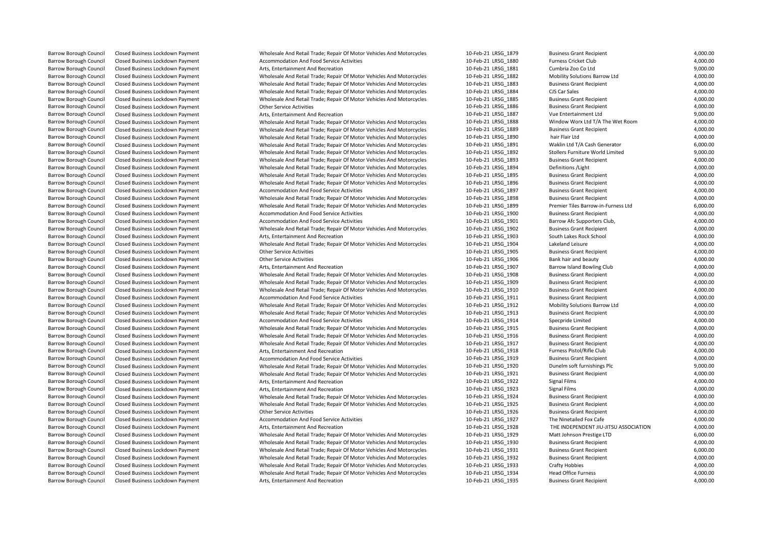| <b>Barrow Borough Council</b> | Closed Business Lockdown Payment                                     | Wholesale And Retail Trade; Repair Of Motor Vehicles And Motorcycles | 10-Feb-21 LRSG 1879 | <b>Business Grant Recipient</b>       | 4,000.00 |
|-------------------------------|----------------------------------------------------------------------|----------------------------------------------------------------------|---------------------|---------------------------------------|----------|
| <b>Barrow Borough Council</b> | Closed Business Lockdown Payment                                     | Accommodation And Food Service Activities                            | 10-Feb-21 LRSG 1880 | Furness Cricket Club                  | 4,000.00 |
| Barrow Borough Council        | Closed Business Lockdown Payment                                     | Arts, Entertainment And Recreation                                   | 10-Feb-21 LRSG 1881 | Cumbria Zoo Co Ltd                    | 9,000.00 |
| Barrow Borough Council        | Closed Business Lockdown Payment                                     | Wholesale And Retail Trade; Repair Of Motor Vehicles And Motorcycles | 10-Feb-21 LRSG 1882 | Mobility Solutions Barrow Ltd         | 4,000.00 |
| <b>Barrow Borough Council</b> | Closed Business Lockdown Payment                                     | Wholesale And Retail Trade; Repair Of Motor Vehicles And Motorcycles | 10-Feb-21 LRSG 1883 | <b>Business Grant Recipient</b>       | 4,000.00 |
| Barrow Borough Council        | Closed Business Lockdown Payment                                     | Wholesale And Retail Trade; Repair Of Motor Vehicles And Motorcycles | 10-Feb-21 LRSG 1884 | CJS Car Sales                         | 4,000.00 |
| Barrow Borough Council        | Closed Business Lockdown Payment                                     | Wholesale And Retail Trade; Repair Of Motor Vehicles And Motorcycles | 10-Feb-21 LRSG 1885 | <b>Business Grant Recipient</b>       | 4,000.00 |
| Barrow Borough Council        | Closed Business Lockdown Payment                                     | <b>Other Service Activities</b>                                      | 10-Feb-21 LRSG 1886 | <b>Business Grant Recipient</b>       | 4,000.00 |
| Barrow Borough Council        | Closed Business Lockdown Payment                                     | Arts, Entertainment And Recreation                                   | 10-Feb-21 LRSG 1887 | Vue Entertainment Ltd                 | 9,000.00 |
| <b>Barrow Borough Council</b> | Closed Business Lockdown Payment                                     | Wholesale And Retail Trade; Repair Of Motor Vehicles And Motorcycles | 10-Feb-21 LRSG 1888 | Window Worx Ltd T/A The Wet Room      | 4,000.00 |
| Barrow Borough Council        | Closed Business Lockdown Payment                                     | Wholesale And Retail Trade; Repair Of Motor Vehicles And Motorcycles | 10-Feb-21 LRSG 1889 | <b>Business Grant Recipient</b>       | 4,000.00 |
| Barrow Borough Council        | Closed Business Lockdown Payment                                     | Wholesale And Retail Trade; Repair Of Motor Vehicles And Motorcycles | 10-Feb-21 LRSG 1890 | hair Flair Ltd                        | 4,000.00 |
| <b>Barrow Borough Council</b> | Closed Business Lockdown Payment                                     | Wholesale And Retail Trade; Repair Of Motor Vehicles And Motorcycles | 10-Feb-21 LRSG_1891 | Waklin Ltd T/A Cash Generator         | 6,000.00 |
| Barrow Borough Council        | Closed Business Lockdown Payment                                     | Wholesale And Retail Trade; Repair Of Motor Vehicles And Motorcycles | 10-Feb-21 LRSG 1892 | Stollers Furniture World Limited      | 9,000.00 |
| <b>Barrow Borough Council</b> | Closed Business Lockdown Payment                                     | Wholesale And Retail Trade; Repair Of Motor Vehicles And Motorcycles | 10-Feb-21 LRSG 1893 | <b>Business Grant Recipient</b>       | 4,000.00 |
| <b>Barrow Borough Council</b> | Closed Business Lockdown Payment                                     | Wholesale And Retail Trade; Repair Of Motor Vehicles And Motorcycles | 10-Feb-21 LRSG_1894 | Definitions / Light                   | 4,000.00 |
| <b>Barrow Borough Council</b> | Closed Business Lockdown Payment                                     | Wholesale And Retail Trade; Repair Of Motor Vehicles And Motorcycles | 10-Feb-21 LRSG 1895 | <b>Business Grant Recipient</b>       | 4,000.00 |
| <b>Barrow Borough Council</b> | Closed Business Lockdown Payment                                     | Wholesale And Retail Trade; Repair Of Motor Vehicles And Motorcycles | 10-Feb-21 LRSG 1896 | <b>Business Grant Recipient</b>       | 4,000.00 |
| Barrow Borough Council        | Closed Business Lockdown Payment                                     | Accommodation And Food Service Activities                            | 10-Feb-21 LRSG_1897 | <b>Business Grant Recipient</b>       | 4,000.00 |
| <b>Barrow Borough Council</b> | Closed Business Lockdown Payment                                     | Wholesale And Retail Trade; Repair Of Motor Vehicles And Motorcycles | 10-Feb-21 LRSG 1898 | <b>Business Grant Recipient</b>       | 4,000.00 |
| <b>Barrow Borough Council</b> | Closed Business Lockdown Payment                                     | Wholesale And Retail Trade; Repair Of Motor Vehicles And Motorcycles | 10-Feb-21 LRSG_1899 | Premier Tiles Barrow-in-Furness Ltd   | 6,000.00 |
| <b>Barrow Borough Council</b> | Closed Business Lockdown Payment                                     | Accommodation And Food Service Activities                            | 10-Feb-21 LRSG 1900 | <b>Business Grant Recipient</b>       | 4,000.00 |
| <b>Barrow Borough Council</b> | Closed Business Lockdown Payment                                     | Accommodation And Food Service Activities                            | 10-Feb-21 LRSG 1901 | Barrow Afc Supporters Club,           | 4,000.00 |
| <b>Barrow Borough Council</b> | Closed Business Lockdown Payment                                     | Wholesale And Retail Trade; Repair Of Motor Vehicles And Motorcycles | 10-Feb-21 LRSG_1902 | <b>Business Grant Recipient</b>       | 4,000.00 |
| <b>Barrow Borough Council</b> | Closed Business Lockdown Payment                                     | Arts, Entertainment And Recreation                                   | 10-Feb-21 LRSG 1903 | South Lakes Rock School               | 4,000.00 |
| <b>Barrow Borough Council</b> | Closed Business Lockdown Payment                                     | Wholesale And Retail Trade; Repair Of Motor Vehicles And Motorcycles | 10-Feb-21 LRSG_1904 | Lakeland Leisure                      | 4,000.00 |
| <b>Barrow Borough Council</b> | Closed Business Lockdown Payment                                     | <b>Other Service Activities</b>                                      | 10-Feb-21 LRSG 1905 | <b>Business Grant Recipient</b>       | 4,000.00 |
| <b>Barrow Borough Council</b> | Closed Business Lockdown Payment                                     | <b>Other Service Activities</b>                                      | 10-Feb-21 LRSG 1906 | Bank hair and beauty                  | 4,000.00 |
| Barrow Borough Council        | Closed Business Lockdown Payment                                     | Arts, Entertainment And Recreation                                   | 10-Feb-21 LRSG_1907 | Barrow Island Bowling Club            | 4,000.00 |
| <b>Barrow Borough Council</b> | Closed Business Lockdown Payment                                     | Wholesale And Retail Trade; Repair Of Motor Vehicles And Motorcycles | 10-Feb-21 LRSG 1908 | <b>Business Grant Recipient</b>       | 4,000.00 |
| <b>Barrow Borough Council</b> | Closed Business Lockdown Payment                                     | Wholesale And Retail Trade; Repair Of Motor Vehicles And Motorcycles | 10-Feb-21 LRSG 1909 | <b>Business Grant Recipient</b>       | 4,000.00 |
| Barrow Borough Council        | Closed Business Lockdown Payment                                     | Wholesale And Retail Trade; Repair Of Motor Vehicles And Motorcycles | 10-Feb-21 LRSG 1910 | <b>Business Grant Recipient</b>       | 4,000.00 |
| <b>Barrow Borough Council</b> | Closed Business Lockdown Payment                                     | Accommodation And Food Service Activities                            | 10-Feb-21 LRSG 1911 | <b>Business Grant Recipient</b>       | 4,000.00 |
| Barrow Borough Council        | Closed Business Lockdown Payment                                     | Wholesale And Retail Trade; Repair Of Motor Vehicles And Motorcycles | 10-Feb-21 LRSG 1912 | Mobility Solutions Barrow Ltd         | 4,000.00 |
| Barrow Borough Council        | Closed Business Lockdown Payment                                     | Wholesale And Retail Trade; Repair Of Motor Vehicles And Motorcycles | 10-Feb-21 LRSG 1913 | <b>Business Grant Recipient</b>       | 4,000.00 |
| <b>Barrow Borough Council</b> | Closed Business Lockdown Payment                                     | Accommodation And Food Service Activities                            | 10-Feb-21 LRSG 1914 | Specpride Limited                     | 4,000.00 |
| <b>Barrow Borough Council</b> | Closed Business Lockdown Payment                                     | Wholesale And Retail Trade; Repair Of Motor Vehicles And Motorcycles | 10-Feb-21 LRSG 1915 | <b>Business Grant Recipient</b>       | 4,000.00 |
| Barrow Borough Council        | Closed Business Lockdown Payment                                     | Wholesale And Retail Trade; Repair Of Motor Vehicles And Motorcycles | 10-Feb-21 LRSG 1916 | <b>Business Grant Recipient</b>       | 4,000.00 |
| <b>Barrow Borough Council</b> | Closed Business Lockdown Payment                                     | Wholesale And Retail Trade; Repair Of Motor Vehicles And Motorcycles | 10-Feb-21 LRSG_1917 | <b>Business Grant Recipient</b>       | 4,000.00 |
| <b>Barrow Borough Council</b> | Closed Business Lockdown Payment                                     | Arts, Entertainment And Recreation                                   | 10-Feb-21 LRSG 1918 | Furness Pistol/Rifle Club             | 4,000.00 |
| <b>Barrow Borough Council</b> | Closed Business Lockdown Payment                                     | Accommodation And Food Service Activities                            | 10-Feb-21 LRSG 1919 | <b>Business Grant Recipient</b>       | 4,000.00 |
| Barrow Borough Council        | Closed Business Lockdown Payment                                     | Wholesale And Retail Trade; Repair Of Motor Vehicles And Motorcycles | 10-Feb-21 LRSG 1920 | Dunelm soft furnishings Plc           | 9,000.00 |
| <b>Barrow Borough Council</b> | Closed Business Lockdown Payment                                     | Wholesale And Retail Trade; Repair Of Motor Vehicles And Motorcycles | 10-Feb-21 LRSG 1921 | <b>Business Grant Recipient</b>       | 4,000.00 |
| <b>Barrow Borough Council</b> | Closed Business Lockdown Payment                                     | Arts, Entertainment And Recreation                                   | 10-Feb-21 LRSG 1922 | Signal Films                          | 4,000.00 |
| Barrow Borough Council        | Closed Business Lockdown Payment                                     | Arts, Entertainment And Recreation                                   | 10-Feb-21 LRSG 1923 | <b>Signal Films</b>                   | 4,000.00 |
| <b>Barrow Borough Council</b> | Closed Business Lockdown Payment                                     | Wholesale And Retail Trade; Repair Of Motor Vehicles And Motorcycles | 10-Feb-21 LRSG 1924 | <b>Business Grant Recipient</b>       | 4,000.00 |
| Barrow Borough Council        | Closed Business Lockdown Payment                                     | Wholesale And Retail Trade; Repair Of Motor Vehicles And Motorcycles | 10-Feb-21 LRSG_1925 | <b>Business Grant Recipient</b>       | 4,000.00 |
| Barrow Borough Council        | Closed Business Lockdown Payment                                     | <b>Other Service Activities</b>                                      | 10-Feb-21 LRSG_1926 | <b>Business Grant Recipient</b>       | 4,000.00 |
| <b>Barrow Borough Council</b> | Closed Business Lockdown Payment                                     | <b>Accommodation And Food Service Activities</b>                     | 10-Feb-21 LRSG 1927 | The Ninetailed Fox Cafe               | 4,000.00 |
| Barrow Borough Council        | Closed Business Lockdown Payment                                     | Arts, Entertainment And Recreation                                   | 10-Feb-21 LRSG 1928 | THE INDEPENDENT JIU-JITSU ASSOCIATION | 4,000.00 |
| <b>Barrow Borough Council</b> | Closed Business Lockdown Payment                                     | Wholesale And Retail Trade; Repair Of Motor Vehicles And Motorcycles | 10-Feb-21 LRSG 1929 | Matt Johnson Prestige LTD             | 6,000.00 |
| <b>Barrow Borough Council</b> |                                                                      | Wholesale And Retail Trade; Repair Of Motor Vehicles And Motorcycles | 10-Feb-21 LRSG_1930 | <b>Business Grant Recipient</b>       | 4,000.00 |
| Barrow Borough Council        | Closed Business Lockdown Payment                                     | Wholesale And Retail Trade; Repair Of Motor Vehicles And Motorcycles | 10-Feb-21 LRSG 1931 | <b>Business Grant Recipient</b>       | 6,000.00 |
| <b>Barrow Borough Council</b> | Closed Business Lockdown Payment<br>Closed Business Lockdown Payment | Wholesale And Retail Trade; Repair Of Motor Vehicles And Motorcycles | 10-Feb-21 LRSG 1932 | <b>Business Grant Recipient</b>       | 4,000.00 |
| Barrow Borough Council        |                                                                      | Wholesale And Retail Trade; Repair Of Motor Vehicles And Motorcycles | 10-Feb-21 LRSG_1933 | <b>Crafty Hobbies</b>                 | 4,000.00 |
| <b>Barrow Borough Council</b> | Closed Business Lockdown Payment<br>Closed Business Lockdown Payment | Wholesale And Retail Trade; Repair Of Motor Vehicles And Motorcycles | 10-Feb-21 LRSG 1934 | <b>Head Office Furness</b>            | 4,000.00 |
| <b>Barrow Borough Council</b> | Closed Business Lockdown Payment                                     |                                                                      |                     |                                       | 4.000.00 |
|                               |                                                                      | Arts, Entertainment And Recreation                                   | 10-Feb-21 LRSG 1935 | <b>Business Grant Recipient</b>       |          |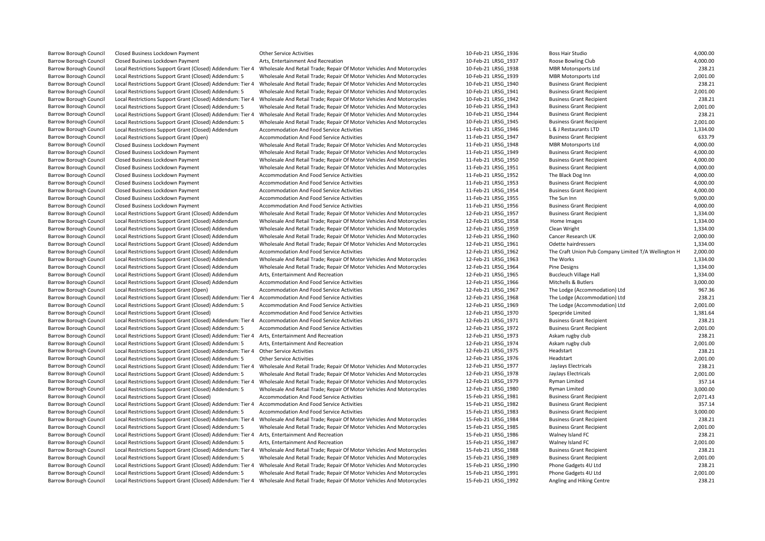| Barrow Borough Council                           | Closed Business Lockdown Payment                                                                                    | <b>Other Service Activities</b>                                                                                                 | 10-Feb-21 LRSG 1936 | Boss Hair Studio                                               | 4,000.00 |
|--------------------------------------------------|---------------------------------------------------------------------------------------------------------------------|---------------------------------------------------------------------------------------------------------------------------------|---------------------|----------------------------------------------------------------|----------|
| Barrow Borough Council                           | Closed Business Lockdown Payment                                                                                    | Arts, Entertainment And Recreation                                                                                              | 10-Feb-21 LRSG 1937 | Roose Bowling Club                                             | 4,000.00 |
| <b>Barrow Borough Council</b>                    | Local Restrictions Support Grant (Closed) Addendum: Tier 4                                                          | Wholesale And Retail Trade; Repair Of Motor Vehicles And Motorcycles                                                            | 10-Feb-21 LRSG 1938 | <b>MBR Motorsports Ltd</b>                                     | 238.21   |
| Barrow Borough Council                           | Local Restrictions Support Grant (Closed) Addendum: 5                                                               | Wholesale And Retail Trade; Repair Of Motor Vehicles And Motorcycles                                                            | 10-Feb-21 LRSG 1939 | <b>MBR Motorsports Ltd</b>                                     | 2,001.00 |
| Barrow Borough Council                           | Local Restrictions Support Grant (Closed) Addendum: Tier 4                                                          | Wholesale And Retail Trade; Repair Of Motor Vehicles And Motorcycles                                                            | 10-Feb-21 LRSG 1940 | <b>Business Grant Recipient</b>                                | 238.21   |
| Barrow Borough Council                           | Local Restrictions Support Grant (Closed) Addendum: 5                                                               | Wholesale And Retail Trade; Repair Of Motor Vehicles And Motorcycles                                                            | 10-Feb-21 LRSG 1941 | <b>Business Grant Recipient</b>                                | 2,001.00 |
| Barrow Borough Council                           |                                                                                                                     | Local Restrictions Support Grant (Closed) Addendum: Tier 4 Wholesale And Retail Trade; Repair Of Motor Vehicles And Motorcycles | 10-Feb-21 LRSG 1942 | <b>Business Grant Recipient</b>                                | 238.21   |
| Barrow Borough Council                           | Local Restrictions Support Grant (Closed) Addendum: 5                                                               | Wholesale And Retail Trade; Repair Of Motor Vehicles And Motorcycles                                                            | 10-Feb-21 LRSG 1943 | <b>Business Grant Recipient</b>                                | 2,001.00 |
| <b>Barrow Borough Council</b>                    | Local Restrictions Support Grant (Closed) Addendum: Tier 4                                                          | Wholesale And Retail Trade; Repair Of Motor Vehicles And Motorcycles                                                            | 10-Feb-21 LRSG 1944 | <b>Business Grant Recipient</b>                                | 238.21   |
| Barrow Borough Council                           | Local Restrictions Support Grant (Closed) Addendum: 5                                                               | Wholesale And Retail Trade; Repair Of Motor Vehicles And Motorcycles                                                            | 10-Feb-21 LRSG 1945 | <b>Business Grant Recipient</b>                                | 2,001.00 |
| Barrow Borough Council                           | Local Restrictions Support Grant (Closed) Addendum                                                                  | Accommodation And Food Service Activities                                                                                       | 11-Feb-21 LRSG 1946 | L & J Restaurants LTD                                          | 1,334.00 |
| Barrow Borough Council                           | Local Restrictions Support Grant (Open)                                                                             | Accommodation And Food Service Activities                                                                                       | 11-Feb-21 LRSG 1947 | <b>Business Grant Recipient</b>                                | 633.79   |
| Barrow Borough Council                           | Closed Business Lockdown Payment                                                                                    | Wholesale And Retail Trade; Repair Of Motor Vehicles And Motorcycles                                                            | 11-Feb-21 LRSG 1948 | <b>MBR Motorsports Ltd</b>                                     | 4,000.00 |
| Barrow Borough Council                           | Closed Business Lockdown Payment                                                                                    | Wholesale And Retail Trade; Repair Of Motor Vehicles And Motorcycles                                                            | 11-Feb-21 LRSG_1949 | <b>Business Grant Recipient</b>                                | 4.000.00 |
| Barrow Borough Council                           | Closed Business Lockdown Payment                                                                                    | Wholesale And Retail Trade; Repair Of Motor Vehicles And Motorcycles                                                            | 11-Feb-21 LRSG 1950 | <b>Business Grant Recipient</b>                                | 4,000.00 |
| Barrow Borough Council                           | Closed Business Lockdown Payment                                                                                    | Wholesale And Retail Trade; Repair Of Motor Vehicles And Motorcycles                                                            | 11-Feb-21 LRSG 1951 | <b>Business Grant Recipient</b>                                | 4,000.00 |
| <b>Barrow Borough Council</b>                    | Closed Business Lockdown Payment                                                                                    | Accommodation And Food Service Activities                                                                                       | 11-Feb-21 LRSG 1952 | The Black Dog Inn                                              | 4,000.00 |
| Barrow Borough Council                           | Closed Business Lockdown Payment                                                                                    | Accommodation And Food Service Activities                                                                                       | 11-Feb-21 LRSG 1953 | <b>Business Grant Recipient</b>                                | 4,000.00 |
| Barrow Borough Council                           | Closed Business Lockdown Payment                                                                                    | Accommodation And Food Service Activities                                                                                       | 11-Feb-21 LRSG 1954 | <b>Business Grant Recipient</b>                                | 4,000.00 |
| Barrow Borough Council                           | Closed Business Lockdown Payment                                                                                    | Accommodation And Food Service Activities                                                                                       | 11-Feb-21 LRSG_1955 | The Sun Inn                                                    | 9,000.00 |
| Barrow Borough Council                           | Closed Business Lockdown Payment                                                                                    | Accommodation And Food Service Activities                                                                                       | 11-Feb-21 LRSG 1956 | <b>Business Grant Recipient</b>                                | 4,000.00 |
| Barrow Borough Council                           | Local Restrictions Support Grant (Closed) Addendum                                                                  | Wholesale And Retail Trade; Repair Of Motor Vehicles And Motorcycles                                                            | 12-Feb-21 LRSG 1957 | <b>Business Grant Recipient</b>                                | 1,334.00 |
| Barrow Borough Council                           | Local Restrictions Support Grant (Closed) Addendum                                                                  | Wholesale And Retail Trade; Repair Of Motor Vehicles And Motorcycles                                                            | 12-Feb-21 LRSG 1958 | Home Images                                                    | 1,334.00 |
| Barrow Borough Council                           | Local Restrictions Support Grant (Closed) Addendum                                                                  | Wholesale And Retail Trade; Repair Of Motor Vehicles And Motorcycles                                                            | 12-Feb-21 LRSG 1959 | Clean Wright                                                   | 1,334.00 |
| Barrow Borough Council                           | Local Restrictions Support Grant (Closed) Addendum                                                                  | Wholesale And Retail Trade; Repair Of Motor Vehicles And Motorcycles                                                            | 12-Feb-21 LRSG 1960 | Cancer Research UK                                             | 2,000.00 |
| Barrow Borough Council                           | Local Restrictions Support Grant (Closed) Addendum                                                                  | Wholesale And Retail Trade; Repair Of Motor Vehicles And Motorcycles                                                            | 12-Feb-21 LRSG 1961 | Odette hairdressers                                            | 1,334.00 |
| Barrow Borough Council                           | Local Restrictions Support Grant (Closed) Addendum                                                                  | Accommodation And Food Service Activities                                                                                       | 12-Feb-21 LRSG 1962 | The Craft Union Pub Company Limited T/A Wellington H           | 2,000.00 |
| Barrow Borough Council                           | Local Restrictions Support Grant (Closed) Addendum                                                                  | Wholesale And Retail Trade; Repair Of Motor Vehicles And Motorcycles                                                            | 12-Feb-21 LRSG 1963 | The Works                                                      | 1,334.00 |
| <b>Barrow Borough Council</b>                    | Local Restrictions Support Grant (Closed) Addendum                                                                  | Wholesale And Retail Trade; Repair Of Motor Vehicles And Motorcycles                                                            | 12-Feb-21 LRSG 1964 | Pine Designs                                                   | 1,334.00 |
| Barrow Borough Council                           | Local Restrictions Support Grant (Closed) Addendum                                                                  | Arts, Entertainment And Recreation                                                                                              | 12-Feb-21 LRSG 1965 | <b>Buccleuch Village Hall</b>                                  | 1,334.00 |
| Barrow Borough Council                           |                                                                                                                     |                                                                                                                                 | 12-Feb-21 LRSG_1966 | Mitchells & Butlers                                            | 3,000.00 |
|                                                  | Local Restrictions Support Grant (Closed) Addendum                                                                  | Accommodation And Food Service Activities<br>Accommodation And Food Service Activities                                          | 12-Feb-21 LRSG 1967 |                                                                | 967.36   |
| Barrow Borough Council<br>Barrow Borough Council | Local Restrictions Support Grant (Open)                                                                             |                                                                                                                                 | 12-Feb-21 LRSG 1968 | The Lodge (Accommodation) Ltd<br>The Lodge (Accommodation) Ltd | 238.21   |
| <b>Barrow Borough Council</b>                    | Local Restrictions Support Grant (Closed) Addendum: Tier 4<br>Local Restrictions Support Grant (Closed) Addendum: 5 | Accommodation And Food Service Activities<br>Accommodation And Food Service Activities                                          | 12-Feb-21 LRSG 1969 | The Lodge (Accommodation) Ltd                                  | 2.001.00 |
|                                                  |                                                                                                                     |                                                                                                                                 |                     |                                                                | 1,381.64 |
| Barrow Borough Council                           | Local Restrictions Support Grant (Closed)                                                                           | Accommodation And Food Service Activities                                                                                       | 12-Feb-21 LRSG 1970 | Specpride Limited                                              |          |
| Barrow Borough Council                           | Local Restrictions Support Grant (Closed) Addendum: Tier 4 Accommodation And Food Service Activities                |                                                                                                                                 | 12-Feb-21 LRSG_1971 | <b>Business Grant Recipient</b>                                | 238.21   |
| Barrow Borough Council                           | Local Restrictions Support Grant (Closed) Addendum: 5                                                               | Accommodation And Food Service Activities                                                                                       | 12-Feb-21 LRSG 1972 | <b>Business Grant Recipient</b>                                | 2,001.00 |
| Barrow Borough Council                           | Local Restrictions Support Grant (Closed) Addendum: Tier 4                                                          | Arts, Entertainment And Recreation                                                                                              | 12-Feb-21 LRSG 1973 | Askam rugby club                                               | 238.21   |
| <b>Barrow Borough Council</b>                    | Local Restrictions Support Grant (Closed) Addendum: 5                                                               | Arts, Entertainment And Recreation                                                                                              | 12-Feb-21 LRSG 1974 | Askam rugby club                                               | 2,001.00 |
| <b>Barrow Borough Council</b>                    | Local Restrictions Support Grant (Closed) Addendum: Tier 4 Other Service Activities                                 |                                                                                                                                 | 12-Feb-21 LRSG 1975 | Headstart                                                      | 238.21   |
| Barrow Borough Council                           | Local Restrictions Support Grant (Closed) Addendum: 5                                                               | <b>Other Service Activities</b>                                                                                                 | 12-Feb-21 LRSG 1976 | Headstart                                                      | 2,001.00 |
| Barrow Borough Council                           | Local Restrictions Support Grant (Closed) Addendum: Tier 4                                                          | Wholesale And Retail Trade; Repair Of Motor Vehicles And Motorcycles                                                            | 12-Feb-21 LRSG 1977 | JayJays Electricals                                            | 238.21   |
| Barrow Borough Council                           | Local Restrictions Support Grant (Closed) Addendum: 5                                                               | Wholesale And Retail Trade; Repair Of Motor Vehicles And Motorcycles                                                            | 12-Feb-21 LRSG 1978 | JayJays Electricals                                            | 2,001.00 |
| <b>Barrow Borough Council</b>                    | Local Restrictions Support Grant (Closed) Addendum: Tier 4                                                          | Wholesale And Retail Trade; Repair Of Motor Vehicles And Motorcycles                                                            | 12-Feb-21 LRSG 1979 | <b>Ryman Limited</b>                                           | 357.14   |
| Barrow Borough Council                           | Local Restrictions Support Grant (Closed) Addendum: 5                                                               | Wholesale And Retail Trade; Repair Of Motor Vehicles And Motorcycles                                                            | 12-Feb-21 LRSG 1980 | <b>Ryman Limited</b>                                           | 3.000.00 |
| Barrow Borough Council                           | Local Restrictions Support Grant (Closed)                                                                           | Accommodation And Food Service Activities                                                                                       | 15-Feb-21 LRSG 1981 | <b>Business Grant Recipient</b>                                | 2,071.43 |
| Barrow Borough Council                           | Local Restrictions Support Grant (Closed) Addendum: Tier 4 Accommodation And Food Service Activities                |                                                                                                                                 | 15-Feb-21 LRSG 1982 | <b>Business Grant Recipient</b>                                | 357.14   |
| Barrow Borough Council                           | Local Restrictions Support Grant (Closed) Addendum: 5                                                               | Accommodation And Food Service Activities                                                                                       | 15-Feb-21 LRSG_1983 | <b>Business Grant Recipient</b>                                | 3,000.00 |
| <b>Barrow Borough Council</b>                    |                                                                                                                     | Local Restrictions Support Grant (Closed) Addendum: Tier 4 Wholesale And Retail Trade; Repair Of Motor Vehicles And Motorcycles | 15-Feb-21 LRSG 1984 | <b>Business Grant Recipient</b>                                | 238.21   |
| Barrow Borough Council                           | Local Restrictions Support Grant (Closed) Addendum: 5                                                               | Wholesale And Retail Trade; Repair Of Motor Vehicles And Motorcycles                                                            | 15-Feb-21 LRSG 1985 | <b>Business Grant Recipient</b>                                | 2,001.00 |
| Barrow Borough Council                           | Local Restrictions Support Grant (Closed) Addendum: Tier 4 Arts, Entertainment And Recreation                       |                                                                                                                                 | 15-Feb-21 LRSG 1986 | Walney Island FC                                               | 238.21   |
| Barrow Borough Council                           | Local Restrictions Support Grant (Closed) Addendum: 5                                                               | Arts, Entertainment And Recreation                                                                                              | 15-Feb-21 LRSG 1987 | Walney Island FC                                               | 2,001.00 |
| Barrow Borough Council                           | Local Restrictions Support Grant (Closed) Addendum: Tier 4                                                          | Wholesale And Retail Trade; Repair Of Motor Vehicles And Motorcycles                                                            | 15-Feb-21 LRSG_1988 | <b>Business Grant Recipient</b>                                | 238.21   |
| <b>Barrow Borough Council</b>                    | Local Restrictions Support Grant (Closed) Addendum: 5                                                               | Wholesale And Retail Trade; Repair Of Motor Vehicles And Motorcycles                                                            | 15-Feb-21 LRSG 1989 | <b>Business Grant Recipient</b>                                | 2,001.00 |
| Barrow Borough Council                           | Local Restrictions Support Grant (Closed) Addendum: Tier 4                                                          | Wholesale And Retail Trade; Repair Of Motor Vehicles And Motorcycles                                                            | 15-Feb-21 LRSG 1990 | Phone Gadgets 4U Ltd                                           | 238.21   |
| Barrow Borough Council                           | Local Restrictions Support Grant (Closed) Addendum: 5                                                               | Wholesale And Retail Trade; Repair Of Motor Vehicles And Motorcycles                                                            | 15-Feb-21 LRSG 1991 | Phone Gadgets 4U Ltd                                           | 2,001.00 |
| Barrow Borough Council                           |                                                                                                                     | Local Restrictions Support Grant (Closed) Addendum: Tier 4 Wholesale And Retail Trade; Repair Of Motor Vehicles And Motorcycles | 15-Feb-21 LRSG 1992 | Angling and Hiking Centre                                      | 238.21   |
|                                                  |                                                                                                                     |                                                                                                                                 |                     |                                                                |          |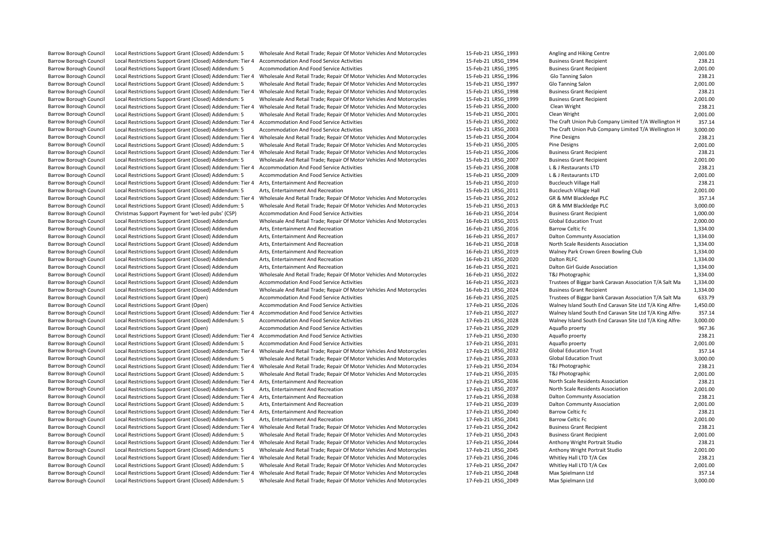Barrow Borough Council Local Restrictions Support Grant (Closed) Addendum: 5 Wholesale And Retail Trade; Repair Of Motor Vehicles And Motorcycles 15-Feb-21 LRSG\_1993 Angling and Hiking Centre 2,001.00<br>Barrow Borough Counci Barrow Borough Council Local Restrictions Support Grant (Closed) Addendum: Tier 4 Accommodation And Food Service Activities and the state of the state of the Service Activities 15-Feb-21 LRSG\_1994 Business Grant Recipient Barrow Borough Council Local Restrictions Support Grant (Closed) Addendum: 5 Accommodation And Food Service Activities and Motorcycles 15-Feb-21 LRSG\_1995 Business Grant Recipient 2,001.00<br>Barrow Borough Council Local Rest Barrow Borough Council Trade; Repair Of Motor Vehicles And Motorcycles 15-Feb-21 LRSG\_1996 Glo Tanning Salon 208.21 238.21<br>15-Feb-21 LRSG\_1997 Glo Tanning Salon 2001.00 2001.00 2001.00 2001.00 15-Feb-21 LRSG\_1997 Glo Tanni Barrow Borough Council Local Restrictions Support Grant (Closed) Addendum: 5 Wholesale And Retail Trade; Repair Of Motor Vehicles And Motorcycles 15-Feb-21 LRSG\_1997 Glo Tanning Salon 2001.00<br>15-Feb-21 LRSG\_1998 Business G Barrow Borough Council Local Restrictions Support Grant (Closed) Addendum: Tier 4 Wholesale And Retail Trade; Repair Of Motor Vehicles And Motorcycles 15-Feb-21 LRSG\_1998 Business Grant Recipient 238.21 238.21 and Retail T Barrow Borough Council Local Restrictions Support Grant (Closed) Addendum: 5 Wholesale And Retail Trade; Repair Of Motor Vehicles And Motorcycles 15-Feb-21 LRSG\_1999 Business Grant Recipient 2300.00 Dean Wright Deal Retail Barrow Borough Council Trade; Repair Of Motor Vehicles And Motorcycles Council Local Adden And Retail Trade; Repair Of Motor Vehicles And Motorcycles 15-Feb-21 LRSG\_2001 Clean Wright 238.21 Clean Wright 238.21.21 Clean Wri Barrow Borough Council Local Restrictions Support Grant (Closed) Addendum: 5 Wholesale And Retail Trade; Repair Of Motor Vehicles And Motorcycles 15-Feb-21 LRSG 2001 Clean Wright Clean Wright 2,001.00 Barrow Borough Council Local Restrictions Support Grant (Closed) Addendum: Tier 4 Accommodation And Food Service Activities and the Service Activities 15-Feb-21 LRSG\_2002 The Craft Union Pub Company Limited T/A Wellington Barrow Borough Council Local Restrictions Support Grant (Closed) Addendum: 5 Accommodation And Food Service Activities 15-Feb-21 LRSG\_2003 The Craft Union Pub Company Limited T/A Wellington H 3,000.00<br>Barrow Borough Counci Barrow Borough Council Local Restrictions Support Grant (Closed) Addendum: Tier 4 Wholesale And Retail Trade; Repair Of Motor Vehicles And Motorcycles 15-Feb-21 LRSG\_2004 Pine Designs 238.21 238.21 Pine Designs 2001.00<br>Bar Exal Restrictions Support Grant (Closed) Addendum: 5 Wholesale And Retail Trade; Repair Of Motor Vehicles And Motorcycles and 15-Feb-21 LRSG\_2005 Pine Designs Pine Retaines Grant (Closed) Addendum: Tier 4 Wholesale And Ret Barrow Borough Council Local Restrictions Support Grant (Closed) Addendum: Tier 4 Wholesale And Retail Trade; Repair Of Motor Vehicles And Motorcycles 15-Feb-21 LRSG\_2006 Business Grant Recipient 238.21 238.21 238.21 238.2 Barrow Borough Council Local Restrictions Support Grant (Closed) Addendum: 5 Wholesale And Retail Trade: Repair Of Motor Vehicles And Motorcycles 15-Feb-21 LRSG\_2007 Business Grant Recipient Barrow Borough Council Local Restrictions Support Grant (Closed) Addendum: Tier 4 Accommodation And Food Service Activities and the state of the state of the Service Activities 15-Feb-21 LRSG\_2008 L & J Restaurants LTD 200 Barrow Borough Council Local Restrictions Support Grant (Closed) Addendum: 5 Accommodation And Food Service Activities 15 and 15-Feb-21 LRSG\_2009 L & J Restaurants LTD 230.01.00<br>15-Feb-21 LRSG\_2010 Buccleuch Village Hall 2 Barrow Borough Council Local Restrictions Support Grant (Closed) Addendum: Tier 4 Arts, Entertainment And Recreation 15 15 1990 15-Feb-21 LRSG\_2010 Buccleuch Village Hall 238.21 238.21 238.21 238.21 25 Feb-21 LRSG 2011 200 Barrow Borough Council Local Restrictions Support Grant (Closed) Addendum: 5 Arts, Entertainment And Recreation Barrow Borough Council Local Restrictions Support Grant (Closed) Addendum: Tier 4 Wholesale And Retail Trade; Repair Of Motor Vehicles And Motorcycles 15-Feb-21 LRSG\_2012 GR & MM Blackledge PLC 357.14<br>Barrow Borough Counci Barrow Borough Council Local Restrictions Support Grant (Closed) Addendum: 5 Wholesale And Retail Trade; Repair Of Motor Vehicles And Motorcycles 15-Feb-21 LRSG\_2013 GR & MM Blackledge PLC 3,000.00<br>Barrow Borough Council C Christmas Support Payment for 'wet-led pubs' (CSP) Accommodation And Food Service Activities And Motorcycles 16-Feb-21 LRSG\_2014 Business Grant Recipient 1,000.00<br>19-Feb-21 LRSG\_2015 Global Education Trust Christmas Husine Barrow Borough Council Local Restrictions Support Grant (Closed) Addendum Wholesale And Retail Trade: Repair Of Motor Vehicles And Motorcycles Barrow Borough Council Local Restrictions Support Grant (Closed) Addendum Arts, Entertainment And Recreation 16-Feb-21 LRSG\_2016 Barrow Celtic Fc Barrow Celtic Fc 1,334.00<br>16-Feb-21 LRSG 2017 Dalton Council Local Restricti Barrow Borough Council Local Restrictions Support Grant (Closed) Addendum Arts, Entertainment And Recreation and Mecreation 16-Feb-21 LRSG\_2017 Dalton Communty Association 1,334.00<br>16-Feb-21 LRSG 2018 North Scale Restricti Barrow Borough Council Local Restrictions Support Grant (Closed) Addendum Barrow Borough Council Local Restrictions Support Grant (Closed) Addendum Arts, Entertainment And Recreation 16-Feb-21 LRSG 2019 Walney Park Crown Green Bowling Club 1,334.00 Barrow Borough Council Local Restrictions Support Grant (Closed) Addendum Arts, Entertainment And Recreation and the restriction and the restrictions of the Martia Arts, Entertainment And Recreation 16-Feb-21 LRSG\_2020 Dal Barrow Borough Council Local Restrictions Support Grant (Closed) Addendum Arts, Entertainment And Recreation<br>Barrow Borough Council Local Restrictions Support Grant (Closed) Addendum Wholesale And Retail Trade: Repair Of M Barrow Borough Council Council Council Council Council Addendum Wholesale And Restrictions Support Addendum Wholesale And Retail Trade; Repair Of Motor Vehicles And Motorcycles And Feb-21 LRSG\_2023 Accommodation And Food S Barrow Borough Council Local Restrictions Support Grant (Closed) Addendum Accommodation And Food Service Activities 16-Feb-21 LRSG\_2023 Trustees of Biggar bank Caravan Association T/A Salt Marsh Caravan Association T/A Sal Barrow Borough Council Local Restrictions Support Grant (Closed) Addendum Wholesale And Retail Trade; Repair Of Motor Vehicles And Motorcycles 16-Feb-21 LRSG\_2024 Business Grant Recipient 1,334.00<br>Barrow Borough Council Lo Barrow Borough Council Local Restrictions Support Grant (Open) and Accommodation And Food Service Activities and Service Activities 16-Feb-21 LRSG\_2025 Trustees of Biggar bank Caravan Association T/A Salt Marsh Caravan Str Barrow Borough Council Local Activities Support Council Local Accommodation And Food Service Activities 17-Feb-21 LRSG\_2026 Walney Island South End Caravan Site Ltd T/A King Alfred Hotel<br>17-Feb-21 LRSG\_2027 Walney Island S Barrow Borough Council Local Restrictions Support Grant (Closed) Addendum: Tier 4 Accommodation And Food Service Activities 17-Feb-21 LRSG\_2027 Walney Island South End Caravan Site Ltd T/A King Alfred 1357.14<br>17-Feb-21 LRS Barrow Borough Council Local Restrictions Support Grant (Closed) Addendum: 5 Accommodation And Food Service Activities 17-Feb-21 LRSG 2028 Walney Island South End Caravan Site Ltd T/A King Alfred Hotel3, Accommodation And Barrow Borough Council Local Restrictions Support Grant (Open) Accommodation And Food Service Activities and the strictions of the Service Activities and the Service Activities 17-Feb-21 LRSG\_2029 Aquaflo proerty Aquaflo p Exal Restrictions Support Grant (Closed) Addendum: Tier 4 Accommodation And Food Service Activities and the support of the state and the state and Food Service Activities 17-Feb-21 LRSG\_2030 Aquaflo proerty and the state a Barrow Borough Council Local Restrictions Support Grant (Closed) Addendum: 5 Accommodation And Food Service Activities 17-Feb-21 LRSG\_2031 Aquaflo proerty Aquaflo proerty 2,001.00<br>17-Feb-21 LRSG\_2032 Global Education Trust Barrow Borough Council Local Restrictions Support Grant (Closed) Addendum: Tier 4 Wholesale And Retail Trade; Repair Of Motor Vehicles And Motorcycles Barrow Borough Council Local Restrictions Support Grant (Closed) Addendum: 5 Wholesale And Retail Trade: Repair Of Motor Vehicles And Motorcycles 17-Feb-21 LRSG\_2033 Global Education Trust 3,000.00 Barrow Borough Council Local Restrictions Support Grant (Closed) Addendum: Tier 4 Wholesale And Retail Trade; Repair Of Motor Vehicles And Motorcycles 17-Feb-21 LRSG\_2034 T&J Photographic 238.21 238.21 TSG\_2035 T&J Photogr Barrow Borough Council Local Restrictions Support Grant (Closed) Addendum: 5 Wholesale And Retail Trade; Repair Of Motor Vehicles And Motorcycles 17-Feb-21 LRSG\_2035 T&J Photographic 17-Feb-21 LRSG\_2035 T&J Photographic 23 Barrow Borough Council Local Restrictions Support Grant (Closed) Addendum: Tier 4 Arts, Entertainment And Recreation 238.21 21-Feb-21 LRSG 2036 North Scale Residents Association Barrow Borough Council Local Restrictions Support Grant (Closed) Addendum: 5 Arts, Entertainment And Recreation 17-Feb-21 LRSG\_2037 North Scale Residents Association 2,001.00 Barrow Borough Council Local Restrictions Support Grant (Closed) Addendum: Tier 4 Arts, Entertainment And Recreation 1700 1700 1700 1715 1716 1200 17-Feb-21 LRSG\_2038 Dalton Communty Association 17-Feb-21 LRSG\_2038 Dalton Barrow Borough Council Local Restrictions Support Grant (Closed) Addendum: 5 Arts, Entertainment And Recreation 17-Feb-21 LRSG 2039 Dalton Communty Association 2,001.00 Barrow Borough Council Local Restrictions Support Grant (Closed) Addendum: Tier 4 Arts, Entertainment And Recreation 238.21 238.21 238.21 238.21 238.21 238.21 238.21 238.21 258.21 258.21 258.21 258.21 258.21 258.21 258.21 Barrow Borough Council Local Restrictions Support Grant (Closed) Addendum: 5 Arts, Entertainment And Recreation 17-Feb-21 LRSG\_2041 Barrow Celtic Fc 2,001.00 Barrow Borough Council Local Restrictions Support Grant (Closed) Addendum: Tier 4 Wholesale And Retail Trade; Repair Of Motor Vehicles And Motorcycles 17-Feb-21 LRSG\_2042 Business Grant Recipient 238.21 238.21 238.21 238.2 Barrow Borough Council Local Restrictions Support Grant (Closed) Addendum: 5 Wholesale And Retail Trade: Repair Of Motor Vehicles And Motorcycles Barrow Borough Council Local Restrictions Support Grant (Closed) Addendum: Tier 4 Wholesale And Retail Trade; Repair Of Motor Vehicles And Motorcycles 17-Feb-21 LRSG 2044 Anthony Wright Portrait Studio 238.21 Barrow Borough Council Local Restrictions Support Grant (Closed) Addendum: 5 Wholesale And Retail Trade; Repair Of Motor Vehicles And Motorcycles 17-Feb-21 LRSG\_2045 Anthony Wright Portrait Studio 2,001.00 Barrow Borough Council Local Restrictions Support Grant (Closed) Addendum: Tier 4 Wholesale And Retail Trade; Repair Of Motor Vehicles And Motorcycles 17-Feb-21 LRSG\_2046 Whitley Hall LTD T/A Cex 238.21 238.21<br>Barrow Borou Local Restrictions Support Grant (Closed) Addendum: 5 Wholesale And Retail Trade; Repair Of Motor Vehicles And Motorcycles Barrow Borough Council Local Restrictions Support Grant (Closed) Addendum: Tier 4 Wholesale And Retail Trade; Repair Of Motor Vehicles And Motorcycles 17-Feb-21 LRSG 2048 Max Spielmann Ltd 357.14 Barrow Borough Council Local Restrictions Support Grant (Closed) Addendum: 5 Wholesale And Retail Trade: Repair Of Motor Vehicles And Motorcycles 17-Feb-21 LRSG\_2049 Max Spielmann Ltd 3,000.00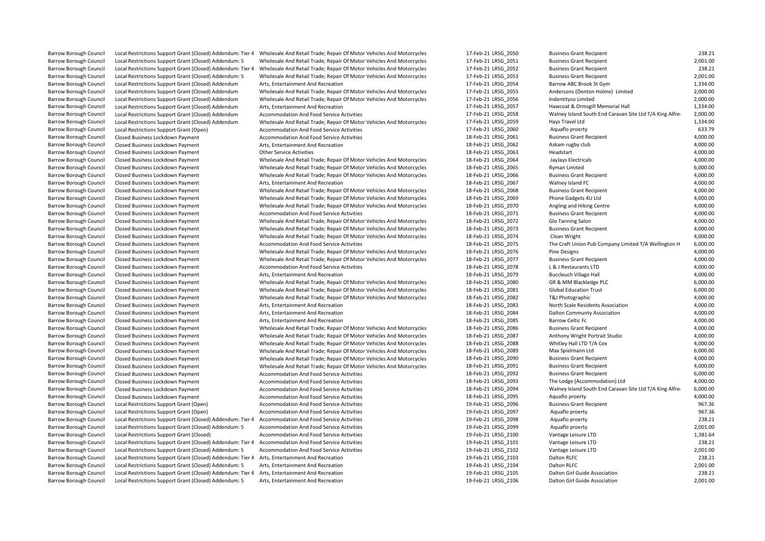Barrow Borough Council Local Restrictions Support Grant (Closed) Addendum: Tier 4 Wholesale And Retail Trade; Repair Of Motor Vehicles And Motorcycles 17-Feb-21 LRSG\_2050 Business Grant Recipient 238.21 238.21 238.21 Busin Barrow Borough Council Local Restrictions Support Grant (Closed) Addendum: 5 Wholesale And Retail Trade; Repair Of Motor Vehicles And Motorcycles 17-Feb-21 LRSG\_2051 Business Grant Recipient 2001.00<br>Barrow Borough Council Barrow Borough Council Local Restrictions Support Grant (Closed) Addendum: Tier 4 Wholesale And Retail Trade; Repair Of Motor Vehicles And Motorcycles 17-Feb-21 LRSG\_2052 Business Grant Recipient 238.21 238.21 238.21<br>Barro Exal Restrictions Support Grant (Closed) Addendum: 5 Wholesale And Retail Trade; Repair Of Motor Vehicles And Motorcycles and 17-Feb-21 LRSG\_2053 Business Grant Recipient 17-Feb-21 LRSG\_2053 Business Grant Recipient 2,001. Barrow Borough Council Local Restrictions Support Grant (Closed) Addendum Arts, Entertainment And Recreation<br>Barrow Borough Council Local Restrictions Support Grant (Closed) Addendum Wholesale And Retail Trade; Repair Of M Barrow Borough Council Local Restrictions Support Grant (Closed) Addendum Wholesale And Retail Trade; Repair Of Motor Vehicles And Motorcycles 17-Feb-21 LRSG\_2055 Andersons (Denton Holme) Limited 2,000.00<br>Barrow Borough Co Barrow Borough Council Local Restrictions Support Grant (Closed) Addendum Wholesale And Retail Trade; Repair Of Motor Vehicles And Motorcycles 17-Feb-21 LRSG\_2056 Indentityco Limited Local Restrictions Support Grant (Close Local Restrictions Support Grant (Closed) Addendum Barrow Borough Council Local Restrictions Support Grant (Closed) Addendum Accommodation And Food Service Activities 17-Feb-21 LRSG 2058 Walney Island South End Caravan Site Ltd T/A King Alfred Hotel2,000.00 Barrow Borough Council Local Restrictions Support Grant (Closed) Addendum Wholesale And Retail Trade; Repair Of Motor Vehicles And Motorcycles 17-Feb-21 LRSG 2059 Hays Travel Ltd 1,334.00 Barrow Borough Council Local Restrictions Support Grant (Open) and Accommodation And Food Service Activities and the strictions of the Same Accommodation And Food Service Activities 17-Feb-21 LRSG\_2060 Aquaflo proerty Aqua Barrow Borough Council Closed Business Lockdown Payment Accommodation And Food Service Activities and the state of the May and the Service Activities and the Service Activities 18-Feb-21 LRSG\_2061 Business Grant Recipient Barrow Borough Council Closed Business Lockdown Payment Arts, Entertainment And Recreation 18-Feb-21 LRSG\_2062 Askam rugby club 4,000.00 Barrow Borough Council Closed Business Lockdown Payment Council Council Closed Business Lockdown Payment Other Service Activities Activities And Motor Vehicles And Motorcycles and Motorcycles 18-Feb-21 LRSG\_2063 Headstart Barrow Borough Council Closed Business Lockdown Payment Wholesale And Retail Trade; Repair Of Motor Vehicles And Motorcycles 18-Feb-21 LRSG 2064 JayJays Electricals 4,000.00 Barrow Borough Council Closed Business Lockdown Payment Motern Wholesale And Retail Trade; Repair Of Motor Vehicles And Motorcycles and 18-Feb-21 LRSG\_2065 Ryman Limited Closed Business Lockdown Payment 4,000.00<br>Barrow Bor Barrow Borough Council Closed Business Lockdown Payment 1997 and Morough Council Closed and Retail Trade; Repair Of Motor Vehicles And Motorcycles 18-Feb-21 LRSG\_2066 Business Grant Recipient 4,000.00 4,000.00<br>18-Feb-21 LR Barrow Borough Council Closed Business Lockdown Payment Arts, Entertainment And Recreation and Recreation and Recreation 18-Feb-21 LRSG\_2067 Walney Island FC Walney Island FC 4,000.00<br>18-Feb-21 LRSG 2068 Business Lockdown Barrow Borough Council Closed Business Lockdown Payment Wholesale And Retail Trade: Repair Of Motor Vehicles And Motorcycles 18-Feb-21 LRSG\_2068 Business Grant Recipient 4,000.00 Barrow Borough Council Closed Business Lockdown Payment 1997 Wholesale And Retail Trade; Repair Of Motor Vehicles And Motorcycles 18-Feb-21 LRSG\_2069 Phone Gadgets 4U Ltd 4,000.00 4,000.00<br>Barrow Borough Council Closed Bus Barrow Borough Council Closed Business Lockdown Payment 1997 and Morough Wholesale And Retail Trade; Repair Of Motor Vehicles And Motorcycles 18-Feb-21 LRSG\_2070 Angling and Hiking Centre 1997 and Hiking Centre 4,000.00<br>Ba Barrow Barrow Borough Council Closed Business Crant Recipient Accommodation And Food Service Activities Accommodation And Food Service Activities 19,000.00<br>18-Feb-21 LRSG\_2072 Glo Tanning Salon Closed Business Accommodatio Barrow Borough Council Closed Business Lockdown Payment Wholesale And Retail Trade; Repair Of Motor Vehicles And Motorcycles Barrow Borough Council Closed Business Lockdown Payment 1990.00 Wholesale And Retail Trade; Repair Of Motor Vehicles And Motorcycles 18-Feb-21 LRSG\_2073 Business Grant Recipient 4,000.00 4,000.00 4,000.00 4,000.00<br>Barrow B Barrow Borough Council Closed Business Lockdown Payment 1990.00 Wholesale And Retail Trade; Repair Of Motor Vehicles And Motorcycles 18-Feb-21 LRSG\_2074 Clean Wright Clean Wright 4,000.00 4,000.00<br>Barrow Borough Council Cl Barrow Borough Council Closed Business Lockdown Payment Accommodation And Food Service Activities 18-Feb-21 LRSG\_2075 The Craft Union Pub Company Limited T/A Wellington H<br>Barrow Borough Council Closed Business Lockdown Pay Barrow Borough Council Closed Business Lockdown Payment Wholesale And Retail Trade; Repair Of Motor Vehicles And Motorcycles 18-Feb-21 LRSG 2076 Pine Designs 4,000.00 Barrow Borough Council Closed Business Lockdown Payment 1990.00 Wholesale And Retail Trade; Repair Of Motor Vehicles And Motorcycles 18-Feb-21 LRSG\_2077 Business Grant Recipient 4,000.00 4,000.00 18-Feb-21 LRSG\_2078 L& J R Barrow Borough Council Closed Business Lockdown Payment Accommodation And Food Service Activities and the state of the Service Activities and the state of the Service Activities 18-Feb-21 LRSG\_2078 L & J Restaurants LTD 4, Barrow Borough Council Closed Business Lockdown Payment 18-Feb-20 LRSG\_2079 Buccleuch Village Hall 4,000.00 ADD 4,000.00 Barrow Borough Council Closed Business Lockdown Payment 1997 Wholesale And Retail Trade; Repair Of Motor Vehicles And Motorcycles 18-Feb-21 LRSG\_2080 GR & MM Blackledge PLC 6,000.00 6.000.00<br>Barrow Borough Council Closed B Barrow Borough Council Closed Business Lockdown Payment 1997 Council Council Council Closed and Retail Trade; Repair Of Motor Vehicles And Motorcycles 18-Feb-21 LRSG\_2081 Global Education Trust 6,000.00<br>Barrow Borough Coun Barrow Borough Council Closed Business Lockdown Payment Wholesale And Retail Trade; Repair Of Motor Vehicles And Motorcycles 18-Feb-21 LRSG\_2082 T&J Photographic 4,000.00<br>Barrow Borough Council Closed Business Lockdown Pay Barrow Borough Council Closed Business Lockdown Payment 18-Feb-20 LRSG\_2083 North Scale Residents Association 4,000.00 Barrow Borough Council Closed Business Lockdown Payment 18-Feb-21 LRSG 2084 Dalton Communty Association 4,000.00 Barrow Borough Council Closed Business Lockdown Payment **Arts, Entertainment And Recreation** Arts, Entertainment And Recreation 18-Feb-21 LRSG 2085 Barrow Celtic Fc **Barrow Celtic Fc** 4,000.00 Barrow Borough Council Closed Business Lockdown Payment 1990.00 Wholesale And Retail Trade; Repair Of Motor Vehicles And Motorcycles 18-Feb-21 LRSG\_2086 Business Grant Recipient 1990.00 4,000.00 4,000.00 4,000.00 4,000.00 Barrow Borough Council Closed Business Lockhown Payment Council Closed Business Lockdown Payment And Audio And Motor Vehicles And Motorcycles 18-Feb-21 LRSG\_2087 Anthony Wright Portrait Studio 1990.00 4,000.00<br>18-Feb-21 LR Barrow Borough Council Closed Business Lockdown Payment 1997 and Motolesale And Retail Trade; Repair Of Motor Vehicles And Motorcycles 18-Feb-21 LRSG\_2088 Whitley Hall LTD T/A Cex 4,000.00<br>18-Feb-21 LRSG\_2089 Max Spielmann Barrow Borough Council Closed Business Lockdown Payment Wholesale And Retail Trade; Repair Of Motor Vehicles And Motorcycles Barrow Borough Council Closed Business Lockdown Payment 1997 Wholesale And Retail Trade; Repair Of Motor Vehicles And Motorcycles 18-Feb-21 LRSG 2090 Business Grant Recipient 4,000.00 Barrow Borough Council Closed Business Lockdown Payment 1997 and Morough Council Closed Business Lockdown Payment 1997 and Morough And Retail Trade; Repair Of Motor Vehicles And Motorcycles 18-Feb-21 LRSG\_2091 Business Gra Barrow Borough Council Closed Business Lockdown Payment **Accommodation And Food Service Activities** 18-Feb-21 LRSG\_2092 Business Grant Recipient Barrow Borough Council Closed Business Lockdown Payment 18-Feb-21 LRSG 2093 The Lodge (Accommodation) Ltd 4,000.00 Barrow Borough Council Closed Business Lockdown Payment Accommodation And Food Service Activities 18-Feb-21 LRSG 2094 Walney Island South End Caravan Site Ltd T/A King Alfred HotelCouncil Closed Business Lockdown Payment 4 Barrow Borough Council Closed Business Lockdown Payment **1994** Accommodation And Food Service Activities and the state of the Service Activities 18-Feb-21 LRSG\_2095 Aquaflo proerty Aquaflo proerty 4,000.00<br>1967 Barrow Boro Barrow Borough Council Local Restrictions Support Grant (Open) Accommodation And Food Service Activities 19-Feb-21 LRSG 2096 Business Grant Recipient Barrow Borough Council Local Restrictions Support Grant (Open) Accommodation And Food Service Activities 1967.36 19-Feb-21 LRSG\_2097 Aquaflo proerty Aquaflo proerty Barrow Borough Council Local Restrictions Support Grant (Closed) Addendum: Tier 4 Accommodation And Food Service Activities 19-Feb-21 LRSG 2098 Aquaflo proenty 238.21 Barrow Borough Council Local Restrictions Support Grant (Closed) Addendum: 5 Accommodation And Food Service Activities 19-Feb-21 LRSG\_2099 Aquaflo proerty Aquaflo proetry 2,001.00<br>19-Feb-21 LRSG\_2099 Aguation Care in the S Barrow Borough Council Local Restrictions Support Grant (Closed) Accommodation And Food Service Activities Barrow Borough Council Local Restrictions Support Grant (Closed) Addendum: Tier 4 Accommodation And Food Service Activities 19-Feb-21 LRSG 2101 Vantage Leisure LTD Vantage Leisure LTD Barrow Borough Council Local Restrictions Support Grant (Closed) Addendum: 5 Accommodation And Food Service Activities 19-Feb-21 LRSG 2102 Vantage Leisure LTD Vantage Leisure LTD 2,001.00 Barrow Borough Council Local Restrictions Support Grant (Closed) Addendum: Tier 4 Arts, Entertainment And Recreation and the creation and the state of the state of the 19-Feb-21 LRSG\_2103 Dalton RLFC 238.21 Dalton RLFC 238 Barrow Borough Council Local Restrictions Support Grant (Closed) Addendum: 5 Arts, Entertainment And Recreation Barrow Borough Council Local Restrictions Support Grant (Closed) Addendum: Tier 4 Arts, Entertainment And Recreation 19-Feb-21 LRSG 2105 Dalton Girl Guide Association 238.21 238.21 Barrow Borough Council Local Restrictions Support Grant (Closed) Addendum: 5 Arts, Entertainment And Recreation 19-Feb-21 LRSG 2106 Dalton Girl Guide Association 2,001.00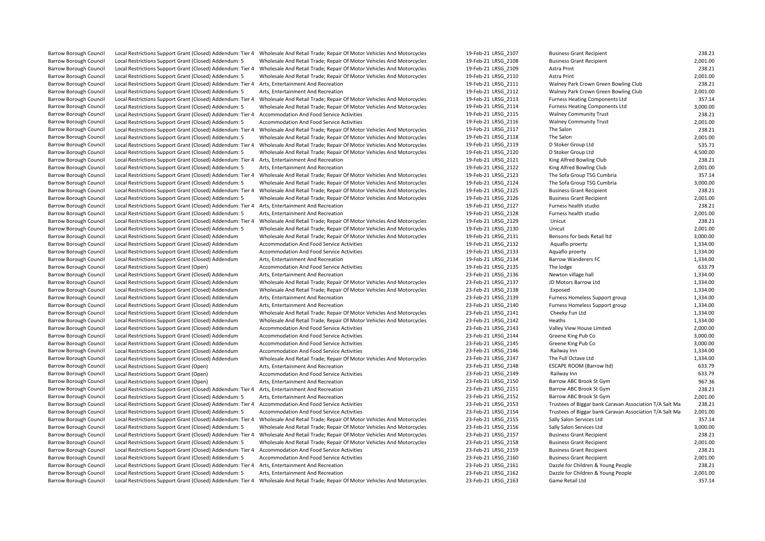Barrow Borough Council Local Restrictions Support Grant (Closed) Addendum: Tier 4 Wholesale And Retail Trade; Repair Of Motor Vehicles And Motorcycles 19-Feb-21 LRSG\_2107 Business Grant Recipient 238.21 238.21 Barrow Borou Barrow Borough Council Local Restrictions Support Grant (Closed) Addendum: 5 Wholesale And Retail Trade; Repair Of Motor Vehicles And Motorcycles 19-Feb-21 LRSG\_2108 Business Grant Recipient 2001.00<br>Barrow Borough Council Barrow Borough Council Local Restrictions Support Grant (Closed) Addendum: Tier 4 Wholesale And Retail Trade; Repair Of Motor Vehicles And Motorcycles 19-Feb-21 LRSG\_2109 Astra Print 238.21 Astra Print 238.21 Astra Print 2 Barrow Borough Council Local Restrictions Support Grant Council 2,001.00<br>Arts, Entertainment And Recreation Council Council Council Council Council Council 201.00<br>238.21 Arts, Entertainment And Recreation 238.21 Barrow Borough Council Local Restrictions Support Grant (Closed) Addendum: Tier 4 Arts, Entertainment And Recreation and the creation and the state of the state of the 19-Feb-21 LRSG\_2111 Walney Park Crown Green Bowling Cl Barrow Borough Council Local Restrictions Support Grant (Closed) Addendum: 5 Arts, Entertainment And Recreation<br>19.001.00 Barrow Borough Council Local Restrictions Support Grant (Closed) Addendum: Tier 4 Wholesale And Reta Barrow Borough Council Local Restrictions Support Grant (Closed) Addendum: Tier 4 Wholesale And Retail Trade; Repair Of Motor Vehicles And Motorcycles 19-Feb-21 LRSG\_2113 Furness Heating Components Ltd 357.14 35.000.00 Barrow Borough Council Council Council Council Council Council Council Addendum: 19-Feb-21 LRSG\_2114 Furness Heating Components Ltd 3,000.00 3,000.00<br>Accommodation And Food Service Activities 19-Feb-21 LRSG 2115 Walney Com Barrow Borough Council Local Restrictions Support Grant (Closed) Addendum: Tier 4 Accommodation And Food Service Activities 19-Feb-21 19-Feb-21 LRSG\_2115 URSG\_2115 Community Trust 238.2116 Walney Community Trust 238.2116 W Barrow Borough Council Local Restrictions Support Grant (Closed) Addendum: 5 Accommodation And Food Service Activities and Motorcycles 19-Feb-21 LRSG\_2116 Walney Community Trust 2001.00<br>Barrow Borough Council Local Restric Barrow Borough Council Local Restrictions Support Grant (Closed) Addendum: Tier 4 Wholesale And Retail Trade; Repair Of Motor Vehicles And Motorcycles 19-Feb-21 LRSG\_2117 The Salon The Salon 238.21 238.21 238.21 Parrow Bor Barrow Borough Council Local Restrictions Support Grant (Closed) Addendum: 5 Wholesale And Retail Trade; Repair Of Motor Vehicles And Motorcycles 19-Feb-21 LRSG\_2118 The Salon 2,001.00 Eocal Restrictions Support Grant (Closed) Addendum: Tier 4 Wholesale And Retail Trade; Repair Of Motor Vehicles And Motorcycles and 19-Feb-21 LRSG\_2119 D Stoker Group Ltd 535.71 DSCORE SASS.71 DESC And Retail Trade; Repair Barrow Borough Council Local Restrictions Support Grant (Closed) Addendum: 5 Wholesale And Retail Trade; Repair Of Motor Vehicles And Motorcycles 19-Feb-21 LRSG\_2120 D Stoker Group Ltd by Club Club Club Club Club Alfred Bo Barrow Borough Council Local Restrictions Support Grant (Closed) Addendum: Tier 4 Arts, Entertainment And Recreation 19-Feb-21 LRSG 2121 King Alfred Bowling Club 238.21 Barrow Borough Council Local Restrictions Support Grant (Closed) Addendum: 5 Arts, Entertainment And Recreation<br>Barrow Borough Council Local Restrictions Support Grant (Closed) Addendum: Tier 4 Wholesale And Retail Trade: Barrow Borough Council Local Restrictions Support Grant (Closed) Addendum: Tier 4 Wholesale And Retail Trade; Repair Of Motor Vehicles And Motorcycles 19-Feb-21 LRSG\_2123 The Sofa Group TSG Cumbria 357.14 3500.00<br>Barrow Bo Barrow Borough Council Local Restrictions Support Grant (Closed) Addendum: 5 Wholesale And Retail Trade; Repair Of Motor Vehicles And Motorcycles 19-Feb-21 LRSG\_2124 The Sofa Group TSG Cumbria 3,000.00<br>Barrow Borough Counc Barrow Borough Council Local Restrictions Support Grant (Closed) Addendum: Tier 4 Wholesale And Retail Trade; Repair Of Motor Vehicles And Motorcycles Barrow Borough Council Local Restrictions Support Grant (Closed) Addendum: 5 Wholesale And Retail Trade; Repair Of Motor Vehicles And Motorcycles 19-Feb-21 LRSG\_2126 Business Grant Recipient 2,001.00<br>Barrow Borough Council Barrow Borough Council Local Restrictions Support Grant (Closed) Addendum: Tier 4 Arts, Entertainment And Recreation and the creation and the studio and the studio and the studio and the studio and the studio 238.21 and th Barrow Barrow Borough Council Local Restrictions Support Grant (Closed) Addendum: 5 Arts, Entertainment And Recreation and Recreation 19-Feb-21 LRSG\_2128 Furness health studio 2,001.00<br>19-Feb-21 LRSG\_2129 Unicut Unit (Clos Barrow Borough Council Local Restrictions Support Grant (Closed) Addendum: Tier 4 Wholesale And Retail Trade: Repair Of Motor Vehicles And Motorcycles Barrow Borough Council Local Restrictions Support Grant (Closed) Addendum: 5 Wholesale And Retail Trade; Repair Of Motor Vehicles And Motorcycles 19-Feb-21 LRSG\_2130 Unicut Local Restrictions Support Grant (Closed) Addendu Barrow Borough Council Local Restrictions Support Grant (Closed) Addendum Wholesale And Retail Trade; Repair Of Motor Vehicles And Motorcycles 19-Feb-21 LRSG\_2131 Bensons for beds Retail Itd 3,000.00<br>Barrow Borough Council Example Barrow Borough Council Council Council Council Accommodation And Food Service Activities and the state of the state of the state of the state of the state of the state of the state of the state of the state of the Barrow Borough Council Local Restrictions Support Grant (Closed) Addendum Accommodation And Food Service Activities 19-Feb-21 LRSG 2133 Aquaflo proerty Barrow Borough Council Local Restrictions Support Grant (Closed) Addendum Arts, Entertainment And Recreation<br>Barrow Borough Council Local Restrictions Support Grant (Open) 1,334.00<br>633.79 63.79 and Accommodation And Food S Barrow Borough Council Local Restrictions Support Grant (Open) <br>Barrow Borough Council Local Restrictions Support Grant (Closed) Addendum Arts. Entertainment And Recreation c Exal Restrictions Support Grant (Closed) Addendum Arts, Entertainment And Recreation and Recreation and Recreation and Recreation and Recreation and Recreation 23-Feb-21 LRSG\_2136 Newton village hall 1,334.00 1,334.00<br>1,33 Barrow Borough Council Local Restrictions Support Grant (Closed) Addendum Wholesale And Retail Trade; Repair Of Motor Vehicles And Motorcycles 23-Feb-21 LRSG\_2137 1836\_2137 JD Barrow Borough Council Local Restrictions Supp Barrow Borough Council Local Restrictions Support Grant (Closed) Addendum Wholesale And Retail Trade; Repair Of Motor Vehicles And Motorcycles 23-Feb-21 LRSG\_2138 Exposed Exposed Exposed 1,334.00<br>1.334.00 Barrow Borough Co Barrow Borough Council Local Restrictions Support Grant (Closed) Addendum Arts, Entertainment And Recreation and the creation and the state of the state of the 21-Feb-21 LRSG\_2139 Furness Homeless Support group 1,334.00<br>Ba Exal Restrictions Support Grant (Closed) Addendum Arts, Entertainment And Recreation and Recreation and Recreation and Recreation and Recreation and Recreation 23-Feb-21 LRSG\_2140 Furness Homeless Support group 1,334.00<br>1, Barrow Borough Council Local Restrictions Support Grant (Closed) Addendum Wholesale And Retail Trade; Repair Of Motor Vehicles And Motorcycles 23-Feb-21 LRSG\_2141 Cheeky Fun Ltd Cheeky Fun Ltd 1,334.00<br>Barrow Borough Counc Barrow Borough Council Local Restrictions Support Grant (Closed) Addendum Wholesale And Retail Trade; Repair Of Motor Vehicles And Motorcycles Barrow Borough Council Local Restrictions Support Grant (Closed) Addendum Accommodation And Food Service Activities and the strictions and Food Service Activities and the striction and the strictions Support Grant (Closed) Exal Restrictions Support Grant (Closed) Addendum Accommodation And Food Service Activities and Activities and Manusculi Council Lacal Restrictions Support Grant (Closed) Addendum Accommodation And Food Service Activities Barrow Borough Council Local Restrictions Support Grant (Closed) Addendum Accommodation And Food Service Activities and the state of the controller and Food Service Activities 23-Feb-21 LRSG\_2145 Greene King Pub Co 3,000.0 Barrow Borough Council Local Restrictions Support Grant (Closed) Addendum Accommodation And Food Service Activities and Motorcycles 23-Feb-21 LRSG\_2146 Railway Inn 23-Feb-21 LRSG\_2146 Railway Inn 1,334.000 Railway Inn 1,33 Barrow Borough Council Local Restrictions Support Grant (Closed) Addendum Wholesale And Retail Trade; Repair Of Motor Vehicles And Motorcycles 23-Feb-21 LRSG 2147 The Full Octave Ltd 1,334.00 Barrow Borough Council Local Restrictions Support Grant (Open) and Arts, Entertainment And Recreation and Arts<br>Barrow Borough Council Local Restrictions Support Grant (Open) and Accommodation And Food Service Activities an Barrow Borough Council Local Restrictions Support Grant (Open) and Accommodation And Food Service Activities and the strictions and Food Service Activities and the strictions and Food Service Activities 23-Feb-21 LRSG\_2150 Barrow Borough Council Local Restrictions Support Grant (Open) **2008** Arts, Entertainment And Recreation Barrow Borough Council Local Restrictions Support Grant (Closed) Addendum: Tier 4 Arts, Entertainment And Recreation 238.21 23-Feb-21 LRSG 2151 Barrow ABC Brook St Gym 238.21 Barrow Borough Council Local Restrictions Support Grant (Closed) Addendum: 5 Arts, Entertainment And Recreation<br>Barrow Borough Council Local Restrictions Support Grant (Closed) Addendum: Tier 4 Accommodation And Food Servi Barrow Borough Council Local Restrictions Support Grant (Closed) Addendum: Tier 4 Accommodation And Food Service Activities 23-Feb-21 LRSG 2153 Trustees of Biggar bank Caravan Association T/A Salt Ma 238.21 Barrow Borough Council Local Restrictions Support Grant (Closed) Addendum: 5 Accommodation And Food Service Activities 23-Feb-21 LRSG\_2154 Trustees of Biggar bank Caravan Association T/A Salt Ma 2,001.00 Barrow Borough Council Local Restrictions Support Grant (Closed) Addendum: Tier 4 Wholesale And Retail Trade; Repair Of Motor Vehicles And Motorcycles 23-Feb-21 LRSG 2155 Sally Salon Services Ltd 357.14 Barrow Borough Council Local Restrictions Support Grant (Closed) Addendum: 5 Wholesale And Retail Trade; Repair Of Motor Vehicles And Motorcycles 23-Feb-21 LRSG\_2156 Sally Salon Services Ltd 3,000.00<br>Barrow Borough Council Barrow Borough Council Local Restrictions Support Grant (Closed) Addendum: Tier 4 Wholesale And Retail Trade; Repair Of Motor Vehicles And Motorcycles Barrow Borough Council Local Restrictions Support Grant (Closed) Addendum: 5 Wholesale And Retail Trade; Repair Of Motor Vehicles And Motorcycles 23-Feb-21 LRSG 2158 Business Grant Recipient 2,001.00 Barrow Borough Council Local Restrictions Support Grant (Closed) Addendum: Tier 4 Accommodation And Food Service Activities 23-Feb-21 LRSG 2159 Business Grant Recipient 238.21 Barrow Borough Council Local Restrictions Support Grant (Closed) Addendum: 5 Accommodation And Food Service Activities 23-Feb-21 LRSG\_2160 Business Grant Recipient People 2,001.00<br>Barrow Borough Council Local Restrictions Barrow Barrow Borough Council Local Restrictions Support Grant (Closed) Addendum: Tier 4 Arts, Entertainment And Recreation 2001 Dannel 2001 Dazzle 1.056 2161 Dazzle for Children & Young People 238.21 Dazzle for Children & Barrow Borough Council Local Restrictions Support Grant (Closed) Addendum: 5 Arts, Entertainment And Recreation 2001 Dazzle 10:201 23-Feb-21 LRSG 2162 Dazzle for Children & Young People Barrow Borough Council Local Restrictions Support Grant (Closed) Addendum: Tier 4 Wholesale And Retail Trade: Repair Of Motor Vehicles And Motorcycles 23-Feb-21 LRSG 2163 Game Retail Ltd 357.14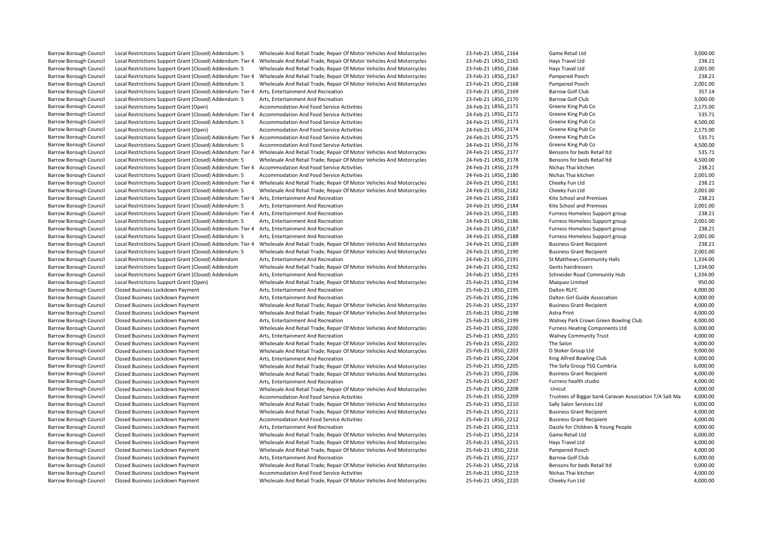| Barrow Borough Council        | Local Restrictions Support Grant (Closed) Addendum: 5      | Wholesale And Retail Trade; Repair Of Motor Vehicles And Motorcycles | 23-Feb-21 LRSG 2164 | Game Retail Ltd                                         | 3,000.00 |
|-------------------------------|------------------------------------------------------------|----------------------------------------------------------------------|---------------------|---------------------------------------------------------|----------|
| <b>Barrow Borough Council</b> | Local Restrictions Support Grant (Closed) Addendum: Tier 4 | Wholesale And Retail Trade; Repair Of Motor Vehicles And Motorcycles | 23-Feb-21 LRSG 2165 | Hays Travel Ltd                                         | 238.21   |
| Barrow Borough Council        | Local Restrictions Support Grant (Closed) Addendum: 5      | Wholesale And Retail Trade; Repair Of Motor Vehicles And Motorcycles | 23-Feb-21 LRSG 2166 | Hays Travel Ltd                                         | 2,001.00 |
| <b>Barrow Borough Council</b> | Local Restrictions Support Grant (Closed) Addendum: Tier 4 | Wholesale And Retail Trade; Repair Of Motor Vehicles And Motorcycles | 23-Feb-21 LRSG_2167 | Pampered Pooch                                          | 238.21   |
| <b>Barrow Borough Council</b> | Local Restrictions Support Grant (Closed) Addendum: 5      | Wholesale And Retail Trade; Repair Of Motor Vehicles And Motorcycles | 23-Feb-21 LRSG 2168 | Pampered Pooch                                          | 2,001.00 |
| Barrow Borough Council        | Local Restrictions Support Grant (Closed) Addendum: Tier 4 | Arts, Entertainment And Recreation                                   | 23-Feb-21 LRSG 2169 | <b>Barrow Golf Club</b>                                 | 357.14   |
| Barrow Borough Council        | Local Restrictions Support Grant (Closed) Addendum: 5      | Arts, Entertainment And Recreation                                   | 23-Feb-21 LRSG_2170 | <b>Barrow Golf Club</b>                                 | 3,000.00 |
| <b>Barrow Borough Council</b> | Local Restrictions Support Grant (Open)                    | Accommodation And Food Service Activities                            | 24-Feb-21 LRSG 2171 | Greene King Pub Co                                      | 2,175.00 |
| Barrow Borough Council        | Local Restrictions Support Grant (Closed) Addendum: Tier 4 | Accommodation And Food Service Activities                            | 24-Feb-21 LRSG 2172 | Greene King Pub Co                                      | 535.71   |
| <b>Barrow Borough Council</b> | Local Restrictions Support Grant (Closed) Addendum: 5      | Accommodation And Food Service Activities                            | 24-Feb-21 LRSG_2173 | Greene King Pub Co                                      | 4,500.00 |
| <b>Barrow Borough Council</b> | Local Restrictions Support Grant (Open)                    | Accommodation And Food Service Activities                            | 24-Feb-21 LRSG 2174 | Greene King Pub Co                                      | 2,175.00 |
| <b>Barrow Borough Council</b> | Local Restrictions Support Grant (Closed) Addendum: Tier 4 | Accommodation And Food Service Activities                            | 24-Feb-21 LRSG_2175 | Greene King Pub Co                                      | 535.71   |
| <b>Barrow Borough Council</b> | Local Restrictions Support Grant (Closed) Addendum: 5      | Accommodation And Food Service Activities                            | 24-Feb-21 LRSG 2176 | Greene King Pub Co                                      | 4,500.00 |
| <b>Barrow Borough Council</b> | Local Restrictions Support Grant (Closed) Addendum: Tier 4 | Wholesale And Retail Trade; Repair Of Motor Vehicles And Motorcycles | 24-Feb-21 LRSG 2177 | Bensons for beds Retail Itd                             | 535.71   |
| Barrow Borough Council        | Local Restrictions Support Grant (Closed) Addendum: 5      | Wholesale And Retail Trade; Repair Of Motor Vehicles And Motorcycles | 24-Feb-21 LRSG_2178 | Bensons for beds Retail Itd                             | 4,500.00 |
| <b>Barrow Borough Council</b> | Local Restrictions Support Grant (Closed) Addendum: Tier 4 | Accommodation And Food Service Activities                            | 24-Feb-21 LRSG 2179 | Nichas Thai kitchen                                     | 238.21   |
| <b>Barrow Borough Council</b> | Local Restrictions Support Grant (Closed) Addendum: 5      | Accommodation And Food Service Activities                            | 24-Feb-21 LRSG 2180 | Nichas Thai kitchen                                     | 2,001.00 |
| Barrow Borough Council        | Local Restrictions Support Grant (Closed) Addendum: Tier 4 | Wholesale And Retail Trade; Repair Of Motor Vehicles And Motorcycles | 24-Feb-21 LRSG_2181 | Cheeky Fun Ltd                                          | 238.21   |
| Barrow Borough Council        | Local Restrictions Support Grant (Closed) Addendum: 5      | Wholesale And Retail Trade; Repair Of Motor Vehicles And Motorcycles | 24-Feb-21 LRSG_2182 | Cheeky Fun Ltd                                          | 2,001.00 |
| Barrow Borough Council        | Local Restrictions Support Grant (Closed) Addendum: Tier 4 | Arts, Entertainment And Recreation                                   | 24-Feb-21 LRSG 2183 | Kite School and Premises                                | 238.21   |
| Barrow Borough Council        | Local Restrictions Support Grant (Closed) Addendum: 5      | Arts, Entertainment And Recreation                                   | 24-Feb-21 LRSG_2184 | Kite School and Premises                                | 2,001.00 |
| <b>Barrow Borough Council</b> | Local Restrictions Support Grant (Closed) Addendum: Tier 4 | Arts, Entertainment And Recreation                                   | 24-Feb-21 LRSG 2185 | Furness Homeless Support group                          | 238.21   |
| Barrow Borough Council        | Local Restrictions Support Grant (Closed) Addendum: 5      | Arts, Entertainment And Recreation                                   | 24-Feb-21 LRSG 2186 | Furness Homeless Support group                          | 2,001.00 |
| <b>Barrow Borough Council</b> | Local Restrictions Support Grant (Closed) Addendum: Tier 4 | Arts, Entertainment And Recreation                                   | 24-Feb-21 LRSG_2187 | Furness Homeless Support group                          | 238.21   |
| <b>Barrow Borough Council</b> | Local Restrictions Support Grant (Closed) Addendum: 5      | Arts, Entertainment And Recreation                                   | 24-Feb-21 LRSG 2188 | Furness Homeless Support group                          | 2,001.00 |
| Barrow Borough Council        | Local Restrictions Support Grant (Closed) Addendum: Tier 4 | Wholesale And Retail Trade; Repair Of Motor Vehicles And Motorcycles | 24-Feb-21 LRSG 2189 | <b>Business Grant Recipient</b>                         | 238.21   |
| <b>Barrow Borough Council</b> | Local Restrictions Support Grant (Closed) Addendum: 5      | Wholesale And Retail Trade; Repair Of Motor Vehicles And Motorcycles | 24-Feb-21 LRSG 2190 | <b>Business Grant Recipient</b>                         | 2,001.00 |
| <b>Barrow Borough Council</b> | Local Restrictions Support Grant (Closed) Addendum         | Arts, Entertainment And Recreation                                   | 24-Feb-21 LRSG 2191 | St Matthews Community Halls                             | 1,334.00 |
| <b>Barrow Borough Council</b> | Local Restrictions Support Grant (Closed) Addendum         | Wholesale And Retail Trade; Repair Of Motor Vehicles And Motorcycles | 24-Feb-21 LRSG_2192 | Gents hairdressers                                      | 1,334.00 |
| <b>Barrow Borough Council</b> | Local Restrictions Support Grant (Closed) Addendum         | Arts, Entertainment And Recreation                                   | 24-Feb-21 LRSG 2193 | Schneider Road Community Hub                            | 1,334.00 |
| <b>Barrow Borough Council</b> | Local Restrictions Support Grant (Open)                    | Wholesale And Retail Trade; Repair Of Motor Vehicles And Motorcycles | 25-Feb-21 LRSG 2194 | Maiquez Limited                                         | 950.00   |
| <b>Barrow Borough Council</b> | Closed Business Lockdown Payment                           | Arts, Entertainment And Recreation                                   | 25-Feb-21 LRSG_2195 | Dalton RLFC                                             | 4,000.00 |
| Barrow Borough Council        | Closed Business Lockdown Payment                           | Arts, Entertainment And Recreation                                   | 25-Feb-21 LRSG_2196 | Dalton Girl Guide Association                           | 4,000.00 |
| <b>Barrow Borough Council</b> | Closed Business Lockdown Payment                           | Wholesale And Retail Trade; Repair Of Motor Vehicles And Motorcycles | 25-Feb-21 LRSG 2197 | <b>Business Grant Recipient</b>                         | 4,000.00 |
| <b>Barrow Borough Council</b> | Closed Business Lockdown Payment                           | Wholesale And Retail Trade; Repair Of Motor Vehicles And Motorcycles | 25-Feb-21 LRSG_2198 | Astra Print                                             | 4,000.00 |
| <b>Barrow Borough Council</b> | Closed Business Lockdown Payment                           | Arts, Entertainment And Recreation                                   | 25-Feb-21 LRSG 2199 | Walney Park Crown Green Bowling Club                    | 4,000.00 |
| <b>Barrow Borough Council</b> | Closed Business Lockdown Payment                           | Wholesale And Retail Trade; Repair Of Motor Vehicles And Motorcycles | 25-Feb-21 LRSG 2200 | <b>Furness Heating Components Ltd</b>                   | 6,000.00 |
| Barrow Borough Council        | Closed Business Lockdown Payment                           | Arts, Entertainment And Recreation                                   | 25-Feb-21 LRSG_2201 | <b>Walney Community Trust</b>                           | 4,000.00 |
| <b>Barrow Borough Council</b> | Closed Business Lockdown Payment                           | Wholesale And Retail Trade; Repair Of Motor Vehicles And Motorcycles | 25-Feb-21 LRSG 2202 | The Salon                                               | 4,000.00 |
| Barrow Borough Council        | Closed Business Lockdown Payment                           | Wholesale And Retail Trade; Repair Of Motor Vehicles And Motorcycles | 25-Feb-21 LRSG 2203 | D Stoker Group Ltd                                      | 9,000.00 |
| Barrow Borough Council        | Closed Business Lockdown Payment                           | Arts, Entertainment And Recreation                                   | 25-Feb-21 LRSG_2204 | King Alfred Bowling Club                                | 4,000.00 |
| <b>Barrow Borough Council</b> | Closed Business Lockdown Payment                           | Wholesale And Retail Trade; Repair Of Motor Vehicles And Motorcycles | 25-Feb-21 LRSG 2205 | The Sofa Group TSG Cumbria                              | 6,000.00 |
| <b>Barrow Borough Council</b> | Closed Business Lockdown Payment                           | Wholesale And Retail Trade; Repair Of Motor Vehicles And Motorcycles | 25-Feb-21 LRSG 2206 | <b>Business Grant Recipient</b>                         | 4,000.00 |
| <b>Barrow Borough Council</b> | Closed Business Lockdown Payment                           | Arts, Entertainment And Recreation                                   | 25-Feb-21 LRSG 2207 | Furness health studio                                   | 4,000.00 |
| <b>Barrow Borough Council</b> | Closed Business Lockdown Payment                           | Wholesale And Retail Trade; Repair Of Motor Vehicles And Motorcycles | 25-Feb-21 LRSG_2208 | Unicut                                                  | 4,000.00 |
| <b>Barrow Borough Council</b> | Closed Business Lockdown Payment                           | Accommodation And Food Service Activities                            | 25-Feb-21 LRSG 2209 | Trustees of Biggar bank Caravan Association T/A Salt Ma | 4,000.00 |
| <b>Barrow Borough Council</b> | Closed Business Lockdown Payment                           | Wholesale And Retail Trade; Repair Of Motor Vehicles And Motorcycles | 25-Feb-21 LRSG 2210 | Sally Salon Services Ltd                                | 6,000.00 |
| <b>Barrow Borough Council</b> | Closed Business Lockdown Payment                           | Wholesale And Retail Trade; Repair Of Motor Vehicles And Motorcycles | 25-Feb-21 LRSG 2211 | <b>Business Grant Recipient</b>                         | 4,000.00 |
| Barrow Borough Council        | Closed Business Lockdown Payment                           | Accommodation And Food Service Activities                            | 25-Feb-21 LRSG 2212 | <b>Business Grant Recipient</b>                         | 4,000.00 |
| <b>Barrow Borough Council</b> | Closed Business Lockdown Payment                           | Arts, Entertainment And Recreation                                   | 25-Feb-21 LRSG 2213 | Dazzle for Children & Young People                      | 4,000.00 |
| Barrow Borough Council        | Closed Business Lockdown Payment                           | Wholesale And Retail Trade; Repair Of Motor Vehicles And Motorcycles | 25-Feb-21 LRSG 2214 | Game Retail Ltd                                         | 6,000.00 |
| Barrow Borough Council        | Closed Business Lockdown Payment                           | Wholesale And Retail Trade; Repair Of Motor Vehicles And Motorcycles | 25-Feb-21 LRSG_2215 | Hays Travel Ltd                                         | 4,000.00 |
| Barrow Borough Council        | Closed Business Lockdown Payment                           | Wholesale And Retail Trade; Repair Of Motor Vehicles And Motorcycles | 25-Feb-21 LRSG_2216 | Pampered Pooch                                          | 4,000.00 |
| <b>Barrow Borough Council</b> | Closed Business Lockdown Payment                           | Arts, Entertainment And Recreation                                   | 25-Feb-21 LRSG 2217 | <b>Barrow Golf Club</b>                                 | 6,000.00 |
| Barrow Borough Council        | Closed Business Lockdown Payment                           | Wholesale And Retail Trade; Repair Of Motor Vehicles And Motorcycles | 25-Feb-21 LRSG_2218 | Bensons for beds Retail Itd                             | 9,000.00 |
| <b>Barrow Borough Council</b> | Closed Business Lockdown Payment                           | Accommodation And Food Service Activities                            | 25-Feb-21 LRSG 2219 | Nichas Thai kitchen                                     | 4,000.00 |
| Barrow Borough Council        | Closed Business Lockdown Payment                           | Wholesale And Retail Trade; Repair Of Motor Vehicles And Motorcycles | 25-Feb-21 LRSG 2220 | Cheeky Fun Ltd                                          | 4,000.00 |